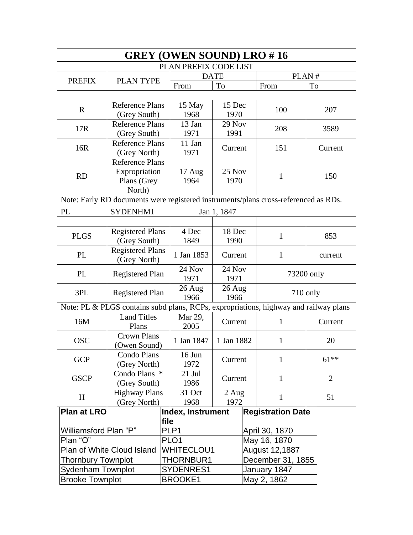| <b>GREY (OWEN SOUND) LRO #16</b> |                                                                                      |             |                       |             |  |                          |    |                |  |
|----------------------------------|--------------------------------------------------------------------------------------|-------------|-----------------------|-------------|--|--------------------------|----|----------------|--|
|                                  |                                                                                      |             | PLAN PREFIX CODE LIST |             |  |                          |    |                |  |
|                                  |                                                                                      | <b>DATE</b> |                       | PLAN#       |  |                          |    |                |  |
| <b>PREFIX</b>                    | <b>PLAN TYPE</b>                                                                     |             | From                  | To          |  | From                     | To |                |  |
|                                  |                                                                                      |             |                       |             |  |                          |    |                |  |
|                                  | <b>Reference Plans</b>                                                               |             | 15 May                | 15 Dec      |  |                          |    |                |  |
| $\mathbf{R}$                     | (Grey South)                                                                         |             | 1968                  | 1970        |  | 100                      |    | 207            |  |
| 17R                              | <b>Reference Plans</b>                                                               |             | 13 Jan                | 29 Nov      |  | 208                      |    | 3589           |  |
|                                  | (Grey South)                                                                         |             | 1971                  | 1991        |  |                          |    |                |  |
| 16R                              | <b>Reference Plans</b>                                                               |             | 11 Jan                | Current     |  | 151                      |    | Current        |  |
|                                  | (Grey North)                                                                         |             | 1971                  |             |  |                          |    |                |  |
|                                  | <b>Reference Plans</b>                                                               |             |                       |             |  |                          |    |                |  |
| <b>RD</b>                        | Expropriation                                                                        |             | 17 Aug                | 25 Nov      |  | $\mathbf{1}$             |    | 150            |  |
|                                  | Plans (Grey                                                                          |             | 1964                  | 1970        |  |                          |    |                |  |
|                                  | North)                                                                               |             |                       |             |  |                          |    |                |  |
|                                  | Note: Early RD documents were registered instruments/plans cross-referenced as RDs.  |             |                       |             |  |                          |    |                |  |
| PL                               | SYDENHM1                                                                             |             |                       | Jan 1, 1847 |  |                          |    |                |  |
|                                  |                                                                                      |             |                       |             |  |                          |    |                |  |
| <b>PLGS</b>                      | <b>Registered Plans</b><br>(Grey South)                                              |             | 4 Dec                 | 18 Dec      |  | $\mathbf{1}$             |    | 853            |  |
|                                  |                                                                                      |             | 1849                  | 1990        |  |                          |    |                |  |
| PL                               | <b>Registered Plans</b>                                                              |             | 1 Jan 1853            | Current     |  | $\mathbf{1}$             |    | current        |  |
|                                  | (Grey North)                                                                         |             |                       |             |  |                          |    |                |  |
| PL                               | <b>Registered Plan</b>                                                               |             | 24 Nov<br>24 Nov      |             |  | 73200 only               |    |                |  |
|                                  |                                                                                      |             | 1971                  | 1971        |  |                          |    |                |  |
| 3PL                              | <b>Registered Plan</b>                                                               | $26$ Aug    |                       | 26 Aug      |  | 710 only                 |    |                |  |
|                                  |                                                                                      |             | 1966<br>1966          |             |  |                          |    |                |  |
|                                  | Note: PL & PLGS contains subd plans, RCPs, expropriations, highway and railway plans |             |                       |             |  |                          |    |                |  |
| 16M                              | <b>Land Titles</b><br>Plans                                                          |             | Mar 29,               | Current     |  | $\mathbf{1}$             |    | Current        |  |
|                                  |                                                                                      |             | 2005                  |             |  |                          |    |                |  |
| <b>OSC</b>                       | <b>Crown Plans</b>                                                                   |             | 1 Jan 1847            | 1 Jan 1882  |  | $\mathbf{1}$             |    | 20             |  |
|                                  | (Owen Sound)                                                                         |             |                       |             |  |                          |    |                |  |
| <b>GCP</b>                       | Condo Plans                                                                          |             | 16 Jun                | Current     |  | $\mathbf{1}$             |    | $61***$        |  |
|                                  | (Grey North)                                                                         |             | 1972                  |             |  |                          |    |                |  |
| <b>GSCP</b>                      | Condo Plans *                                                                        |             | 21 Jul                | Current     |  | $\mathbf{1}$             |    | $\overline{2}$ |  |
|                                  | (Grey South)                                                                         |             | 1986                  |             |  |                          |    |                |  |
| H                                | <b>Highway Plans</b>                                                                 |             | 31 Oct                | $2$ Aug     |  | 1                        |    | 51             |  |
|                                  | (Grey North)                                                                         |             | 1968                  | 1972        |  |                          |    |                |  |
| <b>Plan at LRO</b>               |                                                                                      |             | Index, Instrument     |             |  | <b>Registration Date</b> |    |                |  |
|                                  |                                                                                      | file        |                       |             |  |                          |    |                |  |
| Williamsford Plan "P"            |                                                                                      |             | PLP1                  |             |  | April 30, 1870           |    |                |  |
| Plan "O"                         |                                                                                      |             | PLO <sub>1</sub>      |             |  | May 16, 1870             |    |                |  |
|                                  | Plan of White Cloud Island                                                           |             | <b>WHITECLOU1</b>     |             |  | August 12,1887           |    |                |  |
| <b>Thornbury Townplot</b>        |                                                                                      |             | THORNBUR1             |             |  | December 31, 1855        |    |                |  |
| <b>Sydenham Townplot</b>         |                                                                                      |             | SYDENRES1             |             |  | January 1847             |    |                |  |
| <b>Brooke Townplot</b>           |                                                                                      |             | <b>BROOKE1</b>        |             |  | May 2, 1862              |    |                |  |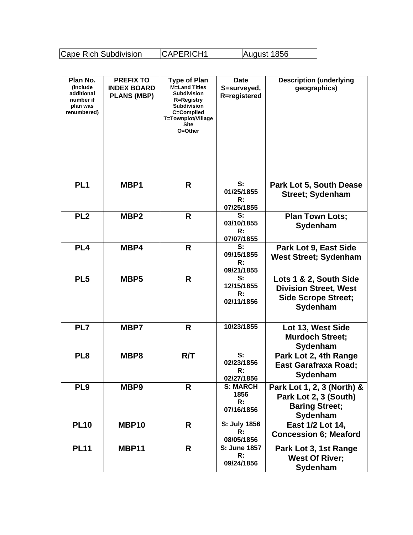Cape Rich Subdivision CAPERICH1 August 1856

| Plan No.<br>(include)<br>additional<br>number if<br>plan was<br>renumbered) | <b>PREFIX TO</b><br><b>INDEX BOARD</b><br><b>PLANS (MBP)</b> | <b>Type of Plan</b><br><b>M=Land Titles</b><br><b>Subdivision</b><br><b>R=Registry</b><br><b>Subdivision</b><br>C=Compiled<br>T=Townplot/Village<br><b>Site</b><br>O=Other | <b>Date</b><br>S=surveyed,<br>R=registered       | <b>Description (underlying</b><br>geographics)                                                   |
|-----------------------------------------------------------------------------|--------------------------------------------------------------|----------------------------------------------------------------------------------------------------------------------------------------------------------------------------|--------------------------------------------------|--------------------------------------------------------------------------------------------------|
| PL <sub>1</sub>                                                             | MBP1                                                         | R                                                                                                                                                                          | S:<br>01/25/1855<br>R:<br>07/25/1855             | Park Lot 5, South Dease<br><b>Street</b> ; Sydenham                                              |
| PL <sub>2</sub>                                                             | MBP <sub>2</sub>                                             | R                                                                                                                                                                          | S:<br>03/10/1855<br>R:<br>07/07/1855             | <b>Plan Town Lots;</b><br>Sydenham                                                               |
| PL <sub>4</sub>                                                             | MBP4                                                         | R                                                                                                                                                                          | S:<br>09/15/1855<br>R:<br>09/21/1855             | Park Lot 9, East Side<br><b>West Street; Sydenham</b>                                            |
| PL <sub>5</sub>                                                             | MBP <sub>5</sub>                                             | R                                                                                                                                                                          | S:<br>12/15/1855<br>R:<br>02/11/1856             | Lots 1 & 2, South Side<br><b>Division Street, West</b><br><b>Side Scrope Street;</b><br>Sydenham |
| PL7                                                                         | MBP7                                                         | R                                                                                                                                                                          | 10/23/1855                                       | Lot 13, West Side<br><b>Murdoch Street;</b><br>Sydenham                                          |
| PL <sub>8</sub>                                                             | MBP8                                                         | R/T                                                                                                                                                                        | S:<br>02/23/1856<br>$\mathsf{R}$ :<br>02/27/1856 | Park Lot 2, 4th Range<br><b>East Garafraxa Road;</b><br>Sydenham                                 |
| PL <sub>9</sub>                                                             | MBP9                                                         | R                                                                                                                                                                          | <b>S: MARCH</b><br>1856<br>R:<br>07/16/1856      | Park Lot 1, 2, 3 (North) &<br>Park Lot 2, 3 (South)<br><b>Baring Street;</b><br>Sydenham         |
| <b>PL10</b>                                                                 | MBP10                                                        | R                                                                                                                                                                          | S: July 1856<br>$\mathsf{R}$ :<br>08/05/1856     | East 1/2 Lot 14,<br><b>Concession 6; Meaford</b>                                                 |
| <b>PL11</b>                                                                 | MBP11                                                        | R                                                                                                                                                                          | S: June 1857<br>R:<br>09/24/1856                 | Park Lot 3, 1st Range<br><b>West Of River;</b><br>Sydenham                                       |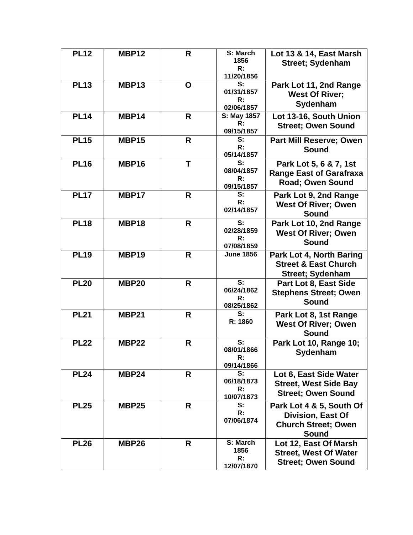| <b>PL12</b> | <b>MBP12</b> | R            | S: March<br>1856<br>R:<br>11/20/1856                        | Lot 13 & 14, East Marsh<br><b>Street; Sydenham</b>                                     |
|-------------|--------------|--------------|-------------------------------------------------------------|----------------------------------------------------------------------------------------|
| <b>PL13</b> | MBP13        | O            | S:<br>01/31/1857<br>R:<br>02/06/1857                        | Park Lot 11, 2nd Range<br><b>West Of River;</b><br>Sydenham                            |
| <b>PL14</b> | MBP14        | R            | S: May 1857<br>R:<br>09/15/1857                             | Lot 13-16, South Union<br><b>Street; Owen Sound</b>                                    |
| <b>PL15</b> | <b>MBP15</b> | R            | S:<br>R:<br>05/14/1857                                      | <b>Part Mill Reserve; Owen</b><br>Sound                                                |
| <b>PL16</b> | MBP16        | T            | S:<br>08/04/1857<br>R:<br>09/15/1857                        | Park Lot 5, 6 & 7, 1st<br><b>Range East of Garafraxa</b><br>Road; Owen Sound           |
| <b>PL17</b> | MBP17        | R            | S:<br>R:<br>02/14/1857                                      | Park Lot 9, 2nd Range<br><b>West Of River; Owen</b><br>Sound                           |
| <b>PL18</b> | MBP18        | R            | S:<br>02/28/1859<br>R:<br>07/08/1859                        | Park Lot 10, 2nd Range<br><b>West Of River; Owen</b><br>Sound                          |
| <b>PL19</b> | <b>MBP19</b> | R.           | <b>June 1856</b>                                            | Park Lot 4, North Baring<br><b>Street &amp; East Church</b><br><b>Street; Sydenham</b> |
| <b>PL20</b> | <b>MBP20</b> | R.           | $\overline{\mathbf{s}}$ :<br>06/24/1862<br>R:<br>08/25/1862 | Part Lot 8, East Side<br><b>Stephens Street; Owen</b><br>Sound                         |
| <b>PL21</b> | <b>MBP21</b> | $\mathsf{R}$ | S:<br>R: 1860                                               | Park Lot 8, 1st Range<br><b>West Of River; Owen</b><br>Sound                           |
| <b>PL22</b> | <b>MBP22</b> | $\mathsf{R}$ | S:<br>08/01/1866<br>R:<br>09/14/1866                        | Park Lot 10, Range 10;<br>Sydenham                                                     |
| <b>PL24</b> | <b>MBP24</b> | R            | S:<br>06/18/1873<br>R:<br>10/07/1873                        | Lot 6, East Side Water<br><b>Street, West Side Bay</b><br><b>Street; Owen Sound</b>    |
| <b>PL25</b> | <b>MBP25</b> | R            | S:<br>R:<br>07/06/1874                                      | Park Lot 4 & 5, South Of<br>Division, East Of<br><b>Church Street; Owen</b><br>Sound   |
| <b>PL26</b> | <b>MBP26</b> | R            | S: March<br>1856<br>R:<br>12/07/1870                        | Lot 12, East Of Marsh<br><b>Street, West Of Water</b><br><b>Street; Owen Sound</b>     |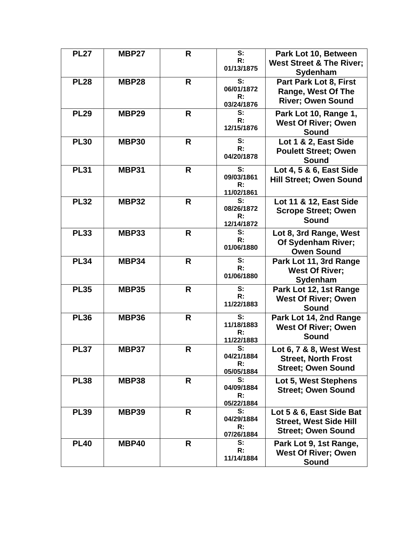| <b>PL27</b> | MBP27        | R | S:<br>R:<br>01/13/1875                                      | Park Lot 10, Between<br><b>West Street &amp; The River;</b><br>Sydenham                |
|-------------|--------------|---|-------------------------------------------------------------|----------------------------------------------------------------------------------------|
| <b>PL28</b> | MBP28        | R | S:<br>06/01/1872<br>R:<br>03/24/1876                        | Part Park Lot 8, First<br>Range, West Of The<br><b>River; Owen Sound</b>               |
| <b>PL29</b> | <b>MBP29</b> | R | S:<br>R:<br>12/15/1876                                      | Park Lot 10, Range 1,<br><b>West Of River; Owen</b><br>Sound                           |
| <b>PL30</b> | <b>MBP30</b> | R | S:<br>R:<br>04/20/1878                                      | Lot 1 & 2, East Side<br><b>Poulett Street; Owen</b><br>Sound                           |
| <b>PL31</b> | <b>MBP31</b> | R | $\overline{\mathbf{s}}$ :<br>09/03/1861<br>R:<br>11/02/1861 | Lot 4, 5 & 6, East Side<br><b>Hill Street; Owen Sound</b>                              |
| <b>PL32</b> | <b>MBP32</b> | R | $\overline{\mathbf{s}}$ :<br>08/26/1872<br>R:<br>12/14/1872 | Lot 11 & 12, East Side<br><b>Scrope Street; Owen</b><br><b>Sound</b>                   |
| <b>PL33</b> | <b>MBP33</b> | R | S:<br>R:<br>01/06/1880                                      | Lot 8, 3rd Range, West<br>Of Sydenham River;<br><b>Owen Sound</b>                      |
| <b>PL34</b> | <b>MBP34</b> | R | S:<br>R:<br>01/06/1880                                      | Park Lot 11, 3rd Range<br><b>West Of River:</b><br>Sydenham                            |
| <b>PL35</b> | <b>MBP35</b> | R | S:<br>R:<br>11/22/1883                                      | Park Lot 12, 1st Range<br><b>West Of River; Owen</b><br><b>Sound</b>                   |
| <b>PL36</b> | <b>MBP36</b> | R | S:<br>11/18/1883<br>R:<br>11/22/1883                        | Park Lot 14, 2nd Range<br><b>West Of River; Owen</b><br>Sound                          |
| <b>PL37</b> | <b>MBP37</b> | R | S:<br>04/21/1884<br>R:<br>05/05/1884                        | Lot 6, 7 & 8, West West<br><b>Street, North Frost</b><br><b>Street: Owen Sound</b>     |
| <b>PL38</b> | <b>MBP38</b> | R | S:<br>04/09/1884<br>R:<br>05/22/1884                        | Lot 5, West Stephens<br><b>Street; Owen Sound</b>                                      |
| <b>PL39</b> | <b>MBP39</b> | R | S:<br>04/29/1884<br>R:<br>07/26/1884                        | Lot 5 & 6, East Side Bat<br><b>Street, West Side Hill</b><br><b>Street; Owen Sound</b> |
| <b>PL40</b> | MBP40        | R | S:<br>R:<br>11/14/1884                                      | Park Lot 9, 1st Range,<br><b>West Of River; Owen</b><br><b>Sound</b>                   |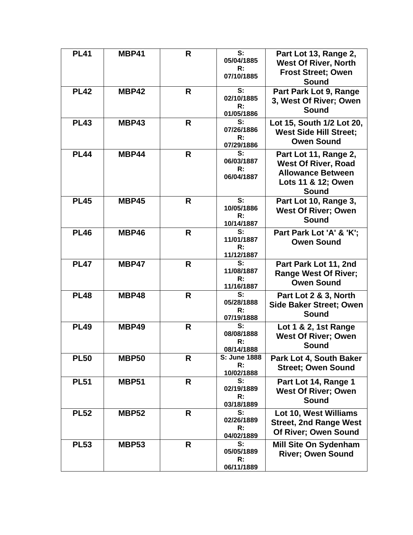| <b>PL41</b> | <b>MBP41</b> | R  | S:<br>05/04/1885<br>R:<br>07/10/1885             | Part Lot 13, Range 2,<br><b>West Of River, North</b><br><b>Frost Street; Owen</b><br><b>Sound</b>                     |
|-------------|--------------|----|--------------------------------------------------|-----------------------------------------------------------------------------------------------------------------------|
| <b>PL42</b> | MBP42        | R  | S:<br>02/10/1885<br>R:<br>01/05/1886             | Part Park Lot 9, Range<br>3, West Of River; Owen<br><b>Sound</b>                                                      |
| <b>PL43</b> | MBP43        | R  | S:<br>07/26/1886<br>R:<br>07/29/1886             | Lot 15, South 1/2 Lot 20,<br><b>West Side Hill Street;</b><br><b>Owen Sound</b>                                       |
| <b>PL44</b> | MBP44        | R  | S:<br>06/03/1887<br>R:<br>06/04/1887             | Part Lot 11, Range 2,<br><b>West Of River, Road</b><br><b>Allowance Between</b><br>Lots 11 & 12; Owen<br><b>Sound</b> |
| <b>PL45</b> | <b>MBP45</b> | R  | S:<br>10/05/1886<br>R:<br>10/14/1887             | Part Lot 10, Range 3,<br><b>West Of River; Owen</b><br><b>Sound</b>                                                   |
| <b>PL46</b> | MBP46        | R. | S:<br>11/01/1887<br>$\mathsf{R}$ :<br>11/12/1887 | Part Park Lot 'A' & 'K';<br><b>Owen Sound</b>                                                                         |
| <b>PL47</b> | MBP47        | R  | S:<br>11/08/1887<br>R:<br>11/16/1887             | Part Park Lot 11, 2nd<br><b>Range West Of River;</b><br><b>Owen Sound</b>                                             |
| <b>PL48</b> | <b>MBP48</b> | R  | S:<br>05/28/1888<br>R:<br>07/19/1888             | Part Lot 2 & 3, North<br><b>Side Baker Street; Owen</b><br><b>Sound</b>                                               |
| <b>PL49</b> | MBP49        | R  | S:<br>08/08/1888<br>R:<br>08/14/1888             | Lot 1 & 2, 1st Range<br><b>West Of River; Owen</b><br><b>Sound</b>                                                    |
| <b>PL50</b> | <b>MBP50</b> | R  | S: June 1888<br>R:<br>10/02/1888                 | Park Lot 4, South Baker<br><b>Street: Owen Sound</b>                                                                  |
| <b>PL51</b> | <b>MBP51</b> | R  | S:<br>02/19/1889<br>R:<br>03/18/1889             | Part Lot 14, Range 1<br><b>West Of River; Owen</b><br><b>Sound</b>                                                    |
| <b>PL52</b> | <b>MBP52</b> | R  | S:<br>02/26/1889<br>R:<br>04/02/1889             | Lot 10, West Williams<br><b>Street, 2nd Range West</b><br>Of River; Owen Sound                                        |
| <b>PL53</b> | <b>MBP53</b> | R  | S:<br>05/05/1889<br>R:<br>06/11/1889             | <b>Mill Site On Sydenham</b><br><b>River; Owen Sound</b>                                                              |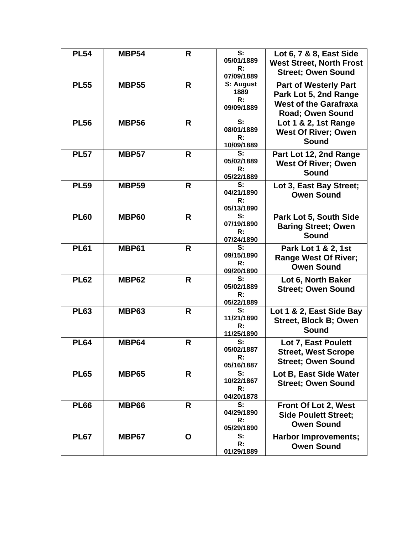| <b>PL54</b> | <b>MBP54</b> | R            | $\overline{\mathbf{s}}$ :<br>05/01/1889<br>R:<br>07/09/1889 | Lot 6, 7 & 8, East Side<br><b>West Street, North Frost</b><br><b>Street: Owen Sound</b>                          |
|-------------|--------------|--------------|-------------------------------------------------------------|------------------------------------------------------------------------------------------------------------------|
| <b>PL55</b> | <b>MBP55</b> | R            | S: August<br>1889<br>R:<br>09/09/1889                       | <b>Part of Westerly Part</b><br>Park Lot 5, 2nd Range<br><b>West of the Garafraxa</b><br><b>Road; Owen Sound</b> |
| <b>PL56</b> | <b>MBP56</b> | R.           | S:<br>08/01/1889<br>R:<br>10/09/1889                        | Lot 1 & 2, 1st Range<br><b>West Of River; Owen</b><br><b>Sound</b>                                               |
| <b>PL57</b> | <b>MBP57</b> | R            | S:<br>05/02/1889<br>R:<br>05/22/1889                        | Part Lot 12, 2nd Range<br><b>West Of River; Owen</b><br><b>Sound</b>                                             |
| <b>PL59</b> | <b>MBP59</b> | R            | S:<br>04/21/1890<br>R:<br>05/13/1890                        | Lot 3, East Bay Street;<br><b>Owen Sound</b>                                                                     |
| <b>PL60</b> | <b>MBP60</b> | $\mathsf{R}$ | S:<br>07/19/1890<br>R:<br>07/24/1890                        | Park Lot 5, South Side<br><b>Baring Street; Owen</b><br>Sound                                                    |
| <b>PL61</b> | <b>MBP61</b> | R            | S:<br>09/15/1890<br>R:<br>09/20/1890                        | Park Lot 1 & 2, 1st<br><b>Range West Of River;</b><br><b>Owen Sound</b>                                          |
| <b>PL62</b> | <b>MBP62</b> | R            | S:<br>05/02/1889<br>R:<br>05/22/1889                        | Lot 6, North Baker<br><b>Street; Owen Sound</b>                                                                  |
| <b>PL63</b> | <b>MBP63</b> | R            | S:<br>11/21/1890<br>R:<br>11/25/1890                        | Lot 1 & 2, East Side Bay<br><b>Street, Block B; Owen</b><br>Sound                                                |
| <b>PL64</b> | <b>MBP64</b> | $\mathsf{R}$ | S:<br>05/02/1887<br>R:<br>05/16/1887                        | Lot 7, East Poulett<br><b>Street, West Scrope</b><br><b>Street: Owen Sound</b>                                   |
| <b>PL65</b> | <b>MBP65</b> | R            | $s$ :<br>10/22/1867<br>R:<br>04/20/1878                     | Lot B, East Side Water<br><b>Street: Owen Sound</b>                                                              |
| <b>PL66</b> | <b>MBP66</b> | R            | S:<br>04/29/1890<br>R:<br>05/29/1890                        | Front Of Lot 2, West<br><b>Side Poulett Street;</b><br><b>Owen Sound</b>                                         |
| <b>PL67</b> | MBP67        | O            | S:<br>R:<br>01/29/1889                                      | <b>Harbor Improvements;</b><br><b>Owen Sound</b>                                                                 |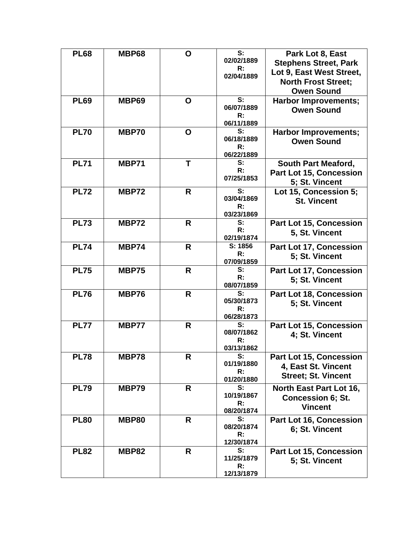| <b>PL68</b> | <b>MBP68</b> | O | S:<br>02/02/1889<br>R:<br>02/04/1889 | Park Lot 8, East<br><b>Stephens Street, Park</b><br>Lot 9, East West Street,<br><b>North Frost Street;</b><br><b>Owen Sound</b> |
|-------------|--------------|---|--------------------------------------|---------------------------------------------------------------------------------------------------------------------------------|
| <b>PL69</b> | <b>MBP69</b> | O | S:<br>06/07/1889<br>R:<br>06/11/1889 | <b>Harbor Improvements;</b><br><b>Owen Sound</b>                                                                                |
| <b>PL70</b> | <b>MBP70</b> | O | S:<br>06/18/1889<br>R:<br>06/22/1889 | <b>Harbor Improvements;</b><br><b>Owen Sound</b>                                                                                |
| <b>PL71</b> | <b>MBP71</b> | T | S:<br>R:<br>07/25/1853               | <b>South Part Meaford,</b><br><b>Part Lot 15, Concession</b><br>5; St. Vincent                                                  |
| <b>PL72</b> | <b>MBP72</b> | R | S:<br>03/04/1869<br>R:<br>03/23/1869 | Lot 15, Concession 5;<br><b>St. Vincent</b>                                                                                     |
| <b>PL73</b> | <b>MBP72</b> | R | S:<br>R:<br>02/19/1874               | <b>Part Lot 15, Concession</b><br>5, St. Vincent                                                                                |
| <b>PL74</b> | <b>MBP74</b> | R | S: 1856<br>R:<br>07/09/1859          | Part Lot 17, Concession<br>5; St. Vincent                                                                                       |
| <b>PL75</b> | <b>MBP75</b> | R | S:<br>R:<br>08/07/1859               | Part Lot 17, Concession<br>5; St. Vincent                                                                                       |
| <b>PL76</b> | <b>MBP76</b> | R | S:<br>05/30/1873<br>R:<br>06/28/1873 | Part Lot 18, Concession<br>5; St. Vincent                                                                                       |
| <b>PL77</b> | MBP77        | R | S:<br>08/07/1862<br>R:<br>03/13/1862 | <b>Part Lot 15, Concession</b><br>4; St. Vincent                                                                                |
| <b>PL78</b> | <b>MBP78</b> | R | S:<br>01/19/1880<br>R:<br>01/20/1880 | Part Lot 15, Concession<br>4, East St. Vincent<br><b>Street: St. Vincent</b>                                                    |
| <b>PL79</b> | <b>MBP79</b> | R | S:<br>10/19/1867<br>R:<br>08/20/1874 | North East Part Lot 16,<br><b>Concession 6; St.</b><br><b>Vincent</b>                                                           |
| <b>PL80</b> | <b>MBP80</b> | R | S:<br>08/20/1874<br>R:<br>12/30/1874 | Part Lot 16, Concession<br>6; St. Vincent                                                                                       |
| <b>PL82</b> | <b>MBP82</b> | R | S:<br>11/25/1879<br>R:<br>12/13/1879 | Part Lot 15, Concession<br>5; St. Vincent                                                                                       |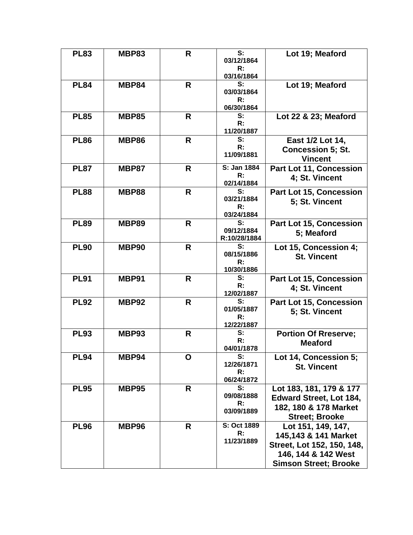| <b>PL83</b> | <b>MBP83</b> | R  | S:<br>03/12/1864<br>R:<br>03/16/1864 | Lot 19; Meaford                                                                                                                 |
|-------------|--------------|----|--------------------------------------|---------------------------------------------------------------------------------------------------------------------------------|
| <b>PL84</b> | <b>MBP84</b> | R  | S:<br>03/03/1864<br>R:<br>06/30/1864 | Lot 19; Meaford                                                                                                                 |
| <b>PL85</b> | <b>MBP85</b> | R  | $s$ :<br>R:<br>11/20/1887            | Lot 22 & 23; Meaford                                                                                                            |
| <b>PL86</b> | <b>MBP86</b> | R  | S:<br>R:<br>11/09/1881               | East 1/2 Lot 14,<br><b>Concession 5; St.</b><br><b>Vincent</b>                                                                  |
| <b>PL87</b> | <b>MBP87</b> | R  | S: Jan 1884<br>R:<br>02/14/1884      | Part Lot 11, Concession<br>4; St. Vincent                                                                                       |
| <b>PL88</b> | <b>MBP88</b> | R. | S:<br>03/21/1884<br>R:<br>03/24/1884 | Part Lot 15, Concession<br>5; St. Vincent                                                                                       |
| <b>PL89</b> | <b>MBP89</b> | R  | S:<br>09/12/1884<br>R:10/28/1884     | Part Lot 15, Concession<br>5; Meaford                                                                                           |
| <b>PL90</b> | MBP90        | R  | S:<br>08/15/1886<br>R:<br>10/30/1886 | Lot 15, Concession 4;<br><b>St. Vincent</b>                                                                                     |
| <b>PL91</b> | MBP91        | R  | S:<br>R:<br>12/02/1887               | Part Lot 15, Concession<br>4; St. Vincent                                                                                       |
| <b>PL92</b> | MBP92        | R  | S:<br>01/05/1887<br>R:<br>12/22/1887 | Part Lot 15, Concession<br>5; St. Vincent                                                                                       |
| <b>PL93</b> | <b>MBP93</b> | R  | S:<br>R:<br>04/01/1878               | <b>Portion Of Rreserve;</b><br><b>Meaford</b>                                                                                   |
| <b>PL94</b> | MBP94        | O  | S:<br>12/26/1871<br>R:<br>06/24/1872 | Lot 14, Concession 5;<br><b>St. Vincent</b>                                                                                     |
| <b>PL95</b> | <b>MBP95</b> | R  | S:<br>09/08/1888<br>R:<br>03/09/1889 | Lot 183, 181, 179 & 177<br><b>Edward Street, Lot 184,</b><br>182, 180 & 178 Market<br><b>Street; Brooke</b>                     |
| <b>PL96</b> | MBP96        | R  | S: Oct 1889<br>R:<br>11/23/1889      | Lot 151, 149, 147,<br>145,143 & 141 Market<br>Street, Lot 152, 150, 148,<br>146, 144 & 142 West<br><b>Simson Street; Brooke</b> |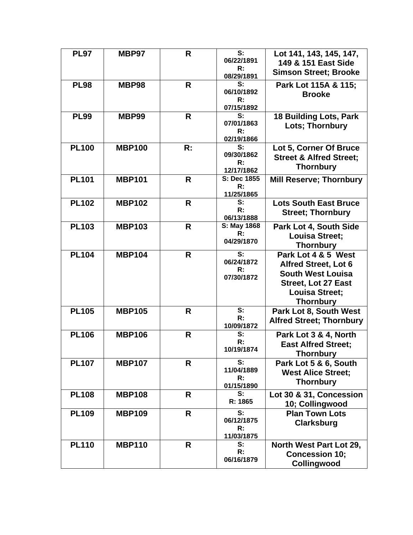| <b>PL97</b>  | MBP97         | R            | S:<br>06/22/1891<br>R:<br>08/29/1891 | Lot 141, 143, 145, 147,<br>149 & 151 East Side<br><b>Simson Street; Brooke</b>                                                                            |
|--------------|---------------|--------------|--------------------------------------|-----------------------------------------------------------------------------------------------------------------------------------------------------------|
| <b>PL98</b>  | <b>MBP98</b>  | R            | S:<br>06/10/1892<br>R:<br>07/15/1892 | Park Lot 115A & 115;<br><b>Brooke</b>                                                                                                                     |
| <b>PL99</b>  | <b>MBP99</b>  | R            | S:<br>07/01/1863<br>R:<br>02/19/1866 | <b>18 Building Lots, Park</b><br>Lots; Thornbury                                                                                                          |
| <b>PL100</b> | <b>MBP100</b> | R:           | S:<br>09/30/1862<br>R:<br>12/17/1862 | Lot 5, Corner Of Bruce<br><b>Street &amp; Alfred Street;</b><br><b>Thornbury</b>                                                                          |
| <b>PL101</b> | <b>MBP101</b> | R            | S: Dec 1855<br>R:<br>11/25/1865      | <b>Mill Reserve; Thornbury</b>                                                                                                                            |
| <b>PL102</b> | <b>MBP102</b> | R            | S:<br>R:<br>06/13/1888               | <b>Lots South East Bruce</b><br><b>Street; Thornbury</b>                                                                                                  |
| <b>PL103</b> | <b>MBP103</b> | R            | S: May 1868<br>R:<br>04/29/1870      | Park Lot 4, South Side<br><b>Louisa Street;</b><br><b>Thornbury</b>                                                                                       |
| <b>PL104</b> | <b>MBP104</b> | R            | S:<br>06/24/1872<br>R:<br>07/30/1872 | Park Lot 4 & 5 West<br><b>Alfred Street, Lot 6</b><br><b>South West Louisa</b><br><b>Street, Lot 27 East</b><br><b>Louisa Street;</b><br><b>Thornbury</b> |
| <b>PL105</b> | <b>MBP105</b> | R            | S:<br>R:<br>10/09/1872               | Park Lot 8, South West<br><b>Alfred Street; Thornbury</b>                                                                                                 |
| <b>PL106</b> | <b>MBP106</b> | $\mathsf{R}$ | S:<br>R:<br>10/19/1874               | Park Lot 3 & 4, North<br><b>East Alfred Street;</b><br><b>Thornbury</b>                                                                                   |
| <b>PL107</b> | <b>MBP107</b> | $\mathsf{R}$ | S:<br>11/04/1889<br>R:<br>01/15/1890 | Park Lot 5 & 6, South<br><b>West Alice Street:</b><br><b>Thornbury</b>                                                                                    |
| <b>PL108</b> | <b>MBP108</b> | R.           | S:<br>R: 1865                        | Lot 30 & 31, Concession<br>10; Collingwood                                                                                                                |
| <b>PL109</b> | <b>MBP109</b> | R.           | S:<br>06/12/1875<br>R:<br>11/03/1875 | <b>Plan Town Lots</b><br><b>Clarksburg</b>                                                                                                                |
| <b>PL110</b> | <b>MBP110</b> | R.           | $s$ :<br>R:<br>06/16/1879            | North West Part Lot 29,<br><b>Concession 10;</b><br>Collingwood                                                                                           |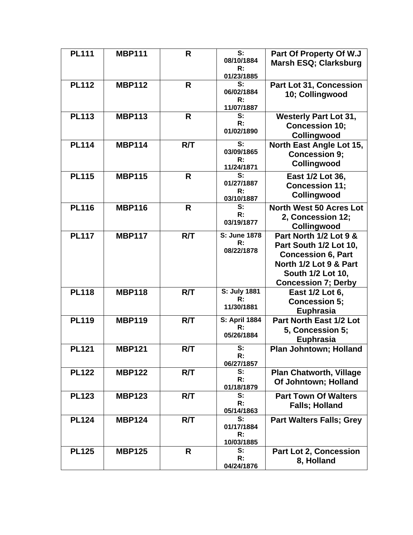| <b>PL111</b> | <b>MBP111</b> | R            | S:                   | Part Of Property Of W.J                 |
|--------------|---------------|--------------|----------------------|-----------------------------------------|
|              |               |              | 08/10/1884<br>R:     | Marsh ESQ; Clarksburg                   |
|              |               |              | 01/23/1885           |                                         |
| <b>PL112</b> | <b>MBP112</b> | R            | S:                   | Part Lot 31, Concession                 |
|              |               |              | 06/02/1884           | 10; Collingwood                         |
|              |               |              | R:                   |                                         |
| <b>PL113</b> | <b>MBP113</b> | R            | 11/07/1887<br>S:     |                                         |
|              |               |              | R:                   | <b>Westerly Part Lot 31,</b>            |
|              |               |              | 01/02/1890           | <b>Concession 10;</b>                   |
| <b>PL114</b> | <b>MBP114</b> | R/T          | S:                   | Collingwood<br>North East Angle Lot 15, |
|              |               |              | 03/09/1865           | <b>Concession 9;</b>                    |
|              |               |              | R:                   |                                         |
|              |               |              | 11/24/1871           | Collingwood                             |
| <b>PL115</b> | <b>MBP115</b> | R            | S:                   | East 1/2 Lot 36,                        |
|              |               |              | 01/27/1887<br>R:     | <b>Concession 11;</b>                   |
|              |               |              | 03/10/1887           | Collingwood                             |
| <b>PL116</b> | <b>MBP116</b> | R            | S:                   | <b>North West 50 Acres Lot</b>          |
|              |               |              | R:                   | 2, Concession 12;                       |
|              |               |              | 03/19/1877           | Collingwood                             |
| <b>PL117</b> | <b>MBP117</b> | R/T          | S: June 1878         | Part North 1/2 Lot 9 &                  |
|              |               |              | R:                   | Part South 1/2 Lot 10,                  |
|              |               |              | 08/22/1878           | <b>Concession 6, Part</b>               |
|              |               |              |                      | North 1/2 Lot 9 & Part                  |
|              |               |              |                      | South 1/2 Lot 10,                       |
|              |               |              |                      | <b>Concession 7; Derby</b>              |
| <b>PL118</b> | <b>MBP118</b> | R/T          | S: July 1881         | East 1/2 Lot 6,                         |
|              |               |              | R:                   | <b>Concession 5;</b>                    |
|              |               |              | 11/30/1881           | Euphrasia                               |
| <b>PL119</b> | <b>MBP119</b> | R/T          | <b>S: April 1884</b> | Part North East 1/2 Lot                 |
|              |               |              | R:                   | 5, Concession 5;                        |
|              |               |              | 05/26/1884           | Euphrasia                               |
| <b>PL121</b> | <b>MBP121</b> | R/T          | S:                   | Plan Johntown; Holland                  |
|              |               |              | R:<br>06/27/1857     |                                         |
| <b>PL122</b> | <b>MBP122</b> | R/T          | S:                   | <b>Plan Chatworth, Village</b>          |
|              |               |              | R:                   | Of Johntown; Holland                    |
|              |               |              | 01/18/1879           |                                         |
| <b>PL123</b> | <b>MBP123</b> | R/T          | S:                   | <b>Part Town Of Walters</b>             |
|              |               |              | R:<br>05/14/1863     | <b>Falls; Holland</b>                   |
| <b>PL124</b> | <b>MBP124</b> | R/T          | S:                   | <b>Part Walters Falls; Grey</b>         |
|              |               |              | 01/17/1884           |                                         |
|              |               |              | R:                   |                                         |
|              |               |              | 10/03/1885           |                                         |
| <b>PL125</b> | <b>MBP125</b> | $\mathsf{R}$ | S:<br>R:             | Part Lot 2, Concession                  |
|              |               |              | 04/24/1876           | 8, Holland                              |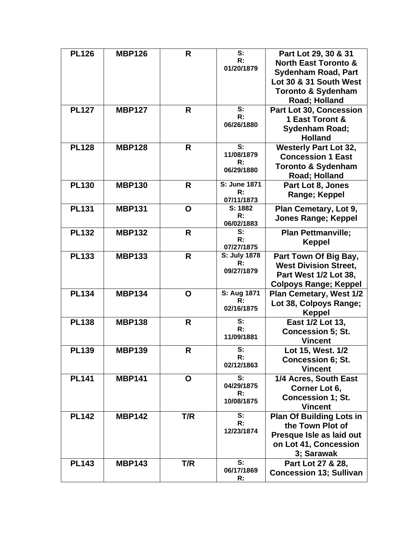| <b>PL126</b> | <b>MBP126</b> | R   | S:                        | Part Lot 29, 30 & 31            |
|--------------|---------------|-----|---------------------------|---------------------------------|
|              |               |     | R:                        | <b>North East Toronto &amp;</b> |
|              |               |     | 01/20/1879                | <b>Sydenham Road, Part</b>      |
|              |               |     |                           | Lot 30 & 31 South West          |
|              |               |     |                           | <b>Toronto &amp; Sydenham</b>   |
|              |               |     |                           | Road; Holland                   |
|              |               |     | S:                        |                                 |
| <b>PL127</b> | <b>MBP127</b> | R   | R:                        | <b>Part Lot 30, Concession</b>  |
|              |               |     | 06/26/1880                | 1 East Toront &                 |
|              |               |     |                           | <b>Sydenham Road;</b>           |
|              |               |     |                           | <b>Holland</b>                  |
| <b>PL128</b> | <b>MBP128</b> | R.  | S:                        | <b>Westerly Part Lot 32,</b>    |
|              |               |     | 11/08/1879                | <b>Concession 1 East</b>        |
|              |               |     | R:                        | <b>Toronto &amp; Sydenham</b>   |
|              |               |     | 06/29/1880                | Road; Holland                   |
|              |               |     | <b>S: June 1871</b>       |                                 |
| <b>PL130</b> | <b>MBP130</b> | R   | R:                        | Part Lot 8, Jones               |
|              |               |     | 07/11/1873                | Range; Keppel                   |
| <b>PL131</b> | <b>MBP131</b> | O   | S: 1882                   | Plan Cemetary, Lot 9,           |
|              |               |     | R:                        |                                 |
|              |               |     | 06/02/1883                | <b>Jones Range; Keppel</b>      |
| <b>PL132</b> | <b>MBP132</b> | R   | S:                        | <b>Plan Pettmanville;</b>       |
|              |               |     | R:                        | <b>Keppel</b>                   |
|              |               |     | 07/27/1875                |                                 |
| <b>PL133</b> | <b>MBP133</b> | R.  | S: July 1878              | Part Town Of Big Bay,           |
|              |               |     | R:                        | <b>West Division Street,</b>    |
|              |               |     | 09/27/1879                | Part West 1/2 Lot 38,           |
|              |               |     |                           | <b>Colpoys Range; Keppel</b>    |
| <b>PL134</b> | <b>MBP134</b> | O   | S: Aug 1871               | <b>Plan Cemetary, West 1/2</b>  |
|              |               |     | R:                        | Lot 38, Colpoys Range;          |
|              |               |     | 02/16/1875                |                                 |
|              |               |     |                           | <b>Keppel</b>                   |
| <b>PL138</b> | <b>MBP138</b> | R   | S:<br>R:                  | East 1/2 Lot 13,                |
|              |               |     | 11/09/1881                | <b>Concession 5; St.</b>        |
|              |               |     |                           | <b>Vincent</b>                  |
| <b>PL139</b> | <b>MBP139</b> | R   | S:                        | Lot 15, West. 1/2               |
|              |               |     | R:                        | <b>Concession 6; St.</b>        |
|              |               |     | 02/12/1863                | <b>Vincent</b>                  |
| <b>PL141</b> | <b>MBP141</b> | O   | $\overline{\mathbf{s}}$ : | 1/4 Acres, South East           |
|              |               |     | 04/29/1875                | Corner Lot 6,                   |
|              |               |     | R:                        |                                 |
|              |               |     | 10/08/1875                | <b>Concession 1; St.</b>        |
|              |               |     |                           | <b>Vincent</b>                  |
| <b>PL142</b> | <b>MBP142</b> | T/R | S:                        | <b>Plan Of Building Lots in</b> |
|              |               |     | R:                        | the Town Plot of                |
|              |               |     | 12/23/1874                | Presque Isle as laid out        |
|              |               |     |                           | on Lot 41, Concession           |
|              |               |     |                           | 3; Sarawak                      |
| <b>PL143</b> | <b>MBP143</b> | T/R | S:                        | Part Lot 27 & 28,               |
|              |               |     | 06/17/1869                | <b>Concession 13; Sullivan</b>  |
|              |               |     | R:                        |                                 |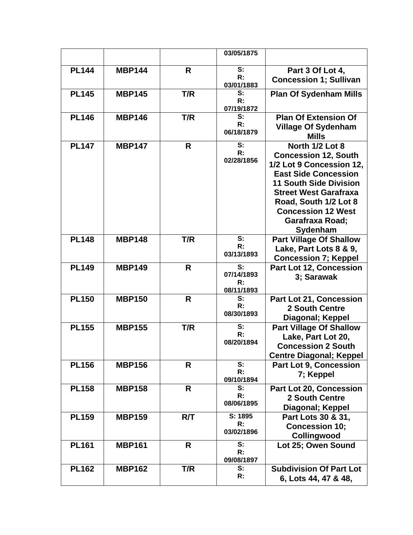|              |               |              | 03/05/1875                                    |                                                                                                                                                                                                                                                                 |
|--------------|---------------|--------------|-----------------------------------------------|-----------------------------------------------------------------------------------------------------------------------------------------------------------------------------------------------------------------------------------------------------------------|
| <b>PL144</b> | <b>MBP144</b> | R            | S:<br>R:<br>03/01/1883                        | Part 3 Of Lot 4,<br><b>Concession 1; Sullivan</b>                                                                                                                                                                                                               |
| <b>PL145</b> | <b>MBP145</b> | T/R          | S:<br>R:<br>07/19/1872                        | <b>Plan Of Sydenham Mills</b>                                                                                                                                                                                                                                   |
| <b>PL146</b> | <b>MBP146</b> | T/R          | S:<br>R:<br>06/18/1879                        | <b>Plan Of Extension Of</b><br><b>Village Of Sydenham</b><br><b>Mills</b>                                                                                                                                                                                       |
| <b>PL147</b> | <b>MBP147</b> | R            | $\overline{\mathbf{s}}$ :<br>R:<br>02/28/1856 | North 1/2 Lot 8<br><b>Concession 12, South</b><br>1/2 Lot 9 Concession 12,<br><b>East Side Concession</b><br><b>11 South Side Division</b><br><b>Street West Garafraxa</b><br>Road, South 1/2 Lot 8<br><b>Concession 12 West</b><br>Garafraxa Road;<br>Sydenham |
| <b>PL148</b> | <b>MBP148</b> | T/R          | S:<br>R:<br>03/13/1893                        | <b>Part Village Of Shallow</b><br>Lake, Part Lots 8 & 9,<br><b>Concession 7; Keppel</b>                                                                                                                                                                         |
| <b>PL149</b> | <b>MBP149</b> | R            | S:<br>07/14/1893<br>R:<br>08/11/1893          | Part Lot 12, Concession<br>3; Sarawak                                                                                                                                                                                                                           |
| <b>PL150</b> | <b>MBP150</b> | R            | S:<br>R:<br>08/30/1893                        | Part Lot 21, Concession<br><b>2 South Centre</b><br>Diagonal; Keppel                                                                                                                                                                                            |
| <b>PL155</b> | <b>MBP155</b> | T/R          | S:<br>R:<br>08/20/1894                        | <b>Part Village Of Shallow</b><br>Lake, Part Lot 20,<br><b>Concession 2 South</b><br><b>Centre Diagonal; Keppel</b>                                                                                                                                             |
| <b>PL156</b> | <b>MBP156</b> | R            | S:<br>R:<br>09/10/1894                        | Part Lot 9, Concession<br>7; Keppel                                                                                                                                                                                                                             |
| <b>PL158</b> | <b>MBP158</b> | $\mathsf{R}$ | S:<br>R:<br>08/06/1895                        | Part Lot 20, Concession<br>2 South Centre<br>Diagonal; Keppel                                                                                                                                                                                                   |
| <b>PL159</b> | <b>MBP159</b> | R/T          | S: 1895<br>R:<br>03/02/1896                   | Part Lots 30 & 31,<br><b>Concession 10;</b><br>Collingwood                                                                                                                                                                                                      |
| <b>PL161</b> | <b>MBP161</b> | R            | S:<br>R:<br>09/08/1897                        | Lot 25; Owen Sound                                                                                                                                                                                                                                              |
| <b>PL162</b> | <b>MBP162</b> | T/R          | S:<br>R:                                      | <b>Subdivision Of Part Lot</b><br>6, Lots 44, 47 & 48,                                                                                                                                                                                                          |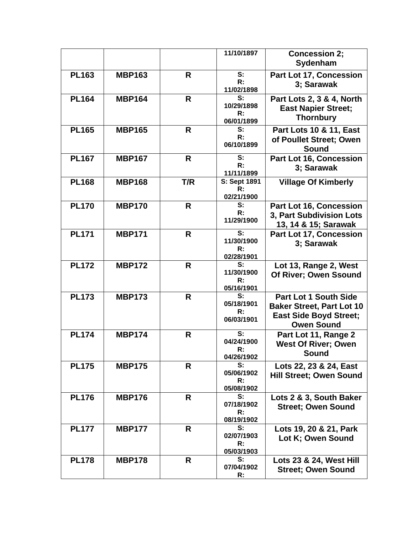|              |               |              | 11/10/1897                | <b>Concession 2;</b><br>Sydenham   |
|--------------|---------------|--------------|---------------------------|------------------------------------|
|              |               |              |                           |                                    |
| <b>PL163</b> | <b>MBP163</b> | $\mathsf{R}$ | S:                        | Part Lot 17, Concession            |
|              |               |              | R:                        | 3; Sarawak                         |
|              |               |              | 11/02/1898                |                                    |
| <b>PL164</b> | <b>MBP164</b> | R            | S:                        | Part Lots 2, 3 & 4, North          |
|              |               |              | 10/29/1898                | <b>East Napier Street;</b>         |
|              |               |              | R:                        |                                    |
|              |               |              | 06/01/1899                | <b>Thornbury</b>                   |
| <b>PL165</b> | <b>MBP165</b> | R            | S:                        | <b>Part Lots 10 &amp; 11, East</b> |
|              |               |              | R:                        | of Poullet Street; Owen            |
|              |               |              | 06/10/1899                |                                    |
|              |               |              |                           | Sound                              |
| <b>PL167</b> | <b>MBP167</b> | R            | S:                        | Part Lot 16, Concession            |
|              |               |              | R:                        | 3; Sarawak                         |
|              |               |              | 11/11/1899                |                                    |
| <b>PL168</b> | <b>MBP168</b> | T/R          | S: Sept 1891              | <b>Village Of Kimberly</b>         |
|              |               |              | R:                        |                                    |
|              |               |              | 02/21/1900                |                                    |
| <b>PL170</b> | <b>MBP170</b> | $\mathsf{R}$ | S:                        | Part Lot 16, Concession            |
|              |               |              | R:                        |                                    |
|              |               |              | 11/29/1900                | 3, Part Subdivision Lots           |
|              |               |              |                           | 13, 14 & 15; Sarawak               |
| <b>PL171</b> | <b>MBP171</b> | $\mathsf{R}$ | $\overline{\mathbf{s}}$ : | Part Lot 17, Concession            |
|              |               |              | 11/30/1900                | 3; Sarawak                         |
|              |               |              | R:                        |                                    |
|              |               |              | 02/28/1901                |                                    |
| <b>PL172</b> | <b>MBP172</b> | R            | $\overline{\mathbf{s}}$ : | Lot 13, Range 2, West              |
|              |               |              | 11/30/1900                | Of River; Owen Ssound              |
|              |               |              | R:                        |                                    |
|              |               |              | 05/16/1901                |                                    |
| <b>PL173</b> | <b>MBP173</b> | R            | S:                        | <b>Part Lot 1 South Side</b>       |
|              |               |              | 05/18/1901                | <b>Baker Street, Part Lot 10</b>   |
|              |               |              | R:                        |                                    |
|              |               |              | 06/03/1901                | <b>East Side Boyd Street;</b>      |
|              |               |              |                           | <b>Owen Sound</b>                  |
| <b>PL174</b> | <b>MBP174</b> | $\mathsf{R}$ | S:                        | Part Lot 11, Range 2               |
|              |               |              | 04/24/1900                | <b>West Of River; Owen</b>         |
|              |               |              | R:                        |                                    |
|              |               |              | 04/26/1902                | Sound                              |
| <b>PL175</b> | <b>MBP175</b> | R            | S:                        | Lots 22, 23 & 24, East             |
|              |               |              | 05/06/1902                | <b>Hill Street: Owen Sound</b>     |
|              |               |              | R:                        |                                    |
|              |               |              | 05/08/1902                |                                    |
| <b>PL176</b> | <b>MBP176</b> | R            | S:                        | Lots 2 & 3, South Baker            |
|              |               |              | 07/18/1902                |                                    |
|              |               |              | R:                        | <b>Street; Owen Sound</b>          |
|              |               |              | 08/19/1902                |                                    |
| <b>PL177</b> | <b>MBP177</b> | $\mathsf{R}$ | S:                        | Lots 19, 20 & 21, Park             |
|              |               |              | 02/07/1903                |                                    |
|              |               |              | R:                        | Lot K; Owen Sound                  |
|              |               |              | 05/03/1903                |                                    |
| <b>PL178</b> | <b>MBP178</b> | R            | S:                        | Lots 23 & 24, West Hill            |
|              |               |              | 07/04/1902                |                                    |
|              |               |              |                           | <b>Street; Owen Sound</b>          |
|              |               |              | R:                        |                                    |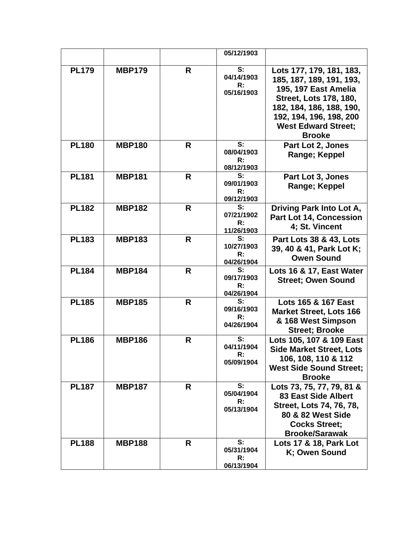|              |               |              | 05/12/1903                   |                                    |
|--------------|---------------|--------------|------------------------------|------------------------------------|
|              |               |              |                              |                                    |
| <b>PL179</b> | <b>MBP179</b> | R            | S:                           | Lots 177, 179, 181, 183,           |
|              |               |              | 04/14/1903<br>R:             | 185, 187, 189, 191, 193,           |
|              |               |              | 05/16/1903                   | 195, 197 East Amelia               |
|              |               |              |                              | <b>Street, Lots 178, 180,</b>      |
|              |               |              |                              | 182, 184, 186, 188, 190,           |
|              |               |              |                              | 192, 194, 196, 198, 200            |
|              |               |              |                              | <b>West Edward Street;</b>         |
|              |               |              |                              | <b>Brooke</b>                      |
| <b>PL180</b> | <b>MBP180</b> | R            | S:<br>08/04/1903             | Part Lot 2, Jones                  |
|              |               |              | R:                           | Range; Keppel                      |
|              |               |              | 08/12/1903                   |                                    |
| <b>PL181</b> | <b>MBP181</b> | $\mathsf{R}$ | S:                           | <b>Part Lot 3, Jones</b>           |
|              |               |              | 09/01/1903<br>R:             | Range; Keppel                      |
|              |               |              | 09/12/1903                   |                                    |
| <b>PL182</b> | <b>MBP182</b> | R            | S:                           | Driving Park Into Lot A,           |
|              |               |              | 07/21/1902                   | <b>Part Lot 14, Concession</b>     |
|              |               |              | R:<br>11/26/1903             | 4; St. Vincent                     |
| <b>PL183</b> | <b>MBP183</b> | R            | S:                           | <b>Part Lots 38 &amp; 43, Lots</b> |
|              |               |              | 10/27/1903                   | 39, 40 & 41, Park Lot K;           |
|              |               |              | $\mathsf{R}$ :<br>04/26/1904 | <b>Owen Sound</b>                  |
| <b>PL184</b> | <b>MBP184</b> | R            | S:                           | Lots 16 & 17, East Water           |
|              |               |              | 09/17/1903                   | <b>Street; Owen Sound</b>          |
|              |               |              | R:                           |                                    |
| <b>PL185</b> | <b>MBP185</b> | $\mathsf{R}$ | 04/26/1904<br>S:             | Lots 165 & 167 East                |
|              |               |              | 09/16/1903                   | <b>Market Street, Lots 166</b>     |
|              |               |              | R:                           | & 168 West Simpson                 |
|              |               |              | 04/26/1904                   | <b>Street; Brooke</b>              |
| <b>PL186</b> | <b>MBP186</b> | R            | S:                           | Lots 105, 107 & 109 East           |
|              |               |              | 04/11/1904                   | <b>Side Market Street, Lots</b>    |
|              |               |              | R:<br>05/09/1904             | 106, 108, 110 & 112                |
|              |               |              |                              | <b>West Side Sound Street:</b>     |
|              |               |              |                              | <b>Brooke</b>                      |
| <b>PL187</b> | <b>MBP187</b> | R            | S:                           | Lots 73, 75, 77, 79, 81 &          |
|              |               |              | 05/04/1904<br>R:             | <b>83 East Side Albert</b>         |
|              |               |              | 05/13/1904                   | Street, Lots 74, 76, 78,           |
|              |               |              |                              | 80 & 82 West Side                  |
|              |               |              |                              | <b>Cocks Street:</b>               |
|              |               |              | S:                           | <b>Brooke/Sarawak</b>              |
| <b>PL188</b> | <b>MBP188</b> | R            | 05/31/1904                   | Lots 17 & 18, Park Lot             |
|              |               |              | R:                           | K; Owen Sound                      |
|              |               |              | 06/13/1904                   |                                    |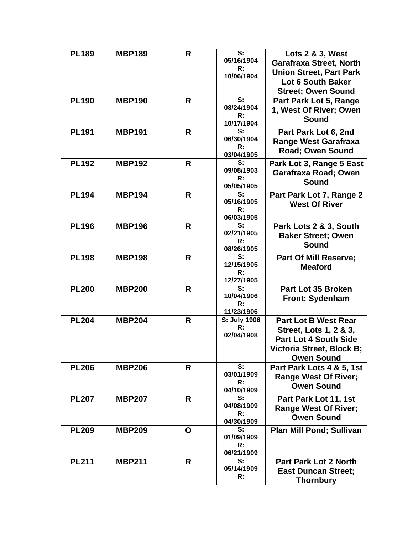| <b>PL189</b> | <b>MBP189</b> | R | S:<br>05/16/1904<br>R:<br>10/06/1904             | Lots 2 & 3, West<br><b>Garafraxa Street, North</b><br><b>Union Street, Part Park</b><br>Lot 6 South Baker<br><b>Street; Owen Sound</b>  |
|--------------|---------------|---|--------------------------------------------------|-----------------------------------------------------------------------------------------------------------------------------------------|
| <b>PL190</b> | <b>MBP190</b> | R | S:<br>08/24/1904<br>R:<br>10/17/1904             | Part Park Lot 5, Range<br>1, West Of River; Owen<br><b>Sound</b>                                                                        |
| <b>PL191</b> | <b>MBP191</b> | R | S:<br>06/30/1904<br>R:<br>03/04/1905             | Part Park Lot 6, 2nd<br><b>Range West Garafraxa</b><br><b>Road; Owen Sound</b>                                                          |
| <b>PL192</b> | <b>MBP192</b> | R | S:<br>09/08/1903<br>R:<br>05/05/1905             | Park Lot 3, Range 5 East<br>Garafraxa Road; Owen<br><b>Sound</b>                                                                        |
| <b>PL194</b> | <b>MBP194</b> | R | S:<br>05/16/1905<br>R:<br>06/03/1905             | Part Park Lot 7, Range 2<br><b>West Of River</b>                                                                                        |
| <b>PL196</b> | <b>MBP196</b> | R | S:<br>02/21/1905<br>R:<br>08/26/1905             | Park Lots 2 & 3, South<br><b>Baker Street; Owen</b><br><b>Sound</b>                                                                     |
| <b>PL198</b> | <b>MBP198</b> | R | S:<br>12/15/1905<br>R:<br>12/27/1905             | <b>Part Of Mill Reserve;</b><br><b>Meaford</b>                                                                                          |
| <b>PL200</b> | <b>MBP200</b> | R | S:<br>10/04/1906<br>R:<br>11/23/1906             | Part Lot 35 Broken<br><b>Front</b> ; Sydenham                                                                                           |
| <b>PL204</b> | <b>MBP204</b> | R | S: July 1906<br>$\mathsf{R}$ :<br>02/04/1908     | <b>Part Lot B West Rear</b><br>Street, Lots 1, 2 & 3,<br><b>Part Lot 4 South Side</b><br>Victoria Street. Block B:<br><b>Owen Sound</b> |
| <b>PL206</b> | <b>MBP206</b> | R | S:<br>03/01/1909<br>R:<br>04/10/1909             | Part Park Lots 4 & 5, 1st<br><b>Range West Of River;</b><br><b>Owen Sound</b>                                                           |
| <b>PL207</b> | <b>MBP207</b> | R | S:<br>04/08/1909<br>$\mathsf{R}$ :<br>04/30/1909 | Part Park Lot 11, 1st<br><b>Range West Of River;</b><br><b>Owen Sound</b>                                                               |
| <b>PL209</b> | <b>MBP209</b> | O | S:<br>01/09/1909<br>R:<br>06/21/1909             | <b>Plan Mill Pond; Sullivan</b>                                                                                                         |
| <b>PL211</b> | <b>MBP211</b> | R | S:<br>05/14/1909<br>R:                           | <b>Part Park Lot 2 North</b><br><b>East Duncan Street;</b><br><b>Thornbury</b>                                                          |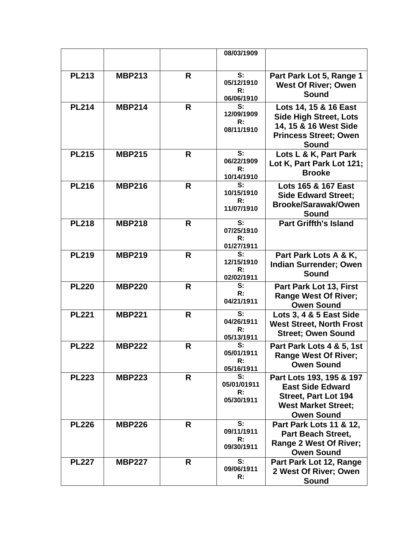|              |               |   | 08/03/1909                            |                                                                                                                                       |
|--------------|---------------|---|---------------------------------------|---------------------------------------------------------------------------------------------------------------------------------------|
|              |               |   |                                       |                                                                                                                                       |
| <b>PL213</b> | <b>MBP213</b> | R | S:<br>05/12/1910<br>R:<br>06/06/1910  | Part Park Lot 5, Range 1<br><b>West Of River; Owen</b><br>Sound                                                                       |
| <b>PL214</b> | <b>MBP214</b> | R | S:<br>12/09/1909<br>R:<br>08/11/1910  | Lots 14, 15 & 16 East<br><b>Side High Street, Lots</b><br>14, 15 & 16 West Side<br><b>Princess Street; Owen</b><br><b>Sound</b>       |
| <b>PL215</b> | <b>MBP215</b> | R | S:<br>06/22/1909<br>R:<br>10/14/1910  | Lots L & K, Part Park<br>Lot K, Part Park Lot 121;<br><b>Brooke</b>                                                                   |
| PL216        | <b>MBP216</b> | R | S:<br>10/15/1910<br>R:<br>11/07/1910  | Lots 165 & 167 East<br><b>Side Edward Street;</b><br><b>Brooke/Sarawak/Owen</b><br><b>Sound</b>                                       |
| <b>PL218</b> | <b>MBP218</b> | R | S:<br>07/25/1910<br>R:<br>01/27/1911  | <b>Part Griffth's Island</b>                                                                                                          |
| <b>PL219</b> | <b>MBP219</b> | R | S:<br>12/15/1910<br>R:<br>02/02/1911  | Part Park Lots A & K,<br><b>Indian Surrender; Owen</b><br><b>Sound</b>                                                                |
| <b>PL220</b> | <b>MBP220</b> | R | S:<br>R:<br>04/21/1911                | Part Park Lot 13, First<br><b>Range West Of River;</b><br><b>Owen Sound</b>                                                           |
| <b>PL221</b> | <b>MBP221</b> | R | S:<br>04/26/1911<br>R:<br>05/13/1911  | Lots 3, 4 & 5 East Side<br><b>West Street, North Frost</b><br><b>Street; Owen Sound</b>                                               |
| <b>PL222</b> | <b>MBP222</b> | R | S:<br>05/01/1911<br>R:<br>05/16/1911  | Part Park Lots 4 & 5, 1st<br><b>Range West Of River;</b><br><b>Owen Sound</b>                                                         |
| <b>PL223</b> | <b>MBP223</b> | R | S:<br>05/01/01911<br>R:<br>05/30/1911 | Part Lots 193, 195 & 197<br><b>East Side Edward</b><br><b>Street, Part Lot 194</b><br><b>West Market Street:</b><br><b>Owen Sound</b> |
| <b>PL226</b> | <b>MBP226</b> | R | S:<br>09/11/1911<br>R:<br>09/30/1911  | Part Park Lots 11 & 12,<br><b>Part Beach Street,</b><br>Range 2 West Of River;<br><b>Owen Sound</b>                                   |
| <b>PL227</b> | <b>MBP227</b> | R | S:<br>09/06/1911<br>R:                | Part Park Lot 12, Range<br>2 West Of River; Owen<br>Sound                                                                             |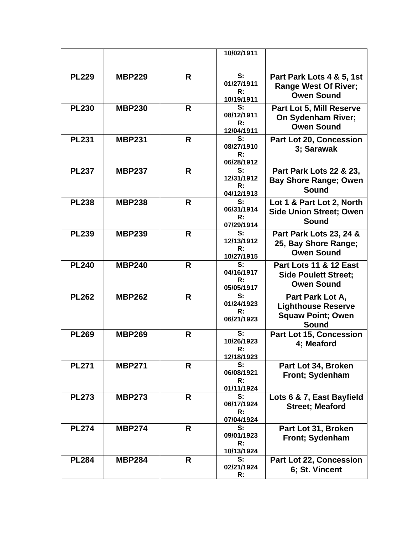|              |               |              | 10/02/1911                                       |                                                                                       |
|--------------|---------------|--------------|--------------------------------------------------|---------------------------------------------------------------------------------------|
| <b>PL229</b> | <b>MBP229</b> | R            | S:<br>01/27/1911<br>R:<br>10/19/1911             | Part Park Lots 4 & 5, 1st<br><b>Range West Of River;</b><br><b>Owen Sound</b>         |
| <b>PL230</b> | <b>MBP230</b> | R            | S:<br>08/12/1911<br>$\mathsf{R}$ :<br>12/04/1911 | Part Lot 5, Mill Reserve<br><b>On Sydenham River:</b><br><b>Owen Sound</b>            |
| <b>PL231</b> | <b>MBP231</b> | R            | S:<br>08/27/1910<br>R:<br>06/28/1912             | Part Lot 20, Concession<br>3; Sarawak                                                 |
| <b>PL237</b> | <b>MBP237</b> | R            | S:<br>12/31/1912<br>R:<br>04/12/1913             | Part Park Lots 22 & 23,<br><b>Bay Shore Range; Owen</b><br><b>Sound</b>               |
| <b>PL238</b> | <b>MBP238</b> | R            | S:<br>06/31/1914<br>R:<br>07/29/1914             | Lot 1 & Part Lot 2, North<br><b>Side Union Street; Owen</b><br>Sound                  |
| <b>PL239</b> | <b>MBP239</b> | R            | S:<br>12/13/1912<br>$\mathsf{R}$ :<br>10/27/1915 | Part Park Lots 23, 24 &<br>25, Bay Shore Range;<br><b>Owen Sound</b>                  |
| <b>PL240</b> | <b>MBP240</b> | R            | S:<br>04/16/1917<br>R:<br>05/05/1917             | <b>Part Lots 11 &amp; 12 East</b><br><b>Side Poulett Street:</b><br><b>Owen Sound</b> |
| <b>PL262</b> | <b>MBP262</b> | R            | S:<br>01/24/1923<br>R:<br>06/21/1923             | Part Park Lot A,<br><b>Lighthouse Reserve</b><br><b>Squaw Point; Owen</b><br>Sound    |
| <b>PL269</b> | <b>MBP269</b> | R            | S:<br>10/26/1923<br>R:<br>12/18/1923             | <b>Part Lot 15, Concession</b><br>4; Meaford                                          |
| <b>PL271</b> | <b>MBP271</b> | R            | S:<br>06/08/1921<br>R:<br>01/11/1924             | Part Lot 34, Broken<br>Front; Sydenham                                                |
| <b>PL273</b> | <b>MBP273</b> | R.           | S:<br>06/17/1924<br>R:<br>07/04/1924             | Lots 6 & 7, East Bayfield<br><b>Street; Meaford</b>                                   |
| <b>PL274</b> | <b>MBP274</b> | $\mathsf{R}$ | S:<br>09/01/1923<br>R:<br>10/13/1924             | Part Lot 31, Broken<br>Front; Sydenham                                                |
| <b>PL284</b> | <b>MBP284</b> | R            | S:<br>02/21/1924<br>R:                           | Part Lot 22, Concession<br>6; St. Vincent                                             |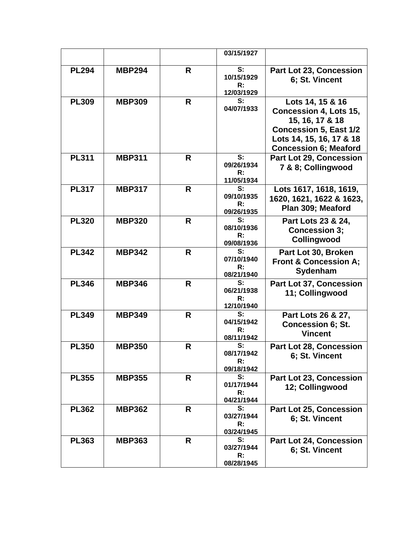|              |               |              | 03/15/1927       |                                                  |
|--------------|---------------|--------------|------------------|--------------------------------------------------|
|              |               |              |                  |                                                  |
| <b>PL294</b> | <b>MBP294</b> | R            | S:<br>10/15/1929 | Part Lot 23, Concession<br>6; St. Vincent        |
|              |               |              | R:               |                                                  |
|              |               |              | 12/03/1929       |                                                  |
| <b>PL309</b> | <b>MBP309</b> | R            | S:<br>04/07/1933 | Lots 14, 15 & 16                                 |
|              |               |              |                  | <b>Concession 4, Lots 15,</b><br>15, 16, 17 & 18 |
|              |               |              |                  | <b>Concession 5, East 1/2</b>                    |
|              |               |              |                  | Lots 14, 15, 16, 17 & 18                         |
|              |               |              |                  | <b>Concession 6; Meaford</b>                     |
| <b>PL311</b> | <b>MBP311</b> | R            | S:               | <b>Part Lot 29, Concession</b>                   |
|              |               |              | 09/26/1934<br>R: | 7 & 8; Collingwood                               |
|              |               |              | 11/05/1934       |                                                  |
| <b>PL317</b> | <b>MBP317</b> | R            | S:               | Lots 1617, 1618, 1619,                           |
|              |               |              | 09/10/1935<br>R: | 1620, 1621, 1622 & 1623,                         |
|              |               |              | 09/26/1935       | Plan 309; Meaford                                |
| <b>PL320</b> | <b>MBP320</b> | R            | S:               | Part Lots 23 & 24,                               |
|              |               |              | 08/10/1936       | <b>Concession 3;</b>                             |
|              |               |              | R:<br>09/08/1936 | Collingwood                                      |
| <b>PL342</b> | <b>MBP342</b> | R            | S:               | Part Lot 30, Broken                              |
|              |               |              | 07/10/1940<br>R: | <b>Front &amp; Concession A;</b>                 |
|              |               |              | 08/21/1940       | Sydenham                                         |
| <b>PL346</b> | <b>MBP346</b> | R            | S:               | Part Lot 37, Concession                          |
|              |               |              | 06/21/1938<br>R: | 11; Collingwood                                  |
|              |               |              | 12/10/1940       |                                                  |
| <b>PL349</b> | <b>MBP349</b> | $\mathsf{R}$ | S:               | Part Lots 26 & 27,                               |
|              |               |              | 04/15/1942<br>R: | <b>Concession 6; St.</b>                         |
|              |               |              | 08/11/1942       | <b>Vincent</b>                                   |
| <b>PL350</b> | <b>MBP350</b> | R            | S:               | Part Lot 28, Concession                          |
|              |               |              | 08/17/1942<br>R: | 6; St. Vincent                                   |
|              |               |              | 09/18/1942       |                                                  |
| <b>PL355</b> | <b>MBP355</b> | R            | S:               | Part Lot 23, Concession                          |
|              |               |              | 01/17/1944       | 12; Collingwood                                  |
|              |               |              | R:<br>04/21/1944 |                                                  |
| <b>PL362</b> | <b>MBP362</b> | R.           | S:               | Part Lot 25, Concession                          |
|              |               |              | 03/27/1944       | 6; St. Vincent                                   |
|              |               |              | R:<br>03/24/1945 |                                                  |
| <b>PL363</b> | <b>MBP363</b> | $\mathsf{R}$ | S:               | <b>Part Lot 24, Concession</b>                   |
|              |               |              | 03/27/1944       | 6; St. Vincent                                   |
|              |               |              | R:<br>08/28/1945 |                                                  |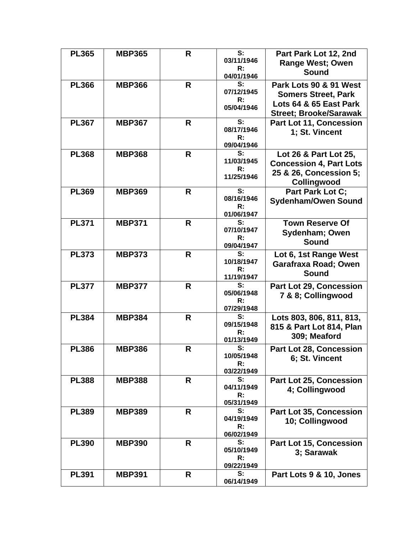| <b>PL365</b> | <b>MBP365</b> | R  | S:<br>03/11/1946<br>R:<br>04/01/1946 | Part Park Lot 12, 2nd<br><b>Range West; Owen</b><br><b>Sound</b>                                                |
|--------------|---------------|----|--------------------------------------|-----------------------------------------------------------------------------------------------------------------|
| <b>PL366</b> | <b>MBP366</b> | R  | S:<br>07/12/1945<br>R:<br>05/04/1946 | Park Lots 90 & 91 West<br><b>Somers Street, Park</b><br>Lots 64 & 65 East Park<br><b>Street; Brooke/Sarawak</b> |
| <b>PL367</b> | <b>MBP367</b> | R  | S:<br>08/17/1946<br>R:<br>09/04/1946 | Part Lot 11, Concession<br>1; St. Vincent                                                                       |
| <b>PL368</b> | <b>MBP368</b> | R  | S:<br>11/03/1945<br>R:<br>11/25/1946 | Lot 26 & Part Lot 25,<br><b>Concession 4, Part Lots</b><br>25 & 26, Concession 5;<br>Collingwood                |
| <b>PL369</b> | <b>MBP369</b> | R  | S:<br>08/16/1946<br>R:<br>01/06/1947 | Part Park Lot C;<br><b>Sydenham/Owen Sound</b>                                                                  |
| <b>PL371</b> | <b>MBP371</b> | R  | S:<br>07/10/1947<br>R:<br>09/04/1947 | <b>Town Reserve Of</b><br>Sydenham; Owen<br>Sound                                                               |
| <b>PL373</b> | <b>MBP373</b> | R  | S:<br>10/18/1947<br>R:<br>11/19/1947 | Lot 6, 1st Range West<br>Garafraxa Road; Owen<br>Sound                                                          |
| <b>PL377</b> | <b>MBP377</b> | R  | S:<br>05/06/1948<br>R:<br>07/29/1948 | Part Lot 29, Concession<br>7 & 8; Collingwood                                                                   |
| <b>PL384</b> | <b>MBP384</b> | R  | S:<br>09/15/1948<br>R:<br>01/13/1949 | Lots 803, 806, 811, 813,<br>815 & Part Lot 814, Plan<br>309; Meaford                                            |
| <b>PL386</b> | <b>MBP386</b> | R  | S:<br>10/05/1948<br>R:<br>03/22/1949 | <b>Part Lot 28, Concession</b><br>6; St. Vincent                                                                |
| <b>PL388</b> | <b>MBP388</b> | R. | S:<br>04/11/1949<br>R:<br>05/31/1949 | Part Lot 25, Concession<br>4; Collingwood                                                                       |
| <b>PL389</b> | <b>MBP389</b> | R  | S:<br>04/19/1949<br>R:<br>06/02/1949 | Part Lot 35, Concession<br>10; Collingwood                                                                      |
| <b>PL390</b> | <b>MBP390</b> | R  | S:<br>05/10/1949<br>R:<br>09/22/1949 | Part Lot 15, Concession<br>3; Sarawak                                                                           |
| <b>PL391</b> | <b>MBP391</b> | R  | S:<br>06/14/1949                     | Part Lots 9 & 10, Jones                                                                                         |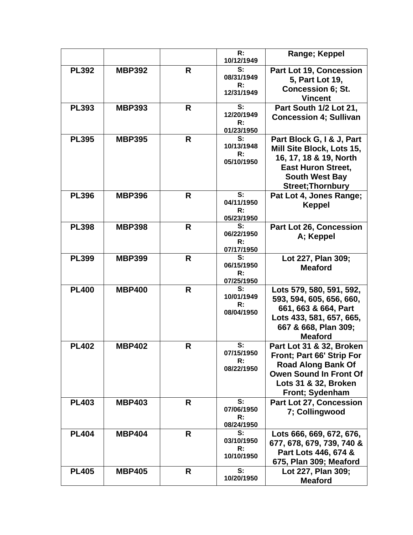|              |               |              | R:<br>10/12/1949                     | Range; Keppel                                                                                                                                                      |
|--------------|---------------|--------------|--------------------------------------|--------------------------------------------------------------------------------------------------------------------------------------------------------------------|
| <b>PL392</b> | <b>MBP392</b> | R            | S:<br>08/31/1949<br>R:<br>12/31/1949 | <b>Part Lot 19, Concession</b><br>5, Part Lot 19,<br><b>Concession 6; St.</b><br><b>Vincent</b>                                                                    |
| <b>PL393</b> | <b>MBP393</b> | R            | S:<br>12/20/1949<br>R:<br>01/23/1950 | Part South 1/2 Lot 21,<br><b>Concession 4; Sullivan</b>                                                                                                            |
| <b>PL395</b> | <b>MBP395</b> | R            | S:<br>10/13/1948<br>R:<br>05/10/1950 | Part Block G, I & J, Part<br>Mill Site Block, Lots 15,<br>16, 17, 18 & 19, North<br><b>East Huron Street,</b><br><b>South West Bay</b><br><b>Street; Thornbury</b> |
| <b>PL396</b> | <b>MBP396</b> | R            | S:<br>04/11/1950<br>R:<br>05/23/1950 | Pat Lot 4, Jones Range;<br><b>Keppel</b>                                                                                                                           |
| <b>PL398</b> | <b>MBP398</b> | R.           | S:<br>06/22/1950<br>R:<br>07/17/1950 | Part Lot 26, Concession<br>A; Keppel                                                                                                                               |
| <b>PL399</b> | <b>MBP399</b> | $\mathsf{R}$ | S:<br>06/15/1950<br>R:<br>07/25/1950 | Lot 227, Plan 309;<br><b>Meaford</b>                                                                                                                               |
| <b>PL400</b> | <b>MBP400</b> | R.           | S:<br>10/01/1949<br>R:<br>08/04/1950 | Lots 579, 580, 591, 592,<br>593, 594, 605, 656, 660,<br>661, 663 & 664, Part<br>Lots 433, 581, 657, 665,<br>667 & 668, Plan 309;<br><b>Meaford</b>                 |
| <b>PL402</b> | <b>MBP402</b> | R            | S:<br>07/15/1950<br>R:<br>08/22/1950 | Part Lot 31 & 32, Broken<br>Front; Part 66' Strip For<br><b>Road Along Bank Of</b><br><b>Owen Sound In Front Of</b><br>Lots 31 & 32, Broken<br>Front; Sydenham     |
| <b>PL403</b> | <b>MBP403</b> | R            | S:<br>07/06/1950<br>R:<br>08/24/1950 | Part Lot 27, Concession<br>7; Collingwood                                                                                                                          |
| <b>PL404</b> | <b>MBP404</b> | R.           | S:<br>03/10/1950<br>R:<br>10/10/1950 | Lots 666, 669, 672, 676,<br>677, 678, 679, 739, 740 &<br>Part Lots 446, 674 &<br>675, Plan 309; Meaford                                                            |
| <b>PL405</b> | <b>MBP405</b> | R            | S:<br>10/20/1950                     | Lot 227, Plan 309;<br><b>Meaford</b>                                                                                                                               |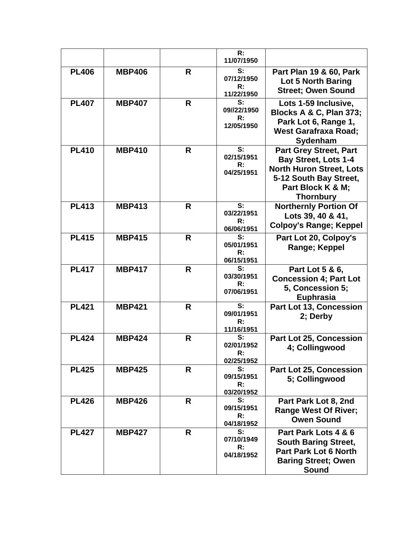|              |               |    | R:<br>11/07/1950                      |                                                                                                                                                                    |
|--------------|---------------|----|---------------------------------------|--------------------------------------------------------------------------------------------------------------------------------------------------------------------|
| <b>PL406</b> | <b>MBP406</b> | R  | S:<br>07/12/1950<br>R:<br>11/22/1950  | Part Plan 19 & 60, Park<br>Lot 5 North Baring<br><b>Street; Owen Sound</b>                                                                                         |
| <b>PL407</b> | <b>MBP407</b> | R  | S:<br>09//22/1950<br>R:<br>12/05/1950 | Lots 1-59 Inclusive,<br>Blocks A & C, Plan 373;<br>Park Lot 6, Range 1,<br><b>West Garafraxa Road;</b><br>Sydenham                                                 |
| <b>PL410</b> | <b>MBP410</b> | R  | S:<br>02/15/1951<br>R:<br>04/25/1951  | <b>Part Grey Street, Part</b><br><b>Bay Street, Lots 1-4</b><br><b>North Huron Street, Lots</b><br>5-12 South Bay Street,<br>Part Block K & M;<br><b>Thornbury</b> |
| <b>PL413</b> | <b>MBP413</b> | R  | S:<br>03/22/1951<br>R:<br>06/06/1951  | <b>Northernly Portion Of</b><br>Lots 39, 40 & 41,<br><b>Colpoy's Range; Keppel</b>                                                                                 |
| <b>PL415</b> | <b>MBP415</b> | R  | S:<br>05/01/1951<br>R:<br>06/15/1951  | Part Lot 20, Colpoy's<br>Range; Keppel                                                                                                                             |
| <b>PL417</b> | <b>MBP417</b> | R. | S:<br>03/30/1951<br>R:<br>07/06/1951  | Part Lot 5 & 6,<br><b>Concession 4; Part Lot</b><br>5, Concession 5;<br>Euphrasia                                                                                  |
| <b>PL421</b> | <b>MBP421</b> | R  | S:<br>09/01/1951<br>R:<br>11/16/1951  | Part Lot 13, Concession<br>2; Derby                                                                                                                                |
| <b>PL424</b> | <b>MBP424</b> | R  | S:<br>02/01/1952<br>R:<br>02/25/1952  | <b>Part Lot 25, Concession</b><br>4; Collingwood                                                                                                                   |
| <b>PL425</b> | <b>MBP425</b> | R  | S:<br>09/15/1951<br>R:<br>03/20/1952  | Part Lot 25, Concession<br>5; Collingwood                                                                                                                          |
| <b>PL426</b> | <b>MBP426</b> | R  | S:<br>09/15/1951<br>R:<br>04/18/1952  | Part Park Lot 8, 2nd<br><b>Range West Of River;</b><br><b>Owen Sound</b>                                                                                           |
| <b>PL427</b> | <b>MBP427</b> | R  | S:<br>07/10/1949<br>R:<br>04/18/1952  | Part Park Lots 4 & 6<br><b>South Baring Street,</b><br><b>Part Park Lot 6 North</b><br><b>Baring Street; Owen</b><br><b>Sound</b>                                  |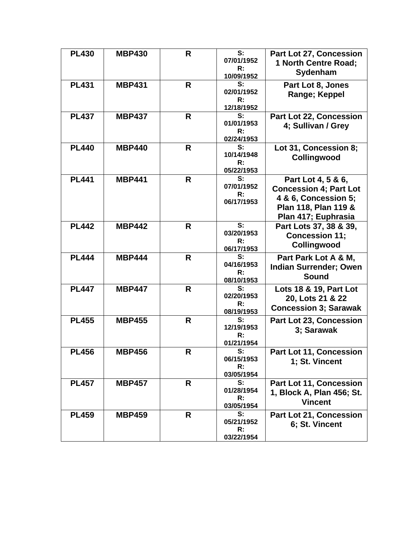| <b>PL430</b> | <b>MBP430</b> | R | S:<br>07/01/1952<br>R:<br>10/09/1952 | <b>Part Lot 27, Concession</b><br>1 North Centre Road;<br>Sydenham                                                         |
|--------------|---------------|---|--------------------------------------|----------------------------------------------------------------------------------------------------------------------------|
| <b>PL431</b> | <b>MBP431</b> | R | S:<br>02/01/1952<br>R:<br>12/18/1952 | Part Lot 8, Jones<br>Range; Keppel                                                                                         |
| <b>PL437</b> | <b>MBP437</b> | R | S:<br>01/01/1953<br>R:<br>02/24/1953 | <b>Part Lot 22, Concession</b><br>4; Sullivan / Grey                                                                       |
| <b>PL440</b> | <b>MBP440</b> | R | S:<br>10/14/1948<br>R:<br>05/22/1953 | Lot 31, Concession 8;<br>Collingwood                                                                                       |
| <b>PL441</b> | <b>MBP441</b> | R | S:<br>07/01/1952<br>R:<br>06/17/1953 | Part Lot 4, 5 & 6,<br><b>Concession 4; Part Lot</b><br>4 & 6, Concession 5;<br>Plan 118, Plan 119 &<br>Plan 417; Euphrasia |
| <b>PL442</b> | <b>MBP442</b> | R | S:<br>03/20/1953<br>R:<br>06/17/1953 | Part Lots 37, 38 & 39,<br><b>Concession 11;</b><br>Collingwood                                                             |
| <b>PL444</b> | <b>MBP444</b> | R | S:<br>04/16/1953<br>R:<br>08/10/1953 | Part Park Lot A & M,<br><b>Indian Surrender; Owen</b><br><b>Sound</b>                                                      |
| <b>PL447</b> | <b>MBP447</b> | R | S:<br>02/20/1953<br>R:<br>08/19/1953 | Lots 18 & 19, Part Lot<br>20, Lots 21 & 22<br><b>Concession 3; Sarawak</b>                                                 |
| <b>PL455</b> | <b>MBP455</b> | R | S:<br>12/19/1953<br>R:<br>01/21/1954 | <b>Part Lot 23, Concession</b><br>3; Sarawak                                                                               |
| <b>PL456</b> | <b>MBP456</b> | R | S:<br>06/15/1953<br>R:<br>03/05/1954 | <b>Part Lot 11, Concession</b><br>1; St. Vincent                                                                           |
| <b>PL457</b> | <b>MBP457</b> | R | S:<br>01/28/1954<br>R:<br>03/05/1954 | <b>Part Lot 11, Concession</b><br>1, Block A, Plan 456; St.<br><b>Vincent</b>                                              |
| <b>PL459</b> | <b>MBP459</b> | R | S:<br>05/21/1952<br>R:<br>03/22/1954 | Part Lot 21, Concession<br>6; St. Vincent                                                                                  |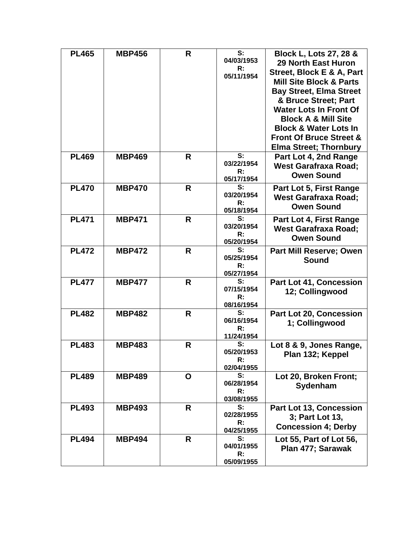| <b>PL465</b> | <b>MBP456</b> | R | S:<br>04/03/1953<br>R:<br>05/11/1954               | Block L, Lots 27, 28 &<br><b>29 North East Huron</b><br>Street, Block E & A, Part<br><b>Mill Site Block &amp; Parts</b><br><b>Bay Street, Elma Street</b><br>& Bruce Street; Part<br><b>Water Lots In Front Of</b><br><b>Block A &amp; Mill Site</b><br><b>Block &amp; Water Lots In</b><br><b>Front Of Bruce Street &amp;</b> |
|--------------|---------------|---|----------------------------------------------------|--------------------------------------------------------------------------------------------------------------------------------------------------------------------------------------------------------------------------------------------------------------------------------------------------------------------------------|
| <b>PL469</b> | <b>MBP469</b> | R | S:<br>03/22/1954<br>R:                             | <b>Elma Street; Thornbury</b><br>Part Lot 4, 2nd Range<br><b>West Garafraxa Road;</b><br><b>Owen Sound</b>                                                                                                                                                                                                                     |
| <b>PL470</b> | <b>MBP470</b> | R | 05/17/1954<br>S:<br>03/20/1954<br>R:<br>05/18/1954 | Part Lot 5, First Range<br><b>West Garafraxa Road;</b><br><b>Owen Sound</b>                                                                                                                                                                                                                                                    |
| <b>PL471</b> | <b>MBP471</b> | R | S:<br>03/20/1954<br>R:<br>05/20/1954               | Part Lot 4, First Range<br><b>West Garafraxa Road;</b><br><b>Owen Sound</b>                                                                                                                                                                                                                                                    |
| <b>PL472</b> | <b>MBP472</b> | R | S:<br>05/25/1954<br>R:<br>05/27/1954               | Part Mill Reserve; Owen<br>Sound                                                                                                                                                                                                                                                                                               |
| <b>PL477</b> | <b>MBP477</b> | R | S:<br>07/15/1954<br>R:<br>08/16/1954               | <b>Part Lot 41, Concession</b><br>12; Collingwood                                                                                                                                                                                                                                                                              |
| <b>PL482</b> | <b>MBP482</b> | R | S:<br>06/16/1954<br>R:<br>11/24/1954               | <b>Part Lot 20, Concession</b><br>1; Collingwood                                                                                                                                                                                                                                                                               |
| <b>PL483</b> | <b>MBP483</b> | R | S:<br>05/20/1953<br>R:<br>02/04/1955               | Lot 8 & 9, Jones Range,<br>Plan 132; Keppel                                                                                                                                                                                                                                                                                    |
| <b>PL489</b> | <b>MBP489</b> | O | S:<br>06/28/1954<br>R:<br>03/08/1955               | Lot 20, Broken Front;<br>Sydenham                                                                                                                                                                                                                                                                                              |
| <b>PL493</b> | <b>MBP493</b> | R | S:<br>02/28/1955<br>R:<br>04/25/1955               | Part Lot 13, Concession<br>3; Part Lot 13,<br><b>Concession 4: Derby</b>                                                                                                                                                                                                                                                       |
| <b>PL494</b> | <b>MBP494</b> | R | S:<br>04/01/1955<br>$\mathsf{R}$ :<br>05/09/1955   | Lot 55, Part of Lot 56,<br>Plan 477; Sarawak                                                                                                                                                                                                                                                                                   |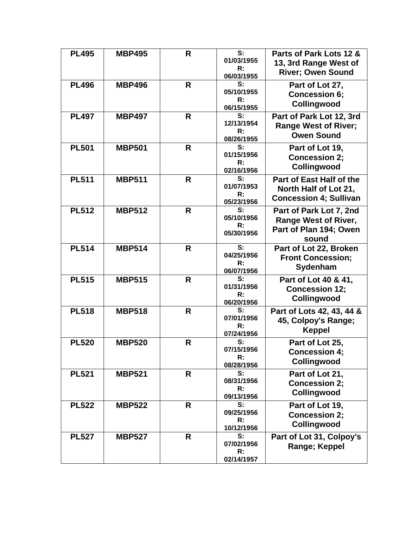| <b>PL495</b> | <b>MBP495</b> | R  | $\overline{\mathbf{s}}$ :<br>01/03/1955<br>R:<br>06/03/1955 | Parts of Park Lots 12 &<br>13, 3rd Range West of<br><b>River</b> ; Owen Sound      |
|--------------|---------------|----|-------------------------------------------------------------|------------------------------------------------------------------------------------|
| <b>PL496</b> | <b>MBP496</b> | R. | S:<br>05/10/1955<br>$\mathsf{R}$ :<br>06/15/1955            | Part of Lot 27,<br><b>Concession 6;</b><br>Collingwood                             |
| <b>PL497</b> | <b>MBP497</b> | R  | S:<br>12/13/1954<br>R:<br>08/26/1955                        | Part of Park Lot 12, 3rd<br><b>Range West of River;</b><br><b>Owen Sound</b>       |
| <b>PL501</b> | <b>MBP501</b> | R. | S:<br>01/15/1956<br>R:<br>02/16/1956                        | Part of Lot 19,<br><b>Concession 2;</b><br>Collingwood                             |
| <b>PL511</b> | <b>MBP511</b> | R  | S:<br>01/07/1953<br>$\mathsf{R}$ :<br>05/23/1956            | Part of East Half of the<br>North Half of Lot 21,<br><b>Concession 4; Sullivan</b> |
| <b>PL512</b> | <b>MBP512</b> | R  | S:<br>05/10/1956<br>R:<br>05/30/1956                        | Part of Park Lot 7, 2nd<br>Range West of River,<br>Part of Plan 194; Owen<br>sound |
| <b>PL514</b> | <b>MBP514</b> | R  | S:<br>04/25/1956<br>R:<br>06/07/1956                        | Part of Lot 22, Broken<br><b>Front Concession;</b><br>Sydenham                     |
| <b>PL515</b> | <b>MBP515</b> | R. | S:<br>01/31/1956<br>R:<br>06/20/1956                        | Part of Lot 40 & 41,<br><b>Concession 12;</b><br>Collingwood                       |
| <b>PL518</b> | <b>MBP518</b> | R  | S:<br>07/01/1956<br>R:<br>07/24/1956                        | Part of Lots 42, 43, 44 &<br>45, Colpoy's Range;<br><b>Keppel</b>                  |
| <b>PL520</b> | <b>MBP520</b> | R. | S:<br>07/15/1956<br>R:<br>08/28/1956                        | Part of Lot 25,<br><b>Concession 4;</b><br>Collingwood                             |
| <b>PL521</b> | <b>MBP521</b> | R. | S:<br>08/31/1956<br>R:<br>09/13/1956                        | Part of Lot 21,<br><b>Concession 2;</b><br>Collingwood                             |
| <b>PL522</b> | <b>MBP522</b> | R. | S:<br>09/25/1956<br>R:<br>10/12/1956                        | Part of Lot 19,<br><b>Concession 2;</b><br>Collingwood                             |
| <b>PL527</b> | <b>MBP527</b> | R  | S:<br>07/02/1956<br>R:<br>02/14/1957                        | Part of Lot 31, Colpoy's<br>Range; Keppel                                          |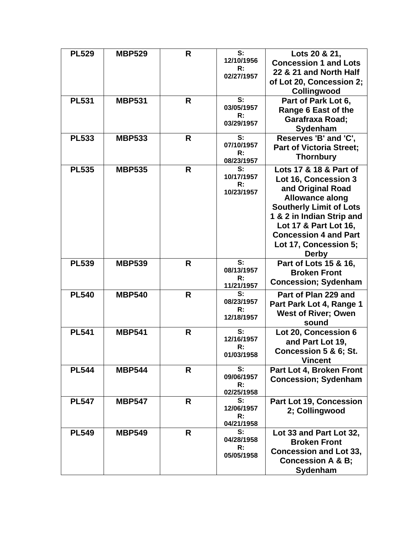| <b>PL529</b> | <b>MBP529</b> | R | S:<br>12/10/1956<br>R:<br>02/27/1957 | Lots 20 & 21,<br><b>Concession 1 and Lots</b><br>22 & 21 and North Half<br>of Lot 20, Concession 2;<br>Collingwood                                                                                                                                             |
|--------------|---------------|---|--------------------------------------|----------------------------------------------------------------------------------------------------------------------------------------------------------------------------------------------------------------------------------------------------------------|
| <b>PL531</b> | <b>MBP531</b> | R | S:<br>03/05/1957<br>R:<br>03/29/1957 | Part of Park Lot 6,<br>Range 6 East of the<br><b>Garafraxa Road;</b><br>Sydenham                                                                                                                                                                               |
| <b>PL533</b> | <b>MBP533</b> | R | S:<br>07/10/1957<br>R:<br>08/23/1957 | Reserves 'B' and 'C',<br><b>Part of Victoria Street;</b><br><b>Thornbury</b>                                                                                                                                                                                   |
| <b>PL535</b> | <b>MBP535</b> | R | S:<br>10/17/1957<br>R:<br>10/23/1957 | Lots 17 & 18 & Part of<br>Lot 16, Concession 3<br>and Original Road<br><b>Allowance along</b><br><b>Southerly Limit of Lots</b><br>1 & 2 in Indian Strip and<br>Lot 17 & Part Lot 16,<br><b>Concession 4 and Part</b><br>Lot 17, Concession 5;<br><b>Derby</b> |
| <b>PL539</b> | <b>MBP539</b> | R | S:<br>08/13/1957<br>R:<br>11/21/1957 | Part of Lots 15 & 16,<br><b>Broken Front</b><br><b>Concession; Sydenham</b>                                                                                                                                                                                    |
| <b>PL540</b> | <b>MBP540</b> | R | S:<br>08/23/1957<br>R:<br>12/18/1957 | Part of Plan 229 and<br>Part Park Lot 4, Range 1<br><b>West of River; Owen</b><br>sound                                                                                                                                                                        |
| <b>PL541</b> | <b>MBP541</b> | R | S:<br>12/16/1957<br>R:<br>01/03/1958 | Lot 20, Concession 6<br>and Part Lot 19,<br>Concession 5 & 6; St.<br><b>Vincent</b>                                                                                                                                                                            |
| <b>PL544</b> | <b>MBP544</b> | R | S:<br>09/06/1957<br>R:<br>02/25/1958 | Part Lot 4, Broken Front<br><b>Concession; Sydenham</b>                                                                                                                                                                                                        |
| <b>PL547</b> | <b>MBP547</b> | R | S:<br>12/06/1957<br>R:<br>04/21/1958 | Part Lot 19, Concession<br>2; Collingwood                                                                                                                                                                                                                      |
| <b>PL549</b> | <b>MBP549</b> | R | S:<br>04/28/1958<br>R:<br>05/05/1958 | Lot 33 and Part Lot 32,<br><b>Broken Front</b><br><b>Concession and Lot 33,</b><br><b>Concession A &amp; B;</b><br>Sydenham                                                                                                                                    |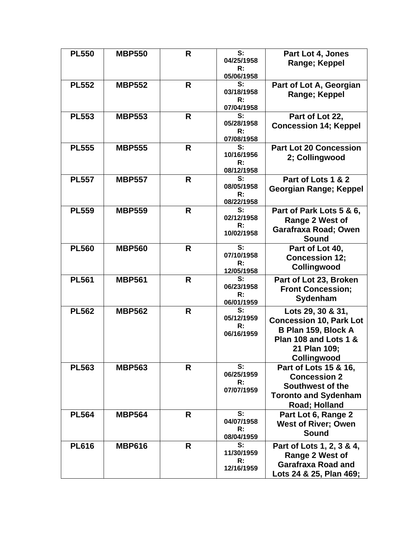| <b>PL550</b> | <b>MBP550</b> | R | S:<br>04/25/1958<br>R:<br>05/06/1958             | Part Lot 4, Jones<br>Range; Keppel                                                                                                 |
|--------------|---------------|---|--------------------------------------------------|------------------------------------------------------------------------------------------------------------------------------------|
| <b>PL552</b> | <b>MBP552</b> | R | S:<br>03/18/1958<br>R:<br>07/04/1958             | Part of Lot A, Georgian<br>Range; Keppel                                                                                           |
| <b>PL553</b> | <b>MBP553</b> | R | S:<br>05/28/1958<br>R:<br>07/08/1958             | Part of Lot 22,<br><b>Concession 14; Keppel</b>                                                                                    |
| <b>PL555</b> | <b>MBP555</b> | R | S:<br>10/16/1956<br>R:<br>08/12/1958             | <b>Part Lot 20 Concession</b><br>2; Collingwood                                                                                    |
| <b>PL557</b> | <b>MBP557</b> | R | S:<br>08/05/1958<br>R:<br>08/22/1958             | Part of Lots 1 & 2<br>Georgian Range; Keppel                                                                                       |
| <b>PL559</b> | <b>MBP559</b> | R | S:<br>02/12/1958<br>R:<br>10/02/1958             | Part of Park Lots 5 & 6,<br>Range 2 West of<br>Garafraxa Road; Owen<br><b>Sound</b>                                                |
| <b>PL560</b> | <b>MBP560</b> | R | S:<br>07/10/1958<br>R:<br>12/05/1958             | Part of Lot 40,<br><b>Concession 12;</b><br>Collingwood                                                                            |
| <b>PL561</b> | <b>MBP561</b> | R | S:<br>06/23/1958<br>R:<br>06/01/1959             | Part of Lot 23, Broken<br><b>Front Concession;</b><br>Sydenham                                                                     |
| <b>PL562</b> | <b>MBP562</b> | R | S:<br>05/12/1959<br>R:<br>06/16/1959             | Lots 29, 30 & 31,<br><b>Concession 10, Park Lot</b><br>B Plan 159, Block A<br>Plan 108 and Lots 1 &<br>21 Plan 109:<br>Collingwood |
| <b>PL563</b> | <b>MBP563</b> | R | S:<br>06/25/1959<br>R:<br>07/07/1959             | Part of Lots 15 & 16,<br><b>Concession 2</b><br>Southwest of the<br><b>Toronto and Sydenham</b><br>Road; Holland                   |
| <b>PL564</b> | <b>MBP564</b> | R | S:<br>04/07/1958<br>R:<br>08/04/1959             | Part Lot 6, Range 2<br><b>West of River; Owen</b><br><b>Sound</b>                                                                  |
| <b>PL616</b> | <b>MBP616</b> | R | S:<br>11/30/1959<br>$\mathsf{R}$ :<br>12/16/1959 | Part of Lots 1, 2, 3 & 4,<br>Range 2 West of<br><b>Garafraxa Road and</b><br>Lots 24 & 25, Plan 469;                               |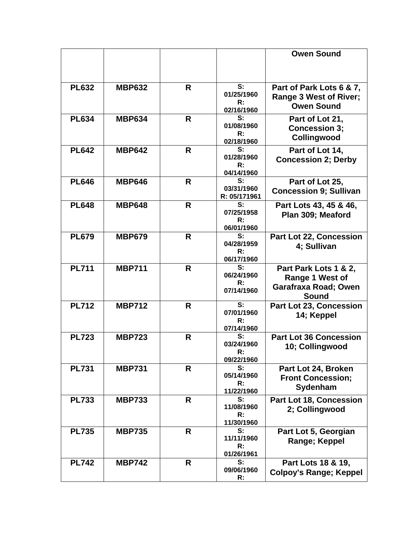|              |               |    |                                                  | <b>Owen Sound</b>                                                                |
|--------------|---------------|----|--------------------------------------------------|----------------------------------------------------------------------------------|
|              |               |    |                                                  |                                                                                  |
| <b>PL632</b> | <b>MBP632</b> | R  | S:<br>01/25/1960<br>R:<br>02/16/1960             | Part of Park Lots 6 & 7,<br>Range 3 West of River;<br><b>Owen Sound</b>          |
| <b>PL634</b> | <b>MBP634</b> | R  | S:<br>01/08/1960<br>$\mathsf{R}$ :<br>02/18/1960 | Part of Lot 21,<br><b>Concession 3;</b><br>Collingwood                           |
| <b>PL642</b> | <b>MBP642</b> | R  | S:<br>01/28/1960<br>R:<br>04/14/1960             | Part of Lot 14,<br><b>Concession 2; Derby</b>                                    |
| <b>PL646</b> | <b>MBP646</b> | R  | S:<br>03/31/1960<br>R: 05/171961                 | Part of Lot 25,<br><b>Concession 9; Sullivan</b>                                 |
| <b>PL648</b> | <b>MBP648</b> | R  | S:<br>07/25/1958<br>$\mathsf{R}$ :<br>06/01/1960 | Part Lots 43, 45 & 46,<br>Plan 309; Meaford                                      |
| <b>PL679</b> | <b>MBP679</b> | R. | S:<br>04/28/1959<br>R:<br>06/17/1960             | Part Lot 22, Concession<br>4; Sullivan                                           |
| <b>PL711</b> | <b>MBP711</b> | R  | S:<br>06/24/1960<br>R:<br>07/14/1960             | Part Park Lots 1 & 2,<br>Range 1 West of<br>Garafraxa Road; Owen<br><b>Sound</b> |
| <b>PL712</b> | <b>MBP712</b> | R  | S:<br>07/01/1960<br>R:<br>07/14/1960             | Part Lot 23, Concession<br>14; Keppel                                            |
| <b>PL723</b> | <b>MBP723</b> | R  | S:<br>03/24/1960<br>ĸ:<br>09/22/1960             | <b>Part Lot 36 Concession</b><br>10; Collingwood                                 |
| <b>PL731</b> | <b>MBP731</b> | R  | S:<br>05/14/1960<br>R:<br>11/22/1960             | Part Lot 24, Broken<br><b>Front Concession;</b><br>Sydenham                      |
| <b>PL733</b> | <b>MBP733</b> | R  | S:<br>11/08/1960<br>$\mathsf{R}$ :<br>11/30/1960 | <b>Part Lot 18, Concession</b><br>2; Collingwood                                 |
| <b>PL735</b> | <b>MBP735</b> | R  | S:<br>11/11/1960<br>R:<br>01/26/1961             | Part Lot 5, Georgian<br>Range; Keppel                                            |
| <b>PL742</b> | <b>MBP742</b> | R  | S:<br>09/06/1960<br>$\mathsf{R}$ :               | Part Lots 18 & 19,<br><b>Colpoy's Range; Keppel</b>                              |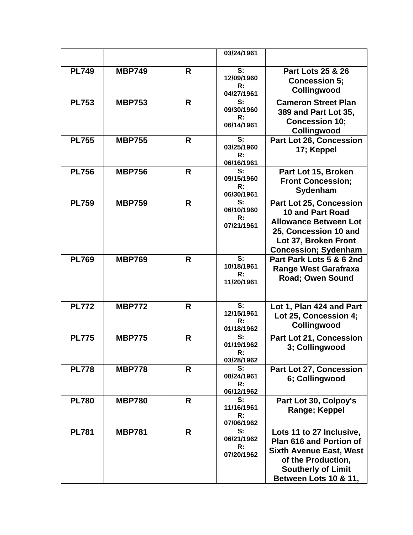|              |               |   | 03/24/1961                   |                                               |
|--------------|---------------|---|------------------------------|-----------------------------------------------|
|              |               |   |                              |                                               |
| <b>PL749</b> | <b>MBP749</b> | R | S:<br>12/09/1960             | <b>Part Lots 25 &amp; 26</b>                  |
|              |               |   | R:                           | <b>Concession 5;</b>                          |
|              |               |   | 04/27/1961                   | Collingwood                                   |
| <b>PL753</b> | <b>MBP753</b> | R | S:<br>09/30/1960             | <b>Cameron Street Plan</b>                    |
|              |               |   | R:                           | 389 and Part Lot 35,                          |
|              |               |   | 06/14/1961                   | <b>Concession 10;</b>                         |
| <b>PL755</b> | <b>MBP755</b> | R | S:                           | Collingwood<br>Part Lot 26, Concession        |
|              |               |   | 03/25/1960                   | 17; Keppel                                    |
|              |               |   | R:                           |                                               |
|              |               |   | 06/16/1961<br>S:             |                                               |
| <b>PL756</b> | <b>MBP756</b> | R | 09/15/1960                   | Part Lot 15, Broken                           |
|              |               |   | R:                           | <b>Front Concession;</b><br>Sydenham          |
|              |               |   | 06/30/1961                   |                                               |
| <b>PL759</b> | <b>MBP759</b> | R | S:<br>06/10/1960             | <b>Part Lot 25, Concession</b>                |
|              |               |   | R:                           | <b>10 and Part Road</b>                       |
|              |               |   | 07/21/1961                   | <b>Allowance Between Lot</b>                  |
|              |               |   |                              | 25, Concession 10 and<br>Lot 37, Broken Front |
|              |               |   |                              | <b>Concession; Sydenham</b>                   |
| <b>PL769</b> | <b>MBP769</b> | R | S:                           | Part Park Lots 5 & 6 2nd                      |
|              |               |   | 10/18/1961                   | <b>Range West Garafraxa</b>                   |
|              |               |   | R:                           | <b>Road</b> ; Owen Sound                      |
|              |               |   | 11/20/1961                   |                                               |
|              |               |   |                              |                                               |
| <b>PL772</b> | <b>MBP772</b> | R | S:                           | Lot 1, Plan 424 and Part                      |
|              |               |   | 12/15/1961<br>R:             | Lot 25, Concession 4;                         |
|              |               |   | 01/18/1962                   | Collingwood                                   |
| <b>PL775</b> | <b>MBP775</b> | R | S:                           | Part Lot 21, Concession                       |
|              |               |   | 01/19/1962<br>$\mathsf{R}$ : | 3; Collingwood                                |
|              |               |   | 03/28/1962                   |                                               |
| <b>PL778</b> | <b>MBP778</b> | R | S:                           | Part Lot 27, Concession                       |
|              |               |   | 08/24/1961<br>R:             | 6; Collingwood                                |
|              |               |   | 06/12/1962                   |                                               |
| <b>PL780</b> | <b>MBP780</b> | R | S:                           | Part Lot 30, Colpoy's                         |
|              |               |   | 11/16/1961                   | Range; Keppel                                 |
|              |               |   | R:<br>07/06/1962             |                                               |
| <b>PL781</b> | <b>MBP781</b> | R | S:                           | Lots 11 to 27 Inclusive,                      |
|              |               |   | 06/21/1962                   | <b>Plan 616 and Portion of</b>                |
|              |               |   | R:<br>07/20/1962             | <b>Sixth Avenue East, West</b>                |
|              |               |   |                              | of the Production,                            |
|              |               |   |                              | <b>Southerly of Limit</b>                     |
|              |               |   |                              | Between Lots 10 & 11,                         |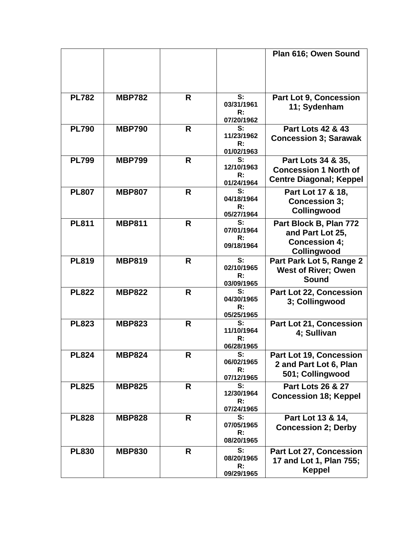|              |               |   |                                                  | Plan 616; Owen Sound                                                                 |
|--------------|---------------|---|--------------------------------------------------|--------------------------------------------------------------------------------------|
| <b>PL782</b> | <b>MBP782</b> | R | S:<br>03/31/1961<br>$\mathsf{R}$ :<br>07/20/1962 | <b>Part Lot 9, Concession</b><br>11; Sydenham                                        |
| <b>PL790</b> | <b>MBP790</b> | R | S:<br>11/23/1962<br>$\mathsf{R}$ :<br>01/02/1963 | <b>Part Lots 42 &amp; 43</b><br><b>Concession 3; Sarawak</b>                         |
| <b>PL799</b> | <b>MBP799</b> | R | S:<br>12/10/1963<br>R:<br>01/24/1964             | Part Lots 34 & 35,<br><b>Concession 1 North of</b><br><b>Centre Diagonal; Keppel</b> |
| <b>PL807</b> | <b>MBP807</b> | R | S:<br>04/18/1964<br>R:<br>05/27/1964             | Part Lot 17 & 18,<br><b>Concession 3:</b><br>Collingwood                             |
| <b>PL811</b> | <b>MBP811</b> | R | S:<br>07/01/1964<br>$\mathsf{R}$ :<br>09/18/1964 | Part Block B, Plan 772<br>and Part Lot 25,<br><b>Concession 4;</b><br>Collingwood    |
| <b>PL819</b> | <b>MBP819</b> | R | S:<br>02/10/1965<br>R:<br>03/09/1965             | Part Park Lot 5, Range 2<br><b>West of River; Owen</b><br><b>Sound</b>               |
| <b>PL822</b> | <b>MBP822</b> | R | S:<br>04/30/1965<br>R:<br>05/25/1965             | Part Lot 22, Concession<br>3; Collingwood                                            |
| <b>PL823</b> | <b>MBP823</b> | R | S:<br>11/10/1964<br>R:<br>06/28/1965             | <b>Part Lot 21, Concession</b><br>4; Sullivan                                        |
| <b>PL824</b> | <b>MBP824</b> | R | S:<br>06/02/1965<br>R:<br>07/12/1965             | <b>Part Lot 19, Concession</b><br>2 and Part Lot 6, Plan<br>501; Collingwood         |
| <b>PL825</b> | <b>MBP825</b> | R | S:<br>12/30/1964<br>R:<br>07/24/1965             | <b>Part Lots 26 &amp; 27</b><br><b>Concession 18; Keppel</b>                         |
| <b>PL828</b> | <b>MBP828</b> | R | S:<br>07/05/1965<br>R:<br>08/20/1965             | Part Lot 13 & 14,<br><b>Concession 2; Derby</b>                                      |
| <b>PL830</b> | <b>MBP830</b> | R | S:<br>08/20/1965<br>R:<br>09/29/1965             | Part Lot 27, Concession<br>17 and Lot 1, Plan 755;<br><b>Keppel</b>                  |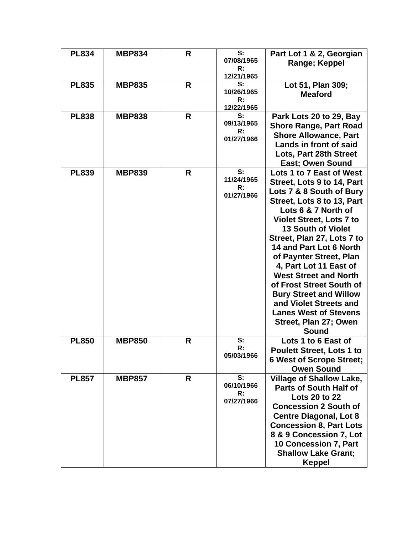| <b>PL834</b> | <b>MBP834</b> | R | S:<br>07/08/1965<br>R:<br>12/21/1965                        | Part Lot 1 & 2, Georgian<br>Range; Keppel                                                                                                                                                                                                                                                                                                                                                                                                                                                                             |
|--------------|---------------|---|-------------------------------------------------------------|-----------------------------------------------------------------------------------------------------------------------------------------------------------------------------------------------------------------------------------------------------------------------------------------------------------------------------------------------------------------------------------------------------------------------------------------------------------------------------------------------------------------------|
| <b>PL835</b> | <b>MBP835</b> | R | S:<br>10/26/1965<br>R:<br>12/22/1965                        | Lot 51, Plan 309;<br><b>Meaford</b>                                                                                                                                                                                                                                                                                                                                                                                                                                                                                   |
| <b>PL838</b> | <b>MBP838</b> | R | S:<br>09/13/1965<br>R:<br>01/27/1966                        | Park Lots 20 to 29, Bay<br><b>Shore Range, Part Road</b><br><b>Shore Allowance, Part</b><br>Lands in front of said<br>Lots, Part 28th Street<br><b>East; Owen Sound</b>                                                                                                                                                                                                                                                                                                                                               |
| <b>PL839</b> | <b>MBP839</b> | R | $\overline{\mathsf{s}}$ :<br>11/24/1965<br>R:<br>01/27/1966 | Lots 1 to 7 East of West<br>Street, Lots 9 to 14, Part<br>Lots 7 & 8 South of Bury<br>Street, Lots 8 to 13, Part<br>Lots 6 & 7 North of<br><b>Violet Street, Lots 7 to</b><br><b>13 South of Violet</b><br>Street, Plan 27, Lots 7 to<br>14 and Part Lot 6 North<br>of Paynter Street, Plan<br>4. Part Lot 11 East of<br><b>West Street and North</b><br>of Frost Street South of<br><b>Bury Street and Willow</b><br>and Violet Streets and<br><b>Lanes West of Stevens</b><br>Street, Plan 27; Owen<br><b>Sound</b> |
| <b>PL850</b> | <b>MBP850</b> | R | S:<br>R:<br>05/03/1966                                      | Lots 1 to 6 East of<br><b>Poulett Street, Lots 1 to</b><br><b>6 West of Scrope Street;</b><br><b>Owen Sound</b>                                                                                                                                                                                                                                                                                                                                                                                                       |
| <b>PL857</b> | <b>MBP857</b> | R | S:<br>06/10/1966<br>R:<br>07/27/1966                        | <b>Village of Shallow Lake,</b><br><b>Parts of South Half of</b><br><b>Lots 20 to 22</b><br><b>Concession 2 South of</b><br><b>Centre Diagonal, Lot 8</b><br><b>Concession 8, Part Lots</b><br>8 & 9 Concession 7, Lot<br>10 Concession 7, Part<br><b>Shallow Lake Grant;</b><br><b>Keppel</b>                                                                                                                                                                                                                        |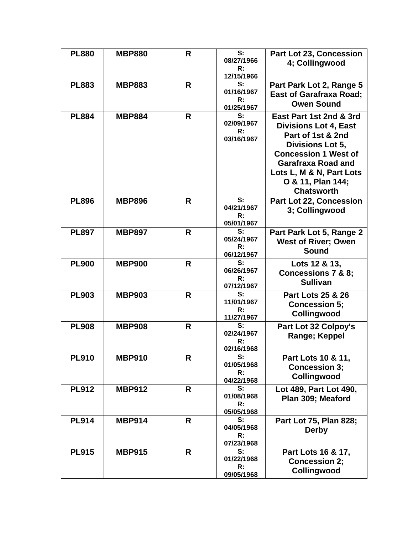| <b>PL880</b> | <b>MBP880</b> | R | S:<br>08/27/1966<br>R:<br>12/15/1966             | Part Lot 23, Concession<br>4; Collingwood                                                                                                                                                                                          |
|--------------|---------------|---|--------------------------------------------------|------------------------------------------------------------------------------------------------------------------------------------------------------------------------------------------------------------------------------------|
| <b>PL883</b> | <b>MBP883</b> | R | S:<br>01/16/1967<br>R:<br>01/25/1967             | Part Park Lot 2, Range 5<br><b>East of Garafraxa Road;</b><br><b>Owen Sound</b>                                                                                                                                                    |
| <b>PL884</b> | <b>MBP884</b> | R | S:<br>02/09/1967<br>R:<br>03/16/1967             | East Part 1st 2nd & 3rd<br><b>Divisions Lot 4, East</b><br>Part of 1st & 2nd<br>Divisions Lot 5,<br><b>Concession 1 West of</b><br><b>Garafraxa Road and</b><br>Lots L, M & N, Part Lots<br>O & 11, Plan 144;<br><b>Chatsworth</b> |
| <b>PL896</b> | <b>MBP896</b> | R | S:<br>04/21/1967<br>R:<br>05/01/1967             | <b>Part Lot 22, Concession</b><br>3; Collingwood                                                                                                                                                                                   |
| <b>PL897</b> | <b>MBP897</b> | R | S:<br>05/24/1967<br>$\mathsf{R}$ :<br>06/12/1967 | Part Park Lot 5, Range 2<br><b>West of River; Owen</b><br>Sound                                                                                                                                                                    |
| <b>PL900</b> | <b>MBP900</b> | R | S:<br>06/26/1967<br>R:<br>07/12/1967             | Lots 12 & 13,<br><b>Concessions 7 &amp; 8;</b><br><b>Sullivan</b>                                                                                                                                                                  |
| <b>PL903</b> | <b>MBP903</b> | R | S:<br>11/01/1967<br>R:<br>11/27/1967             | <b>Part Lots 25 &amp; 26</b><br><b>Concession 5;</b><br>Collingwood                                                                                                                                                                |
| <b>PL908</b> | <b>MBP908</b> | R | S:<br>02/24/1967<br>R:<br>02/16/1968             | <b>Part Lot 32 Colpoy's</b><br>Range; Keppel                                                                                                                                                                                       |
| <b>PL910</b> | <b>MBP910</b> | R | S:<br>01/05/1968<br>R:<br>04/22/1968             | Part Lots 10 & 11,<br><b>Concession 3:</b><br>Collingwood                                                                                                                                                                          |
| <b>PL912</b> | <b>MBP912</b> | R | S:<br>01/08/1968<br>R:<br>05/05/1968             | Lot 489, Part Lot 490,<br>Plan 309; Meaford                                                                                                                                                                                        |
| <b>PL914</b> | <b>MBP914</b> | R | S:<br>04/05/1968<br>R:<br>07/23/1968             | Part Lot 75, Plan 828;<br><b>Derby</b>                                                                                                                                                                                             |
| <b>PL915</b> | <b>MBP915</b> | R | S:<br>01/22/1968<br>R:<br>09/05/1968             | Part Lots 16 & 17,<br><b>Concession 2;</b><br>Collingwood                                                                                                                                                                          |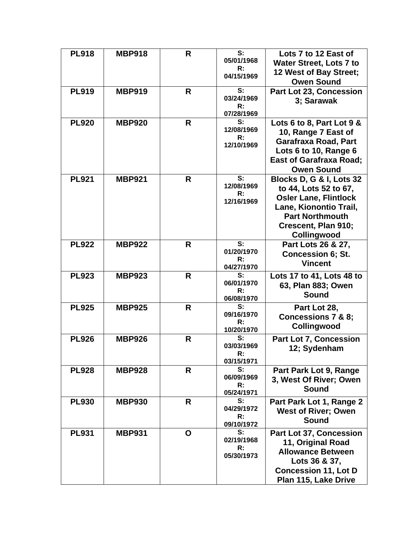| <b>PL918</b> | <b>MBP918</b> | R  | S:<br>05/01/1968<br>R:<br>04/15/1969             | Lots 7 to 12 East of<br><b>Water Street, Lots 7 to</b><br>12 West of Bay Street;<br><b>Owen Sound</b>                                                                       |
|--------------|---------------|----|--------------------------------------------------|-----------------------------------------------------------------------------------------------------------------------------------------------------------------------------|
| <b>PL919</b> | <b>MBP919</b> | R  | S:<br>03/24/1969<br>R:<br>07/28/1969             | Part Lot 23, Concession<br>3; Sarawak                                                                                                                                       |
| <b>PL920</b> | <b>MBP920</b> | R  | S:<br>12/08/1969<br>R:<br>12/10/1969             | Lots 6 to 8, Part Lot 9 &<br>10, Range 7 East of<br><b>Garafraxa Road, Part</b><br>Lots 6 to 10, Range 6<br><b>East of Garafraxa Road;</b><br><b>Owen Sound</b>             |
| <b>PL921</b> | <b>MBP921</b> | R  | S:<br>12/08/1969<br>R:<br>12/16/1969             | Blocks D, G & I, Lots 32<br>to 44, Lots 52 to 67,<br><b>Osler Lane, Flintlock</b><br>Lane, Kionontio Trail,<br><b>Part Northmouth</b><br>Crescent, Plan 910;<br>Collingwood |
| <b>PL922</b> | <b>MBP922</b> | R. | S:<br>01/20/1970<br>R:<br>04/27/1970             | Part Lots 26 & 27,<br><b>Concession 6; St.</b><br><b>Vincent</b>                                                                                                            |
| <b>PL923</b> | <b>MBP923</b> | R  | S:<br>06/01/1970<br>R:<br>06/08/1970             | Lots 17 to 41, Lots 48 to<br>63, Plan 883; Owen<br><b>Sound</b>                                                                                                             |
| <b>PL925</b> | <b>MBP925</b> | R  | S:<br>09/16/1970<br>R:<br>10/20/1970             | Part Lot 28,<br>Concessions 7 & 8;<br>Collingwood                                                                                                                           |
| <b>PL926</b> | <b>MBP926</b> | R  | S:<br>03/03/1969<br>R:<br>03/15/1971             | <b>Part Lot 7, Concession</b><br>12; Sydenham                                                                                                                               |
| <b>PL928</b> | <b>MBP928</b> | R  | S:<br>06/09/1969<br>R:<br>05/24/1971             | Part Park Lot 9, Range<br>3, West Of River; Owen<br><b>Sound</b>                                                                                                            |
| <b>PL930</b> | <b>MBP930</b> | R  | S:<br>04/29/1972<br>$\mathsf{R}$ :<br>09/10/1972 | Part Park Lot 1, Range 2<br><b>West of River; Owen</b><br><b>Sound</b>                                                                                                      |
| <b>PL931</b> | <b>MBP931</b> | O  | S:<br>02/19/1968<br>R:<br>05/30/1973             | Part Lot 37, Concession<br>11, Original Road<br><b>Allowance Between</b><br>Lots 36 & 37,<br><b>Concession 11, Lot D</b><br>Plan 115, Lake Drive                            |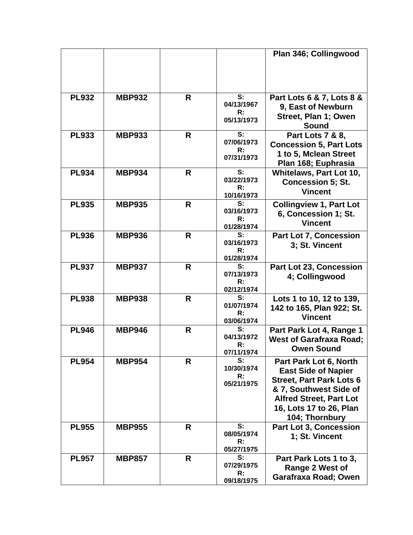|              |               |    |                                                  | Plan 346; Collingwood                                                                                                                                                                            |
|--------------|---------------|----|--------------------------------------------------|--------------------------------------------------------------------------------------------------------------------------------------------------------------------------------------------------|
| <b>PL932</b> | <b>MBP932</b> | R  | S:<br>04/13/1967<br>R:<br>05/13/1973             | Part Lots 6 & 7, Lots 8 &<br>9, East of Newburn<br>Street, Plan 1; Owen<br><b>Sound</b>                                                                                                          |
| <b>PL933</b> | <b>MBP933</b> | R  | S:<br>07/06/1973<br>R:<br>07/31/1973             | Part Lots 7 & 8,<br><b>Concession 5, Part Lots</b><br>1 to 5, Mclean Street<br>Plan 168; Euphrasia                                                                                               |
| <b>PL934</b> | <b>MBP934</b> | R. | S:<br>03/22/1973<br>$\mathsf{R}$ :<br>10/16/1973 | Whitelaws, Part Lot 10,<br><b>Concession 5; St.</b><br><b>Vincent</b>                                                                                                                            |
| <b>PL935</b> | <b>MBP935</b> | R. | S:<br>03/16/1973<br>R:<br>01/28/1974             | <b>Collingview 1, Part Lot</b><br>6, Concession 1; St.<br><b>Vincent</b>                                                                                                                         |
| <b>PL936</b> | <b>MBP936</b> | R  | S:<br>03/16/1973<br>R:<br>01/28/1974             | Part Lot 7, Concession<br>3; St. Vincent                                                                                                                                                         |
| <b>PL937</b> | <b>MBP937</b> | R  | S:<br>07/13/1973<br>R:<br>02/12/1974             | <b>Part Lot 23, Concession</b><br>4; Collingwood                                                                                                                                                 |
| <b>PL938</b> | <b>MBP938</b> | R  | S:<br>01/07/1974<br>R:<br>03/06/1974             | Lots 1 to 10, 12 to 139,<br>142 to 165, Plan 922; St.<br><b>Vincent</b>                                                                                                                          |
| <b>PL946</b> | <b>MBP946</b> | R  | S:<br>04/13/1972<br>R:<br>07/11/1974             | Part Park Lot 4, Range 1<br><b>West of Garafraxa Road;</b><br><b>Owen Sound</b>                                                                                                                  |
| <b>PL954</b> | <b>MBP954</b> | R  | S:<br>10/30/1974<br>R:<br>05/21/1975             | Part Park Lot 6, North<br><b>East Side of Napier</b><br><b>Street, Part Park Lots 6</b><br>& 7, Southwest Side of<br><b>Alfred Street, Part Lot</b><br>16, Lots 17 to 26, Plan<br>104; Thornbury |
| <b>PL955</b> | <b>MBP955</b> | R  | S:<br>08/05/1974<br>R:<br>05/27/1975             | <b>Part Lot 3, Concession</b><br>1; St. Vincent                                                                                                                                                  |
| <b>PL957</b> | <b>MBP857</b> | R  | S:<br>07/29/1975<br>R:<br>09/18/1975             | Part Park Lots 1 to 3,<br>Range 2 West of<br>Garafraxa Road; Owen                                                                                                                                |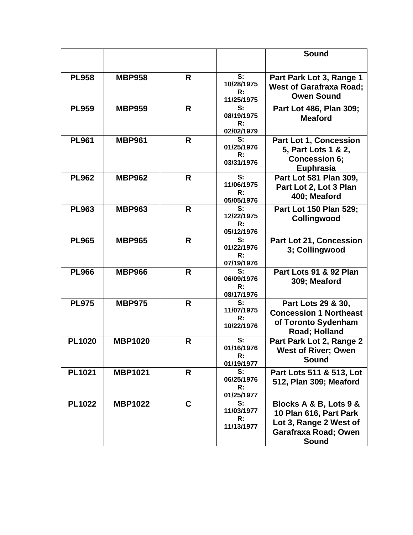|               |                |   |                                                             | Sound                                                                                                       |
|---------------|----------------|---|-------------------------------------------------------------|-------------------------------------------------------------------------------------------------------------|
| <b>PL958</b>  | <b>MBP958</b>  | R | S:<br>10/28/1975<br>R:<br>11/25/1975                        | Part Park Lot 3, Range 1<br><b>West of Garafraxa Road;</b><br><b>Owen Sound</b>                             |
| <b>PL959</b>  | <b>MBP959</b>  | R | S:<br>08/19/1975<br>R:<br>02/02/1979                        | Part Lot 486, Plan 309;<br><b>Meaford</b>                                                                   |
| <b>PL961</b>  | <b>MBP961</b>  | R | S:<br>01/25/1976<br>R:<br>03/31/1976                        | <b>Part Lot 1, Concession</b><br>5, Part Lots 1 & 2,<br><b>Concession 6;</b><br><b>Euphrasia</b>            |
| <b>PL962</b>  | <b>MBP962</b>  | R | S:<br>11/06/1975<br>R:<br>05/05/1976                        | Part Lot 581 Plan 309,<br>Part Lot 2, Lot 3 Plan<br>400; Meaford                                            |
| <b>PL963</b>  | <b>MBP963</b>  | R | S:<br>12/22/1975<br>R:<br>05/12/1976                        | Part Lot 150 Plan 529;<br>Collingwood                                                                       |
| <b>PL965</b>  | <b>MBP965</b>  | R | $\overline{\mathbf{s}}$ :<br>01/22/1976<br>R:<br>07/19/1976 | Part Lot 21, Concession<br>3; Collingwood                                                                   |
| <b>PL966</b>  | <b>MBP966</b>  | R | S:<br>06/09/1976<br>R:<br>08/17/1976                        | Part Lots 91 & 92 Plan<br>309; Meaford                                                                      |
| <b>PL975</b>  | <b>MBP975</b>  | R | S:<br>11/07/1975<br>R:<br>10/22/1976                        | Part Lots 29 & 30,<br><b>Concession 1 Northeast</b><br>of Toronto Sydenham<br>Road; Holland                 |
| <b>PL1020</b> | <b>MBP1020</b> | R | S:<br>01/16/1976<br>R:<br>01/19/1977                        | Part Park Lot 2, Range 2<br><b>West of River; Owen</b><br><b>Sound</b>                                      |
| <b>PL1021</b> | <b>MBP1021</b> | R | S:<br>06/25/1976<br>R:<br>01/25/1977                        | Part Lots 511 & 513, Lot<br>512, Plan 309; Meaford                                                          |
| <b>PL1022</b> | <b>MBP1022</b> | C | S:<br>11/03/1977<br>R:<br>11/13/1977                        | Blocks A & B, Lots 9 &<br>10 Plan 616, Part Park<br>Lot 3, Range 2 West of<br>Garafraxa Road; Owen<br>Sound |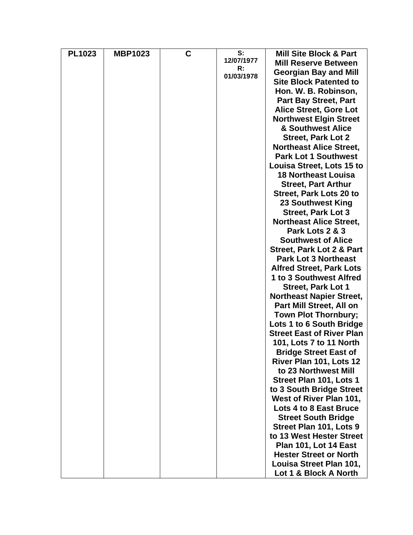| <b>PL1023</b> | <b>MBP1023</b> | C | S:         | <b>Mill Site Block &amp; Part</b>    |
|---------------|----------------|---|------------|--------------------------------------|
|               |                |   | 12/07/1977 | <b>Mill Reserve Between</b>          |
|               |                |   | R:         | <b>Georgian Bay and Mill</b>         |
|               |                |   | 01/03/1978 | <b>Site Block Patented to</b>        |
|               |                |   |            | Hon. W. B. Robinson,                 |
|               |                |   |            | <b>Part Bay Street, Part</b>         |
|               |                |   |            | <b>Alice Street, Gore Lot</b>        |
|               |                |   |            | <b>Northwest Elgin Street</b>        |
|               |                |   |            | & Southwest Alice                    |
|               |                |   |            | <b>Street, Park Lot 2</b>            |
|               |                |   |            | <b>Northeast Alice Street,</b>       |
|               |                |   |            | <b>Park Lot 1 Southwest</b>          |
|               |                |   |            | Louisa Street, Lots 15 to            |
|               |                |   |            | <b>18 Northeast Louisa</b>           |
|               |                |   |            | <b>Street, Part Arthur</b>           |
|               |                |   |            | Street, Park Lots 20 to              |
|               |                |   |            | 23 Southwest King                    |
|               |                |   |            | <b>Street, Park Lot 3</b>            |
|               |                |   |            | <b>Northeast Alice Street,</b>       |
|               |                |   |            | Park Lots 2 & 3                      |
|               |                |   |            | <b>Southwest of Alice</b>            |
|               |                |   |            | <b>Street, Park Lot 2 &amp; Part</b> |
|               |                |   |            | <b>Park Lot 3 Northeast</b>          |
|               |                |   |            | <b>Alfred Street, Park Lots</b>      |
|               |                |   |            | 1 to 3 Southwest Alfred              |
|               |                |   |            | <b>Street, Park Lot 1</b>            |
|               |                |   |            | <b>Northeast Napier Street,</b>      |
|               |                |   |            | Part Mill Street, All on             |
|               |                |   |            | <b>Town Plot Thornbury;</b>          |
|               |                |   |            | Lots 1 to 6 South Bridge             |
|               |                |   |            | <b>Street East of River Plan</b>     |
|               |                |   |            | <b>101, Lots 7 to 11 North</b>       |
|               |                |   |            | <b>Bridge Street East of</b>         |
|               |                |   |            | River Plan 101, Lots 12              |
|               |                |   |            | to 23 Northwest Mill                 |
|               |                |   |            | Street Plan 101, Lots 1              |
|               |                |   |            | to 3 South Bridge Street             |
|               |                |   |            | West of River Plan 101,              |
|               |                |   |            | Lots 4 to 8 East Bruce               |
|               |                |   |            | <b>Street South Bridge</b>           |
|               |                |   |            | Street Plan 101, Lots 9              |
|               |                |   |            | to 13 West Hester Street             |
|               |                |   |            | Plan 101, Lot 14 East                |
|               |                |   |            | <b>Hester Street or North</b>        |
|               |                |   |            | Louisa Street Plan 101,              |
|               |                |   |            | Lot 1 & Block A North                |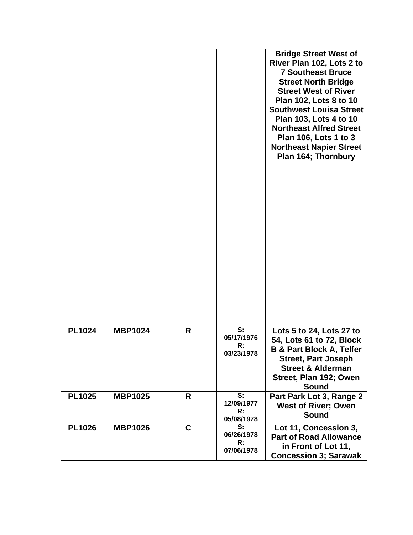|               |                |   |                                      | <b>Bridge Street West of</b><br>River Plan 102, Lots 2 to<br><b>7 Southeast Bruce</b><br><b>Street North Bridge</b><br><b>Street West of River</b><br>Plan 102, Lots 8 to 10<br><b>Southwest Louisa Street</b><br>Plan 103, Lots 4 to 10<br><b>Northeast Alfred Street</b><br>Plan 106, Lots 1 to 3<br><b>Northeast Napier Street</b><br>Plan 164; Thornbury |
|---------------|----------------|---|--------------------------------------|--------------------------------------------------------------------------------------------------------------------------------------------------------------------------------------------------------------------------------------------------------------------------------------------------------------------------------------------------------------|
|               |                |   |                                      |                                                                                                                                                                                                                                                                                                                                                              |
| <b>PL1024</b> | <b>MBP1024</b> | R | S:<br>05/17/1976<br>R:<br>03/23/1978 | Lots 5 to 24, Lots 27 to<br>54, Lots 61 to 72, Block<br><b>B &amp; Part Block A, Telfer</b><br><b>Street, Part Joseph</b><br><b>Street &amp; Alderman</b><br>Street, Plan 192; Owen<br>Sound                                                                                                                                                                 |
| <b>PL1025</b> | <b>MBP1025</b> | R | S:<br>12/09/1977<br>R:<br>05/08/1978 | Part Park Lot 3, Range 2<br><b>West of River; Owen</b><br><b>Sound</b>                                                                                                                                                                                                                                                                                       |
| <b>PL1026</b> | <b>MBP1026</b> | C | S:<br>06/26/1978<br>R:<br>07/06/1978 | Lot 11, Concession 3,<br><b>Part of Road Allowance</b><br>in Front of Lot 11,<br><b>Concession 3; Sarawak</b>                                                                                                                                                                                                                                                |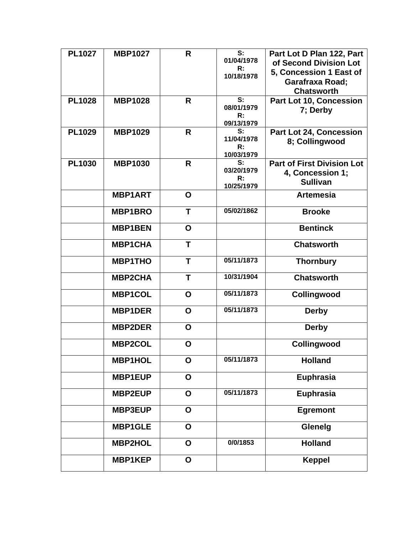| <b>PL1027</b> | <b>MBP1027</b> | R            | S:<br>01/04/1978<br>R:         | Part Lot D Plan 122, Part<br>of Second Division Lot             |
|---------------|----------------|--------------|--------------------------------|-----------------------------------------------------------------|
|               |                |              | 10/18/1978                     | 5, Concession 1 East of<br>Garafraxa Road;<br><b>Chatsworth</b> |
| <b>PL1028</b> | <b>MBP1028</b> | $\mathsf{R}$ | S:                             | Part Lot 10, Concession                                         |
|               |                |              | 08/01/1979<br>R:               | 7; Derby                                                        |
| <b>PL1029</b> | <b>MBP1029</b> | $\mathsf{R}$ | 09/13/1979<br>S:               | <b>Part Lot 24, Concession</b>                                  |
|               |                |              | 11/04/1978<br>R:<br>10/03/1979 | 8; Collingwood                                                  |
| <b>PL1030</b> | <b>MBP1030</b> | R            | S:                             | <b>Part of First Division Lot</b>                               |
|               |                |              | 03/20/1979<br>R:               | 4, Concession 1;<br><b>Sullivan</b>                             |
|               |                |              | 10/25/1979                     |                                                                 |
|               | <b>MBP1ART</b> | $\mathbf O$  |                                | <b>Artemesia</b>                                                |
|               | <b>MBP1BRO</b> | T            | 05/02/1862                     | <b>Brooke</b>                                                   |
|               | <b>MBP1BEN</b> | O            |                                | <b>Bentinck</b>                                                 |
|               | <b>MBP1CHA</b> | T            |                                | <b>Chatsworth</b>                                               |
|               | <b>MBP1THO</b> | T            | 05/11/1873                     | <b>Thornbury</b>                                                |
|               | <b>MBP2CHA</b> | T            | 10/31/1904                     | <b>Chatsworth</b>                                               |
|               | <b>MBP1COL</b> | $\mathbf O$  | 05/11/1873                     | Collingwood                                                     |
|               | <b>MBP1DER</b> | $\mathbf O$  | 05/11/1873                     | <b>Derby</b>                                                    |
|               | <b>MBP2DER</b> | O            |                                | <b>Derby</b>                                                    |
|               | <b>MBP2COL</b> | O            |                                | Collingwood                                                     |
|               | <b>MBP1HOL</b> | O            | 05/11/1873                     | <b>Holland</b>                                                  |
|               | <b>MBP1EUP</b> | O            |                                | Euphrasia                                                       |
|               | <b>MBP2EUP</b> | $\mathbf O$  | 05/11/1873                     | <b>Euphrasia</b>                                                |
|               | <b>MBP3EUP</b> | $\mathbf{o}$ |                                | <b>Egremont</b>                                                 |
|               | <b>MBP1GLE</b> | $\mathbf O$  |                                | Glenelg                                                         |
|               | <b>MBP2HOL</b> | $\mathbf O$  | 0/0/1853                       | <b>Holland</b>                                                  |
|               | <b>MBP1KEP</b> | $\mathbf O$  |                                | <b>Keppel</b>                                                   |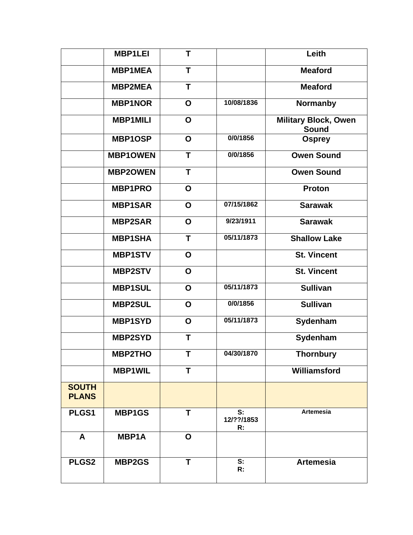|                              | <b>MBP1LEI</b>  | T            |                        | Leith                                       |
|------------------------------|-----------------|--------------|------------------------|---------------------------------------------|
|                              | <b>MBP1MEA</b>  | T            |                        | <b>Meaford</b>                              |
|                              | <b>MBP2MEA</b>  | T            |                        | <b>Meaford</b>                              |
|                              | <b>MBP1NOR</b>  | $\mathbf O$  | 10/08/1836             | <b>Normanby</b>                             |
|                              | <b>MBP1MILI</b> | $\mathbf O$  |                        | <b>Military Block, Owen</b><br><b>Sound</b> |
|                              | <b>MBP1OSP</b>  | O            | 0/0/1856               | <b>Osprey</b>                               |
|                              | <b>MBP1OWEN</b> | T            | 0/0/1856               | <b>Owen Sound</b>                           |
|                              | <b>MBP2OWEN</b> | T            |                        | <b>Owen Sound</b>                           |
|                              | <b>MBP1PRO</b>  | O            |                        | <b>Proton</b>                               |
|                              | <b>MBP1SAR</b>  | O            | 07/15/1862             | <b>Sarawak</b>                              |
|                              | <b>MBP2SAR</b>  | $\mathbf O$  | 9/23/1911              | <b>Sarawak</b>                              |
|                              | <b>MBP1SHA</b>  | $\mathsf{T}$ | 05/11/1873             | <b>Shallow Lake</b>                         |
|                              | <b>MBP1STV</b>  | O            |                        | <b>St. Vincent</b>                          |
|                              | <b>MBP2STV</b>  | $\mathbf O$  |                        | <b>St. Vincent</b>                          |
|                              | <b>MBP1SUL</b>  | O            | 05/11/1873             | <b>Sullivan</b>                             |
|                              | <b>MBP2SUL</b>  | O            | 0/0/1856               | <b>Sullivan</b>                             |
|                              | <b>MBP1SYD</b>  | $\mathbf O$  | 05/11/1873             | Sydenham                                    |
|                              | <b>MBP2SYD</b>  | T            |                        | Sydenham                                    |
|                              | <b>MBP2THO</b>  | т            | 04/30/1870             | <b>Thornbury</b>                            |
|                              | <b>MBP1WIL</b>  | T            |                        | Williamsford                                |
| <b>SOUTH</b><br><b>PLANS</b> |                 |              |                        |                                             |
| PLGS1                        | <b>MBP1GS</b>   | T            | S:<br>12/??/1853<br>R: | <b>Artemesia</b>                            |
| A                            | <b>MBP1A</b>    | O            |                        |                                             |
| PLGS2                        | <b>MBP2GS</b>   | Т            | S:<br>R:               | <b>Artemesia</b>                            |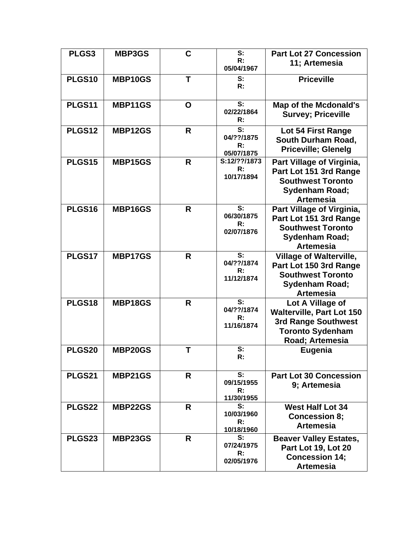| PLGS3  | MBP3GS  | $\mathbf C$  | S:<br>R:<br>05/04/1967                                      | <b>Part Lot 27 Concession</b><br>11; Artemesia                                                                                   |
|--------|---------|--------------|-------------------------------------------------------------|----------------------------------------------------------------------------------------------------------------------------------|
| PLGS10 | MBP10GS | T            | S:<br>R:                                                    | <b>Priceville</b>                                                                                                                |
| PLGS11 | MBP11GS | O            | S:<br>02/22/1864<br>R:                                      | <b>Map of the Mcdonald's</b><br><b>Survey; Priceville</b>                                                                        |
| PLGS12 | MBP12GS | R            | S:<br>04/??/1875<br>R:<br>05/07/1875                        | Lot 54 First Range<br>South Durham Road,<br><b>Priceville; Glenelg</b>                                                           |
| PLGS15 | MBP15GS | R            | S:12/??/1873<br>R:<br>10/17/1894                            | Part Village of Virginia,<br>Part Lot 151 3rd Range<br><b>Southwest Toronto</b><br><b>Sydenham Road;</b><br><b>Artemesia</b>     |
| PLGS16 | MBP16GS | R            | S:<br>06/30/1875<br>R:<br>02/07/1876                        | Part Village of Virginia,<br>Part Lot 151 3rd Range<br><b>Southwest Toronto</b><br>Sydenham Road;<br><b>Artemesia</b>            |
| PLGS17 | MBP17GS | R            | S:<br>04/??/1874<br>R:<br>11/12/1874                        | <b>Village of Walterville,</b><br>Part Lot 150 3rd Range<br><b>Southwest Toronto</b><br>Sydenham Road;<br><b>Artemesia</b>       |
| PLGS18 | MBP18GS | $\mathsf{R}$ | $\overline{\mathbf{s}}$ :<br>04/??/1874<br>R:<br>11/16/1874 | Lot A Village of<br><b>Walterville, Part Lot 150</b><br><b>3rd Range Southwest</b><br><b>Toronto Sydenham</b><br>Road; Artemesia |
| PLGS20 | MBP20GS | Τ            | S:<br>R:                                                    | Eugenia                                                                                                                          |
| PLGS21 | MBP21GS | R            | S:<br>09/15/1955<br>R:<br>11/30/1955                        | <b>Part Lot 30 Concession</b><br>9; Artemesia                                                                                    |
| PLGS22 | MBP22GS | R            | S:<br>10/03/1960<br>R:<br>10/18/1960                        | <b>West Half Lot 34</b><br><b>Concession 8;</b><br><b>Artemesia</b>                                                              |
| PLGS23 | MBP23GS | R            | S:<br>07/24/1975<br>R:<br>02/05/1976                        | <b>Beaver Valley Estates,</b><br>Part Lot 19, Lot 20<br><b>Concession 14;</b><br><b>Artemesia</b>                                |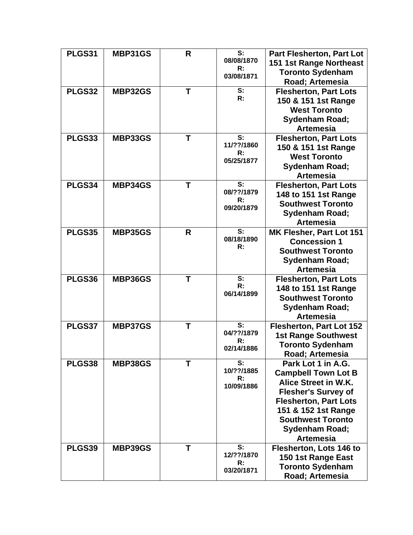| PLGS31 | MBP31GS        | R | S:               | Part Flesherton, Part Lot       |
|--------|----------------|---|------------------|---------------------------------|
|        |                |   | 08/08/1870       | 151 1st Range Northeast         |
|        |                |   | R:<br>03/08/1871 | <b>Toronto Sydenham</b>         |
|        |                |   |                  | Road; Artemesia                 |
| PLGS32 | <b>MBP32GS</b> | T | S:               | <b>Flesherton, Part Lots</b>    |
|        |                |   | R:               | 150 & 151 1st Range             |
|        |                |   |                  | <b>West Toronto</b>             |
|        |                |   |                  | <b>Sydenham Road;</b>           |
|        |                |   |                  | <b>Artemesia</b>                |
| PLGS33 | MBP33GS        | Τ | S:               | <b>Flesherton, Part Lots</b>    |
|        |                |   | 11/??/1860       | 150 & 151 1st Range             |
|        |                |   | R:               | <b>West Toronto</b>             |
|        |                |   | 05/25/1877       | <b>Sydenham Road;</b>           |
|        |                |   |                  | <b>Artemesia</b>                |
| PLGS34 | MBP34GS        | Τ | S:               | <b>Flesherton, Part Lots</b>    |
|        |                |   | 08/??/1879       | 148 to 151 1st Range            |
|        |                |   | R:               | <b>Southwest Toronto</b>        |
|        |                |   | 09/20/1879       | <b>Sydenham Road;</b>           |
|        |                |   |                  | <b>Artemesia</b>                |
| PLGS35 | MBP35GS        | R | S:               | MK Flesher, Part Lot 151        |
|        |                |   | 08/18/1890       | <b>Concession 1</b>             |
|        |                |   | R:               | <b>Southwest Toronto</b>        |
|        |                |   |                  | <b>Sydenham Road;</b>           |
|        |                |   |                  | <b>Artemesia</b>                |
| PLGS36 | MBP36GS        | T | S:               | <b>Flesherton, Part Lots</b>    |
|        |                |   | R:               | 148 to 151 1st Range            |
|        |                |   | 06/14/1899       | <b>Southwest Toronto</b>        |
|        |                |   |                  | Sydenham Road;                  |
|        |                |   |                  | <b>Artemesia</b>                |
| PLGS37 | MBP37GS        | Т | S:               | <b>Flesherton, Part Lot 152</b> |
|        |                |   | 04/??/1879       | <b>1st Range Southwest</b>      |
|        |                |   | R:               | <b>Toronto Sydenham</b>         |
|        |                |   | 02/14/1886       | Road; Artemesia                 |
| PLGS38 | MBP38GS        | T | S:               | Park Lot 1 in A.G.              |
|        |                |   | 10/??/1885       | <b>Campbell Town Lot B</b>      |
|        |                |   | R:               | Alice Street in W.K.            |
|        |                |   | 10/09/1886       | <b>Flesher's Survey of</b>      |
|        |                |   |                  | <b>Flesherton, Part Lots</b>    |
|        |                |   |                  | 151 & 152 1st Range             |
|        |                |   |                  | <b>Southwest Toronto</b>        |
|        |                |   |                  | <b>Sydenham Road;</b>           |
|        |                |   |                  | <b>Artemesia</b>                |
| PLGS39 | MBP39GS        | T | S:               | Flesherton, Lots 146 to         |
|        |                |   | 12/??/1870       | 150 1st Range East              |
|        |                |   | R:<br>03/20/1871 | <b>Toronto Sydenham</b>         |
|        |                |   |                  |                                 |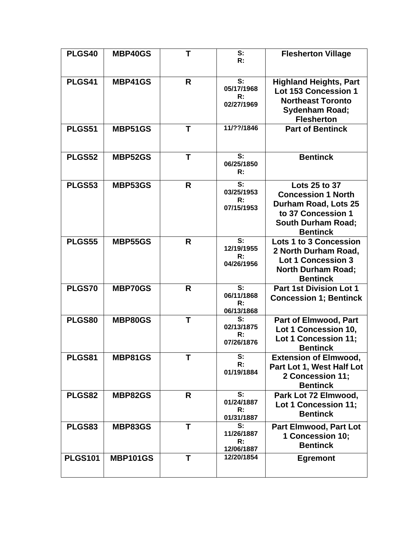| PLGS40         | MBP40GS         | $\mathsf{T}$ | S:<br>R:                             | <b>Flesherton Village</b>                                                                                                                |
|----------------|-----------------|--------------|--------------------------------------|------------------------------------------------------------------------------------------------------------------------------------------|
| PLGS41         | MBP41GS         | R            | S:<br>05/17/1968<br>R:<br>02/27/1969 | <b>Highland Heights, Part</b><br>Lot 153 Concession 1<br><b>Northeast Toronto</b><br><b>Sydenham Road;</b><br><b>Flesherton</b>          |
| PLGS51         | MBP51GS         | T            | 11/??/1846                           | <b>Part of Bentinck</b>                                                                                                                  |
| PLGS52         | MBP52GS         | T            | S:<br>06/25/1850<br>R:               | <b>Bentinck</b>                                                                                                                          |
| PLGS53         | MBP53GS         | $\mathsf{R}$ | S:<br>03/25/1953<br>R:<br>07/15/1953 | Lots 25 to 37<br><b>Concession 1 North</b><br>Durham Road, Lots 25<br>to 37 Concession 1<br><b>South Durham Road;</b><br><b>Bentinck</b> |
| <b>PLGS55</b>  | <b>MBP55GS</b>  | R            | S:<br>12/19/1955<br>R:<br>04/26/1956 | <b>Lots 1 to 3 Concession</b><br>2 North Durham Road,<br><b>Lot 1 Concession 3</b><br><b>North Durham Road;</b><br><b>Bentinck</b>       |
| PLGS70         | <b>MBP70GS</b>  | R            | S:<br>06/11/1868<br>R:<br>06/13/1868 | <b>Part 1st Division Lot 1</b><br><b>Concession 1; Bentinck</b>                                                                          |
| PLGS80         | MBP80GS         | T            | S:<br>02/13/1875<br>R:<br>07/26/1876 | <b>Part of Elmwood, Part</b><br>Lot 1 Concession 10,<br>Lot 1 Concession 11;<br><b>Bentinck</b>                                          |
| PLGS81         | MBP81GS         | T            | S:<br>R:<br>01/19/1884               | <b>Extension of Elmwood,</b><br>Part Lot 1, West Half Lot<br>2 Concession 11;<br><b>Bentinck</b>                                         |
| PLGS82         | <b>MBP82GS</b>  | R.           | S:<br>01/24/1887<br>R:<br>01/31/1887 | Park Lot 72 Elmwood,<br>Lot 1 Concession 11;<br><b>Bentinck</b>                                                                          |
| PLGS83         | MBP83GS         | T            | S:<br>11/26/1887<br>R:<br>12/06/1887 | <b>Part Elmwood, Part Lot</b><br>1 Concession 10;<br><b>Bentinck</b>                                                                     |
| <b>PLGS101</b> | <b>MBP101GS</b> | T            | 12/20/1854                           | <b>Egremont</b>                                                                                                                          |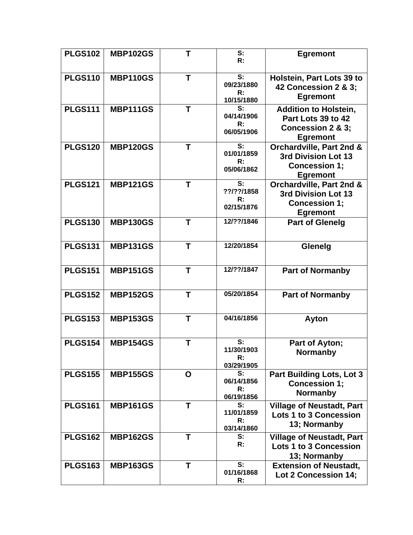| <b>PLGS102</b> | <b>MBP102GS</b> | $\mathsf{T}$ | S:<br>R:                             | <b>Egremont</b>                                                                            |
|----------------|-----------------|--------------|--------------------------------------|--------------------------------------------------------------------------------------------|
| <b>PLGS110</b> | <b>MBP110GS</b> | T            | S:<br>09/23/1880<br>R:<br>10/15/1880 | Holstein, Part Lots 39 to<br>42 Concession 2 & 3;<br><b>Egremont</b>                       |
| <b>PLGS111</b> | <b>MBP111GS</b> | T            | S:<br>04/14/1906<br>R:<br>06/05/1906 | <b>Addition to Holstein,</b><br>Part Lots 39 to 42<br>Concession 2 & 3;<br><b>Egremont</b> |
| <b>PLGS120</b> | <b>MBP120GS</b> | T            | S:<br>01/01/1859<br>R:<br>05/06/1862 | Orchardville, Part 2nd &<br>3rd Division Lot 13<br><b>Concession 1;</b><br><b>Egremont</b> |
| <b>PLGS121</b> | <b>MBP121GS</b> | Τ            | S:<br>??/??/1858<br>R:<br>02/15/1876 | Orchardville, Part 2nd &<br>3rd Division Lot 13<br><b>Concession 1:</b><br><b>Egremont</b> |
| <b>PLGS130</b> | <b>MBP130GS</b> | T            | 12/??/1846                           | <b>Part of Glenelg</b>                                                                     |
| <b>PLGS131</b> | <b>MBP131GS</b> | T            | 12/20/1854                           | Glenelg                                                                                    |
| <b>PLGS151</b> | <b>MBP151GS</b> | T            | 12/??/1847                           | <b>Part of Normanby</b>                                                                    |
| <b>PLGS152</b> | <b>MBP152GS</b> | T            | 05/20/1854                           | <b>Part of Normanby</b>                                                                    |
| <b>PLGS153</b> | <b>MBP153GS</b> | T            | 04/16/1856                           | <b>Ayton</b>                                                                               |
| <b>PLGS154</b> | <b>MBP154GS</b> | T            | S:<br>11/30/1903<br>R:<br>03/29/1905 | Part of Ayton;<br><b>Normanby</b>                                                          |
| <b>PLGS155</b> | <b>MBP155GS</b> | O            | S:<br>06/14/1856<br>R:<br>06/19/1856 | Part Building Lots, Lot 3<br><b>Concession 1;</b><br><b>Normanby</b>                       |
| <b>PLGS161</b> | <b>MBP161GS</b> | Т            | S:<br>11/01/1859<br>R:<br>03/14/1860 | <b>Village of Neustadt, Part</b><br><b>Lots 1 to 3 Concession</b><br>13; Normanby          |
| <b>PLGS162</b> | <b>MBP162GS</b> | Т            | S:<br>R:                             | <b>Village of Neustadt, Part</b><br><b>Lots 1 to 3 Concession</b><br>13; Normanby          |
| <b>PLGS163</b> | <b>MBP163GS</b> | T            | S:<br>01/16/1868<br>R:               | <b>Extension of Neustadt,</b><br>Lot 2 Concession 14;                                      |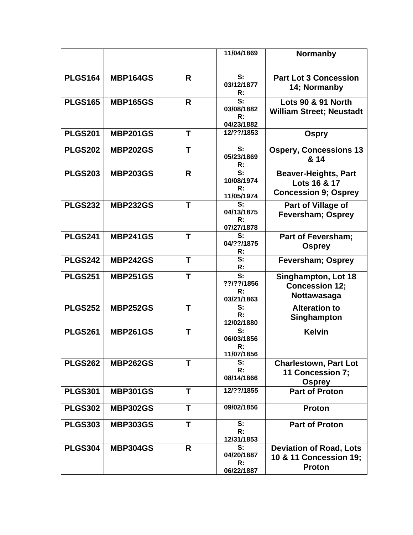|                |                 |              | 11/04/1869                   | <b>Normanby</b>                         |
|----------------|-----------------|--------------|------------------------------|-----------------------------------------|
|                |                 |              |                              |                                         |
| <b>PLGS164</b> | <b>MBP164GS</b> | R            | S:                           | <b>Part Lot 3 Concession</b>            |
|                |                 |              | 03/12/1877<br>$\mathsf{R}$ : | 14; Normanby                            |
| <b>PLGS165</b> | <b>MBP165GS</b> | R            | S:                           | <b>Lots 90 &amp; 91 North</b>           |
|                |                 |              | 03/08/1882                   | <b>William Street; Neustadt</b>         |
|                |                 |              | R:                           |                                         |
|                |                 |              | 04/23/1882<br>12/??/1853     |                                         |
| <b>PLGS201</b> | <b>MBP201GS</b> | Τ            |                              | <b>Ospry</b>                            |
| <b>PLGS202</b> | <b>MBP202GS</b> | Т            | S:                           | <b>Ospery, Concessions 13</b>           |
|                |                 |              | 05/23/1869<br>R:             | & 14                                    |
| <b>PLGS203</b> | <b>MBP203GS</b> | $\mathsf{R}$ | S:                           | <b>Beaver-Heights, Part</b>             |
|                |                 |              | 10/08/1974                   | Lots 16 & 17                            |
|                |                 |              | R:                           | <b>Concession 9; Osprey</b>             |
| <b>PLGS232</b> | <b>MBP232GS</b> | T            | 11/05/1974<br>S:             |                                         |
|                |                 |              | 04/13/1875                   | Part of Village of                      |
|                |                 |              | R:                           | <b>Feversham; Osprey</b>                |
|                |                 |              | 07/27/1878                   |                                         |
| <b>PLGS241</b> | <b>MBP241GS</b> | T            | S:<br>04/??/1875             | <b>Part of Feversham;</b>               |
|                |                 |              | R:                           | <b>Osprey</b>                           |
| <b>PLGS242</b> | <b>MBP242GS</b> | Τ            | S:                           | <b>Feversham; Osprey</b>                |
|                |                 |              | R:                           |                                         |
| <b>PLGS251</b> | <b>MBP251GS</b> | Τ            | S:                           | Singhampton, Lot 18                     |
|                |                 |              | ??/??/1856<br>R:             | <b>Concession 12;</b>                   |
|                |                 |              | 03/21/1863                   | Nottawasaga                             |
| <b>PLGS252</b> | <b>MBP252GS</b> | T            | S:                           | <b>Alteration to</b>                    |
|                |                 |              | R:                           | Singhampton                             |
| <b>PLGS261</b> | <b>MBP261GS</b> | T            | 12/02/1880<br>S:             | <b>Kelvin</b>                           |
|                |                 |              | 06/03/1856                   |                                         |
|                |                 |              | R:                           |                                         |
|                |                 |              | 11/07/1856                   |                                         |
| <b>PLGS262</b> | <b>MBP262GS</b> | Ť            | S:<br>R:                     | <b>Charlestown, Part Lot</b>            |
|                |                 |              | 08/14/1866                   | 11 Concession 7;                        |
|                |                 | T            | 12/??/1855                   | <b>Osprey</b>                           |
| <b>PLGS301</b> | <b>MBP301GS</b> |              |                              | <b>Part of Proton</b>                   |
| <b>PLGS302</b> | <b>MBP302GS</b> | T            | 09/02/1856                   | Proton                                  |
| <b>PLGS303</b> | <b>MBP303GS</b> | T            | S:                           | <b>Part of Proton</b>                   |
|                |                 |              | R:                           |                                         |
|                |                 | R            | 12/31/1853<br>S:             |                                         |
| <b>PLGS304</b> | <b>MBP304GS</b> |              | 04/20/1887                   | <b>Deviation of Road, Lots</b>          |
|                |                 |              | R:                           | 10 & 11 Concession 19;<br><b>Proton</b> |
|                |                 |              | 06/22/1887                   |                                         |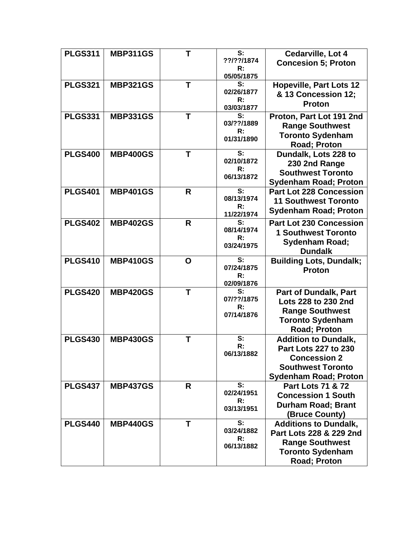| <b>PLGS311</b> | <b>MBP311GS</b> | Т | S:<br>??/??/1874<br>R:<br>05/05/1875                        | Cedarville, Lot 4<br><b>Concesion 5; Proton</b>                                                                                        |
|----------------|-----------------|---|-------------------------------------------------------------|----------------------------------------------------------------------------------------------------------------------------------------|
| <b>PLGS321</b> | <b>MBP321GS</b> | Τ | S:<br>02/26/1877<br>R:<br>03/03/1877                        | <b>Hopeville, Part Lots 12</b><br>& 13 Concession 12;<br><b>Proton</b>                                                                 |
| <b>PLGS331</b> | <b>MBP331GS</b> | Т | S:<br>03/??/1889<br>R:<br>01/31/1890                        | Proton, Part Lot 191 2nd<br><b>Range Southwest</b><br><b>Toronto Sydenham</b><br>Road; Proton                                          |
| <b>PLGS400</b> | <b>MBP400GS</b> | Τ | S:<br>02/10/1872<br>R:<br>06/13/1872                        | Dundalk, Lots 228 to<br>230 2nd Range<br><b>Southwest Toronto</b><br><b>Sydenham Road; Proton</b>                                      |
| <b>PLGS401</b> | <b>MBP401GS</b> | R | S:<br>08/13/1974<br>R:<br>11/22/1974                        | <b>Part Lot 228 Concession</b><br><b>11 Southwest Toronto</b><br><b>Sydenham Road; Proton</b>                                          |
| <b>PLGS402</b> | <b>MBP402GS</b> | R | S:<br>08/14/1974<br>R:<br>03/24/1975                        | <b>Part Lot 230 Concession</b><br><b>1 Southwest Toronto</b><br>Sydenham Road;<br><b>Dundalk</b>                                       |
| <b>PLGS410</b> | <b>MBP410GS</b> | O | S:<br>07/24/1875<br>R:<br>02/09/1876                        | <b>Building Lots, Dundalk;</b><br><b>Proton</b>                                                                                        |
| <b>PLGS420</b> | <b>MBP420GS</b> | T | S:<br>07/??/1875<br>R:<br>07/14/1876                        | <b>Part of Dundalk, Part</b><br>Lots 228 to 230 2nd<br><b>Range Southwest</b><br><b>Toronto Sydenham</b><br>Road; Proton               |
| <b>PLGS430</b> | <b>MBP430GS</b> | Т | S:<br>R:<br>06/13/1882                                      | <b>Addition to Dundalk,</b><br>Part Lots 227 to 230<br><b>Concession 2</b><br><b>Southwest Toronto</b><br><b>Sydenham Road; Proton</b> |
| <b>PLGS437</b> | <b>MBP437GS</b> | R | S:<br>02/24/1951<br>R:<br>03/13/1951                        | <b>Part Lots 71 &amp; 72</b><br><b>Concession 1 South</b><br><b>Durham Road; Brant</b><br>(Bruce County)                               |
| <b>PLGS440</b> | <b>MBP440GS</b> | Т | $\overline{\mathbf{s}}$ :<br>03/24/1882<br>R:<br>06/13/1882 | <b>Additions to Dundalk,</b><br>Part Lots 228 & 229 2nd<br><b>Range Southwest</b><br><b>Toronto Sydenham</b><br>Road; Proton           |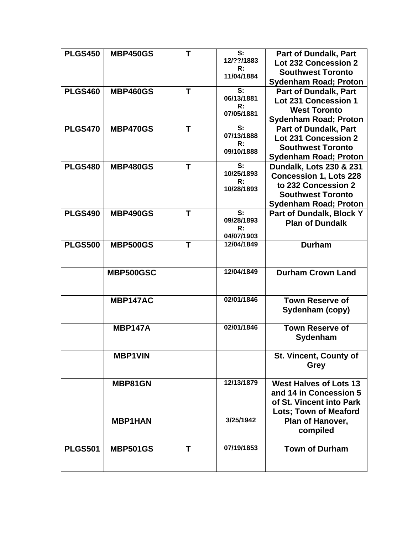| <b>PLGS450</b> | <b>MBP450GS</b> | Т | S:               | <b>Part of Dundalk, Part</b>  |
|----------------|-----------------|---|------------------|-------------------------------|
|                |                 |   | 12/??/1883<br>R: | <b>Lot 232 Concession 2</b>   |
|                |                 |   | 11/04/1884       | <b>Southwest Toronto</b>      |
|                |                 |   |                  | <b>Sydenham Road; Proton</b>  |
| <b>PLGS460</b> | <b>MBP460GS</b> | T | S:               | <b>Part of Dundalk, Part</b>  |
|                |                 |   | 06/13/1881       | Lot 231 Concession 1          |
|                |                 |   | R:<br>07/05/1881 | <b>West Toronto</b>           |
|                |                 |   |                  | <b>Sydenham Road; Proton</b>  |
| <b>PLGS470</b> | <b>MBP470GS</b> | Т | S:               | <b>Part of Dundalk, Part</b>  |
|                |                 |   | 07/13/1888       | <b>Lot 231 Concession 2</b>   |
|                |                 |   | R:<br>09/10/1888 | <b>Southwest Toronto</b>      |
|                |                 |   |                  | <b>Sydenham Road; Proton</b>  |
| <b>PLGS480</b> | <b>MBP480GS</b> | т | S:               | Dundalk, Lots 230 & 231       |
|                |                 |   | 10/25/1893       | <b>Concession 1, Lots 228</b> |
|                |                 |   | R:               | to 232 Concession 2           |
|                |                 |   | 10/28/1893       | <b>Southwest Toronto</b>      |
|                |                 |   |                  | <b>Sydenham Road; Proton</b>  |
| <b>PLGS490</b> | <b>MBP490GS</b> | Τ | S:               | Part of Dundalk, Block Y      |
|                |                 |   | 09/28/1893       | <b>Plan of Dundalk</b>        |
|                |                 |   | R:               |                               |
|                |                 |   | 04/07/1903       |                               |
| <b>PLGS500</b> | <b>MBP500GS</b> | T | 12/04/1849       | <b>Durham</b>                 |
|                |                 |   |                  |                               |
|                |                 |   |                  |                               |
|                | MBP500GSC       |   | 12/04/1849       | <b>Durham Crown Land</b>      |
|                |                 |   |                  |                               |
|                |                 |   |                  |                               |
|                | MBP147AC        |   | 02/01/1846       | <b>Town Reserve of</b>        |
|                |                 |   |                  | Sydenham (copy)               |
|                |                 |   | 02/01/1846       |                               |
|                | <b>MBP147A</b>  |   |                  | <b>Town Reserve of</b>        |
|                |                 |   |                  | Sydenham                      |
|                |                 |   |                  |                               |
|                | <b>MBP1VIN</b>  |   |                  | <b>St. Vincent, County of</b> |
|                |                 |   |                  | <b>Grey</b>                   |
|                |                 |   | 12/13/1879       | <b>West Halves of Lots 13</b> |
|                | MBP81GN         |   |                  |                               |
|                |                 |   |                  | and 14 in Concession 5        |
|                |                 |   |                  | of St. Vincent into Park      |
|                |                 |   |                  | <b>Lots; Town of Meaford</b>  |
|                | <b>MBP1HAN</b>  |   | 3/25/1942        | Plan of Hanover,              |
|                |                 |   |                  | compiled                      |
|                |                 |   |                  |                               |
| <b>PLGS501</b> |                 |   |                  |                               |
|                | <b>MBP501GS</b> | T | 07/19/1853       | <b>Town of Durham</b>         |
|                |                 |   |                  |                               |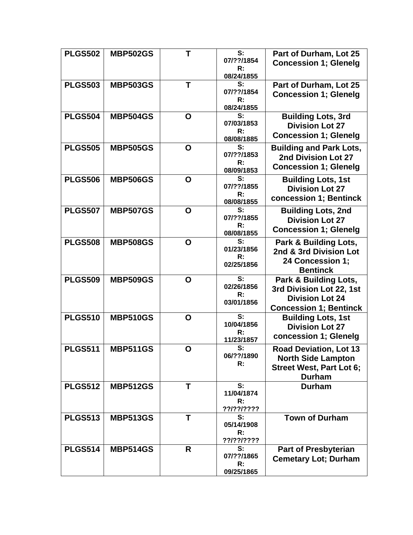| <b>PLGS502</b> | <b>MBP502GS</b> | Т | S:<br>07/??/1854<br>R:<br>08/24/1855 | Part of Durham, Lot 25<br><b>Concession 1; Glenelg</b>                                                         |
|----------------|-----------------|---|--------------------------------------|----------------------------------------------------------------------------------------------------------------|
| <b>PLGS503</b> | <b>MBP503GS</b> | т | S:<br>07/??/1854<br>R:<br>08/24/1855 | Part of Durham, Lot 25<br><b>Concession 1; Glenelg</b>                                                         |
| <b>PLGS504</b> | <b>MBP504GS</b> | O | S:<br>07/03/1853<br>R:<br>08/08/1885 | <b>Building Lots, 3rd</b><br><b>Division Lot 27</b><br><b>Concession 1; Glenelg</b>                            |
| <b>PLGS505</b> | <b>MBP505GS</b> | O | S:<br>07/??/1853<br>R:<br>08/09/1853 | <b>Building and Park Lots,</b><br>2nd Division Lot 27<br><b>Concession 1; Glenelg</b>                          |
| <b>PLGS506</b> | <b>MBP506GS</b> | O | S:<br>07/??/1855<br>R:<br>08/08/1855 | <b>Building Lots, 1st</b><br><b>Division Lot 27</b><br>concession 1; Bentinck                                  |
| <b>PLGS507</b> | <b>MBP507GS</b> | O | S:<br>07/??/1855<br>R:<br>08/08/1855 | <b>Building Lots, 2nd</b><br><b>Division Lot 27</b><br><b>Concession 1; Glenelg</b>                            |
| <b>PLGS508</b> | <b>MBP508GS</b> | O | S:<br>01/23/1856<br>R:<br>02/25/1856 | Park & Building Lots,<br>2nd & 3rd Division Lot<br>24 Concession 1;<br><b>Bentinck</b>                         |
| <b>PLGS509</b> | <b>MBP509GS</b> | O | S:<br>02/26/1856<br>R:<br>03/01/1856 | Park & Building Lots,<br>3rd Division Lot 22, 1st<br><b>Division Lot 24</b><br><b>Concession 1; Bentinck</b>   |
| <b>PLGS510</b> | <b>MBP510GS</b> | O | S:<br>10/04/1856<br>R:<br>11/23/1857 | <b>Building Lots, 1st</b><br><b>Division Lot 27</b><br>concession 1; Glenelg                                   |
| <b>PLGS511</b> | <b>MBP511GS</b> | O | S:<br>06/??/1890<br>R:               | <b>Road Deviation, Lot 13</b><br><b>North Side Lampton</b><br><b>Street West, Part Lot 6;</b><br><b>Durham</b> |
| <b>PLGS512</b> | <b>MBP512GS</b> | T | S:<br>11/04/1874<br>R:<br>??/??/???? | <b>Durham</b>                                                                                                  |
| <b>PLGS513</b> | <b>MBP513GS</b> | T | S:<br>05/14/1908<br>R:<br>??/??/???? | <b>Town of Durham</b>                                                                                          |
| <b>PLGS514</b> | <b>MBP514GS</b> | R | S:<br>07/??/1865<br>R:<br>09/25/1865 | <b>Part of Presbyterian</b><br><b>Cemetary Lot; Durham</b>                                                     |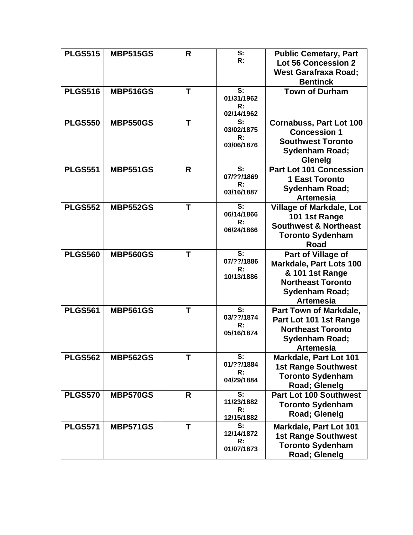| <b>PLGS515</b> | <b>MBP515GS</b> | R            | S:<br>R:                             | <b>Public Cemetary, Part</b><br><b>Lot 56 Concession 2</b><br><b>West Garafraxa Road;</b><br><b>Bentinck</b>                              |
|----------------|-----------------|--------------|--------------------------------------|-------------------------------------------------------------------------------------------------------------------------------------------|
| <b>PLGS516</b> | <b>MBP516GS</b> | T            | S:<br>01/31/1962<br>R:<br>02/14/1962 | <b>Town of Durham</b>                                                                                                                     |
| <b>PLGS550</b> | <b>MBP550GS</b> | T            | S:<br>03/02/1875<br>R:<br>03/06/1876 | <b>Cornabuss, Part Lot 100</b><br><b>Concession 1</b><br><b>Southwest Toronto</b><br><b>Sydenham Road;</b><br><b>Glenelg</b>              |
| <b>PLGS551</b> | <b>MBP551GS</b> | R            | S:<br>07/??/1869<br>R:<br>03/16/1887 | <b>Part Lot 101 Concession</b><br><b>1 East Toronto</b><br><b>Sydenham Road;</b><br><b>Artemesia</b>                                      |
| <b>PLGS552</b> | <b>MBP552GS</b> | Τ            | S:<br>06/14/1866<br>R:<br>06/24/1866 | <b>Village of Markdale, Lot</b><br>101 1st Range<br><b>Southwest &amp; Northeast</b><br><b>Toronto Sydenham</b><br><b>Road</b>            |
| <b>PLGS560</b> | <b>MBP560GS</b> | T            | S:<br>07/??/1886<br>R:<br>10/13/1886 | Part of Village of<br><b>Markdale, Part Lots 100</b><br>& 101 1st Range<br><b>Northeast Toronto</b><br>Sydenham Road;<br><b>Artemesia</b> |
| <b>PLGS561</b> | <b>MBP561GS</b> | Т            | S:<br>03/??/1874<br>R:<br>05/16/1874 | Part Town of Markdale,<br>Part Lot 101 1st Range<br><b>Northeast Toronto</b><br>Sydenham Road;<br><b>Artemesia</b>                        |
| <b>PLGS562</b> | <b>MBP562GS</b> | T            | S:<br>01/??/1884<br>R:<br>04/29/1884 | Markdale, Part Lot 101<br><b>1st Range Southwest</b><br><b>Toronto Sydenham</b><br>Road; Glenelg                                          |
| <b>PLGS570</b> | <b>MBP570GS</b> | R            | S:<br>11/23/1882<br>R:<br>12/15/1882 | <b>Part Lot 100 Southwest</b><br><b>Toronto Sydenham</b><br>Road; Glenelg                                                                 |
| <b>PLGS571</b> | <b>MBP571GS</b> | $\mathsf{T}$ | S:<br>12/14/1872<br>R:<br>01/07/1873 | Markdale, Part Lot 101<br><b>1st Range Southwest</b><br><b>Toronto Sydenham</b><br>Road; Glenelg                                          |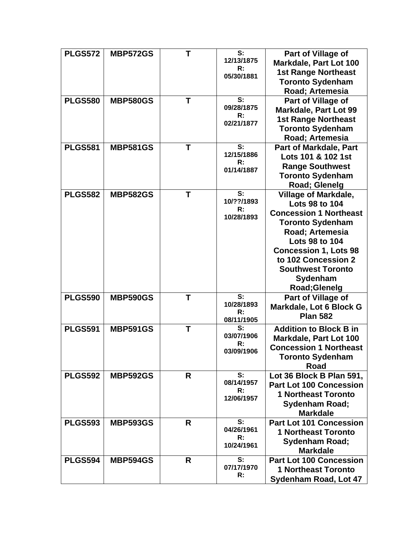| <b>PLGS572</b> | <b>MBP572GS</b> | Τ | S:               | Part of Village of             |
|----------------|-----------------|---|------------------|--------------------------------|
|                |                 |   | 12/13/1875       | <b>Markdale, Part Lot 100</b>  |
|                |                 |   | R:<br>05/30/1881 | <b>1st Range Northeast</b>     |
|                |                 |   |                  | <b>Toronto Sydenham</b>        |
|                |                 |   |                  | Road; Artemesia                |
| <b>PLGS580</b> | <b>MBP580GS</b> | T | S:               | Part of Village of             |
|                |                 |   | 09/28/1875       | <b>Markdale, Part Lot 99</b>   |
|                |                 |   | R:               | <b>1st Range Northeast</b>     |
|                |                 |   | 02/21/1877       | <b>Toronto Sydenham</b>        |
|                |                 |   |                  | Road; Artemesia                |
| <b>PLGS581</b> | <b>MBP581GS</b> | T | S:               | Part of Markdale, Part         |
|                |                 |   | 12/15/1886       | Lots 101 & 102 1st             |
|                |                 |   | R:               | <b>Range Southwest</b>         |
|                |                 |   | 01/14/1887       | <b>Toronto Sydenham</b>        |
|                |                 |   |                  | Road; Glenelg                  |
| <b>PLGS582</b> | <b>MBP582GS</b> | Т | S:               | <b>Village of Markdale,</b>    |
|                |                 |   | 10/??/1893       | Lots 98 to 104                 |
|                |                 |   | R:               | <b>Concession 1 Northeast</b>  |
|                |                 |   | 10/28/1893       | <b>Toronto Sydenham</b>        |
|                |                 |   |                  | Road; Artemesia                |
|                |                 |   |                  | Lots 98 to 104                 |
|                |                 |   |                  | <b>Concession 1, Lots 98</b>   |
|                |                 |   |                  | to 102 Concession 2            |
|                |                 |   |                  | <b>Southwest Toronto</b>       |
|                |                 |   |                  | Sydenham                       |
|                |                 |   |                  | Road; Glenelg                  |
| <b>PLGS590</b> | <b>MBP590GS</b> | Т | S:               | Part of Village of             |
|                |                 |   | 10/28/1893       | Markdale, Lot 6 Block G        |
|                |                 |   | R:               | <b>Plan 582</b>                |
|                |                 |   | 08/11/1905       |                                |
| <b>PLGS591</b> | <b>MBP591GS</b> | Τ | S:<br>03/07/1906 | <b>Addition to Block B in</b>  |
|                |                 |   | $\mathsf{R}$ :   | Markdale, Part Lot 100         |
|                |                 |   | 03/09/1906       | <b>Concession 1 Northeast</b>  |
|                |                 |   |                  | <b>Toronto Sydenham</b>        |
|                |                 |   |                  | <b>Road</b>                    |
| <b>PLGS592</b> | <b>MBP592GS</b> | R | S:               | Lot 36 Block B Plan 591,       |
|                |                 |   | 08/14/1957<br>R: | <b>Part Lot 100 Concession</b> |
|                |                 |   | 12/06/1957       | <b>1 Northeast Toronto</b>     |
|                |                 |   |                  | <b>Sydenham Road;</b>          |
|                |                 |   |                  | <b>Markdale</b>                |
| <b>PLGS593</b> | <b>MBP593GS</b> | R | S:               | <b>Part Lot 101 Concession</b> |
|                |                 |   | 04/26/1961<br>R: | <b>1 Northeast Toronto</b>     |
|                |                 |   | 10/24/1961       | <b>Sydenham Road;</b>          |
|                |                 |   |                  | <b>Markdale</b>                |
| <b>PLGS594</b> | <b>MBP594GS</b> | R | S:               | <b>Part Lot 100 Concession</b> |
|                |                 |   | 07/17/1970       | <b>1 Northeast Toronto</b>     |
|                |                 |   | R:               | <b>Sydenham Road, Lot 47</b>   |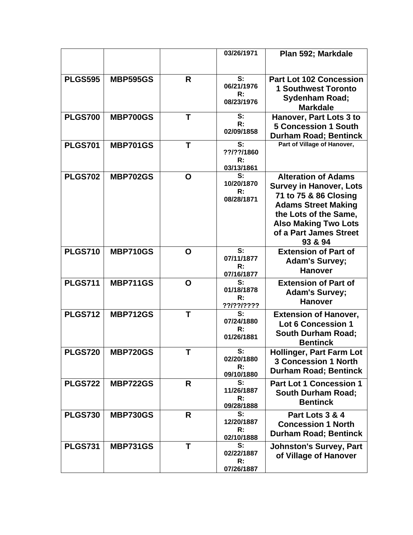|                |                 |   | 03/26/1971                           | Plan 592; Markdale                                                                                                                                                                                               |
|----------------|-----------------|---|--------------------------------------|------------------------------------------------------------------------------------------------------------------------------------------------------------------------------------------------------------------|
|                |                 |   |                                      |                                                                                                                                                                                                                  |
| <b>PLGS595</b> | <b>MBP595GS</b> | R | S:<br>06/21/1976<br>R:<br>08/23/1976 | <b>Part Lot 102 Concession</b><br><b>1 Southwest Toronto</b><br><b>Sydenham Road;</b>                                                                                                                            |
|                |                 |   |                                      | <b>Markdale</b>                                                                                                                                                                                                  |
| <b>PLGS700</b> | <b>MBP700GS</b> | T | S:<br>R:<br>02/09/1858               | <b>Hanover, Part Lots 3 to</b><br><b>5 Concession 1 South</b><br><b>Durham Road; Bentinck</b>                                                                                                                    |
| <b>PLGS701</b> | <b>MBP701GS</b> | T | S:<br>??/??/1860<br>R:<br>03/13/1861 | Part of Village of Hanover,                                                                                                                                                                                      |
| <b>PLGS702</b> | <b>MBP702GS</b> | O | S:<br>10/20/1870<br>R:<br>08/28/1871 | <b>Alteration of Adams</b><br><b>Survey in Hanover, Lots</b><br>71 to 75 & 86 Closing<br><b>Adams Street Making</b><br>the Lots of the Same,<br><b>Also Making Two Lots</b><br>of a Part James Street<br>93 & 94 |
| <b>PLGS710</b> | <b>MBP710GS</b> | O | S:<br>07/11/1877<br>R:<br>07/16/1877 | <b>Extension of Part of</b><br><b>Adam's Survey;</b><br><b>Hanover</b>                                                                                                                                           |
| <b>PLGS711</b> | <b>MBP711GS</b> | O | S:<br>01/18/1878<br>R:<br>??/??/???? | <b>Extension of Part of</b><br><b>Adam's Survey;</b><br><b>Hanover</b>                                                                                                                                           |
| <b>PLGS712</b> | <b>MBP712GS</b> | T | S:<br>07/24/1880<br>R:<br>01/26/1881 | <b>Extension of Hanover,</b><br><b>Lot 6 Concession 1</b><br><b>South Durham Road;</b><br><b>Bentinck</b>                                                                                                        |
| <b>PLGS720</b> | <b>MBP720GS</b> |   | S:<br>02/20/1880<br>R:<br>09/10/1880 | Hollinger, Part Farm Lot<br><b>3 Concession 1 North</b><br><b>Durham Road; Bentinck</b>                                                                                                                          |
| <b>PLGS722</b> | <b>MBP722GS</b> | R | S:<br>11/26/1887<br>R:<br>09/28/1888 | <b>Part Lot 1 Concession 1</b><br><b>South Durham Road;</b><br><b>Bentinck</b>                                                                                                                                   |
| <b>PLGS730</b> | <b>MBP730GS</b> | R | S:<br>12/20/1887<br>R:<br>02/10/1888 | Part Lots 3 & 4<br><b>Concession 1 North</b><br><b>Durham Road; Bentinck</b>                                                                                                                                     |
| <b>PLGS731</b> | <b>MBP731GS</b> | T | S:<br>02/22/1887<br>R:<br>07/26/1887 | <b>Johnston's Survey, Part</b><br>of Village of Hanover                                                                                                                                                          |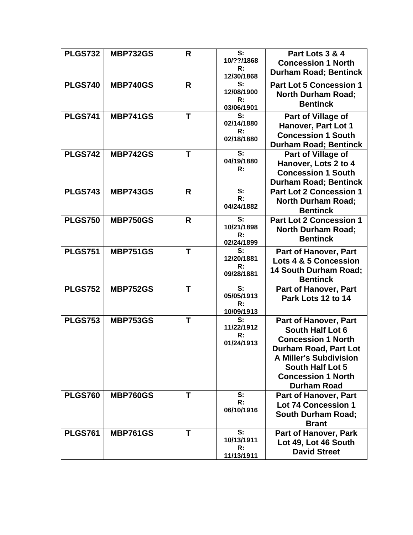| <b>PLGS732</b> | <b>MBP732GS</b> | R            | S:               | Part Lots 3 & 4                  |
|----------------|-----------------|--------------|------------------|----------------------------------|
|                |                 |              | 10/??/1868       | <b>Concession 1 North</b>        |
|                |                 |              | R:<br>12/30/1868 | <b>Durham Road; Bentinck</b>     |
| <b>PLGS740</b> | <b>MBP740GS</b> | R            | S:               | <b>Part Lot 5 Concession 1</b>   |
|                |                 |              | 12/08/1900       | <b>North Durham Road;</b>        |
|                |                 |              | R:<br>03/06/1901 | <b>Bentinck</b>                  |
| <b>PLGS741</b> | <b>MBP741GS</b> | $\mathsf{T}$ | S:               | Part of Village of               |
|                |                 |              | 02/14/1880       | Hanover, Part Lot 1              |
|                |                 |              | R:               | <b>Concession 1 South</b>        |
|                |                 |              | 02/18/1880       | <b>Durham Road; Bentinck</b>     |
| <b>PLGS742</b> | <b>MBP742GS</b> | $\mathbf T$  | S:               | Part of Village of               |
|                |                 |              | 04/19/1880       | Hanover, Lots 2 to 4             |
|                |                 |              | R:               | <b>Concession 1 South</b>        |
|                |                 |              |                  | <b>Durham Road; Bentinck</b>     |
| <b>PLGS743</b> | <b>MBP743GS</b> | R            | S:               | <b>Part Lot 2 Concession 1</b>   |
|                |                 |              | R:               | <b>North Durham Road;</b>        |
|                |                 |              | 04/24/1882       | <b>Bentinck</b>                  |
| <b>PLGS750</b> | <b>MBP750GS</b> | R            | S:               | <b>Part Lot 2 Concession 1</b>   |
|                |                 |              | 10/21/1898<br>R: | <b>North Durham Road;</b>        |
|                |                 |              | 02/24/1899       | <b>Bentinck</b>                  |
| <b>PLGS751</b> | <b>MBP751GS</b> | Τ            | S:               | <b>Part of Hanover, Part</b>     |
|                |                 |              | 12/20/1881       | <b>Lots 4 &amp; 5 Concession</b> |
|                |                 |              | R:<br>09/28/1881 | <b>14 South Durham Road;</b>     |
|                |                 |              |                  | <b>Bentinck</b>                  |
| <b>PLGS752</b> | <b>MBP752GS</b> | Т            | S:               | Part of Hanover, Part            |
|                |                 |              | 05/05/1913<br>R: | Park Lots 12 to 14               |
|                |                 |              | 10/09/1913       |                                  |
| <b>PLGS753</b> | <b>MBP753GS</b> | т            | S:               | <b>Part of Hanover, Part</b>     |
|                |                 |              | 11/22/1912       | South Half Lot 6                 |
|                |                 |              | R:<br>01/24/1913 | <b>Concession 1 North</b>        |
|                |                 |              |                  | Durham Road. Part Lot            |
|                |                 |              |                  | <b>A Miller's Subdivision</b>    |
|                |                 |              |                  | South Half Lot 5                 |
|                |                 |              |                  | <b>Concession 1 North</b>        |
|                |                 |              |                  | <b>Durham Road</b>               |
| <b>PLGS760</b> | <b>MBP760GS</b> | Τ            | S:<br>R:         | <b>Part of Hanover, Part</b>     |
|                |                 |              | 06/10/1916       | <b>Lot 74 Concession 1</b>       |
|                |                 |              |                  | <b>South Durham Road;</b>        |
|                |                 |              |                  | <b>Brant</b>                     |
| <b>PLGS761</b> | <b>MBP761GS</b> | Τ            | S:<br>10/13/1911 | <b>Part of Hanover, Park</b>     |
|                |                 |              | R:               | Lot 49, Lot 46 South             |
|                |                 |              | 11/13/1911       | <b>David Street</b>              |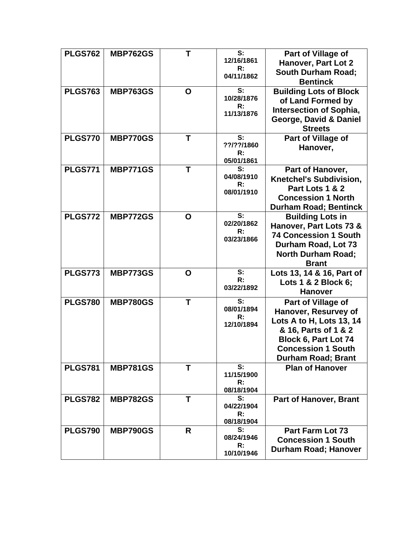| <b>PLGS762</b> | <b>MBP762GS</b> | Τ           | S:<br>12/16/1861 | Part of Village of             |
|----------------|-----------------|-------------|------------------|--------------------------------|
|                |                 |             | R:               | Hanover, Part Lot 2            |
|                |                 |             | 04/11/1862       | <b>South Durham Road;</b>      |
|                |                 |             |                  | <b>Bentinck</b>                |
| <b>PLGS763</b> | <b>MBP763GS</b> | $\mathbf O$ | S:               | <b>Building Lots of Block</b>  |
|                |                 |             | 10/28/1876       | of Land Formed by              |
|                |                 |             | R:<br>11/13/1876 | <b>Intersection of Sophia,</b> |
|                |                 |             |                  | George, David & Daniel         |
|                |                 |             |                  | <b>Streets</b>                 |
| <b>PLGS770</b> | <b>MBP770GS</b> | т           | S:               | Part of Village of             |
|                |                 |             | ??/??/1860       | Hanover,                       |
|                |                 |             | R:               |                                |
|                |                 |             | 05/01/1861       |                                |
| <b>PLGS771</b> | <b>MBP771GS</b> | T           | S:               | Part of Hanover,               |
|                |                 |             | 04/08/1910<br>R: | <b>Knetchel's Subdivision,</b> |
|                |                 |             | 08/01/1910       | Part Lots 1 & 2                |
|                |                 |             |                  | <b>Concession 1 North</b>      |
|                |                 |             |                  | <b>Durham Road; Bentinck</b>   |
| <b>PLGS772</b> | <b>MBP772GS</b> | O           | S:               | <b>Building Lots in</b>        |
|                |                 |             | 02/20/1862       | Hanover, Part Lots 73 &        |
|                |                 |             | R:<br>03/23/1866 | <b>74 Concession 1 South</b>   |
|                |                 |             |                  | Durham Road, Lot 73            |
|                |                 |             |                  | <b>North Durham Road;</b>      |
|                |                 |             |                  | <b>Brant</b>                   |
| <b>PLGS773</b> | <b>MBP773GS</b> | O           | S:               | Lots 13, 14 & 16, Part of      |
|                |                 |             | R:               | Lots 1 & 2 Block 6;            |
|                |                 |             | 03/22/1892       | <b>Hanover</b>                 |
| <b>PLGS780</b> | <b>MBP780GS</b> | T           | S:               | <b>Part of Village of</b>      |
|                |                 |             | 08/01/1894       | Hanover, Resurvey of           |
|                |                 |             | R:               | Lots A to H, Lots 13, 14       |
|                |                 |             | 12/10/1894       | & 16, Parts of 1 & 2           |
|                |                 |             |                  | Block 6, Part Lot 74           |
|                |                 |             |                  | <b>Concession 1 South</b>      |
|                |                 |             |                  |                                |
|                |                 |             | S:               | <b>Durham Road; Brant</b>      |
| <b>PLGS781</b> | <b>MBP781GS</b> | T           | 11/15/1900       | <b>Plan of Hanover</b>         |
|                |                 |             | R:               |                                |
|                |                 |             | 08/18/1904       |                                |
| <b>PLGS782</b> | <b>MBP782GS</b> | T           | S:               | <b>Part of Hanover, Brant</b>  |
|                |                 |             | 04/22/1904       |                                |
|                |                 |             | R:<br>08/18/1904 |                                |
| <b>PLGS790</b> | <b>MBP790GS</b> | R           | S:               | <b>Part Farm Lot 73</b>        |
|                |                 |             | 08/24/1946       | <b>Concession 1 South</b>      |
|                |                 |             | R:               |                                |
|                |                 |             | 10/10/1946       | Durham Road; Hanover           |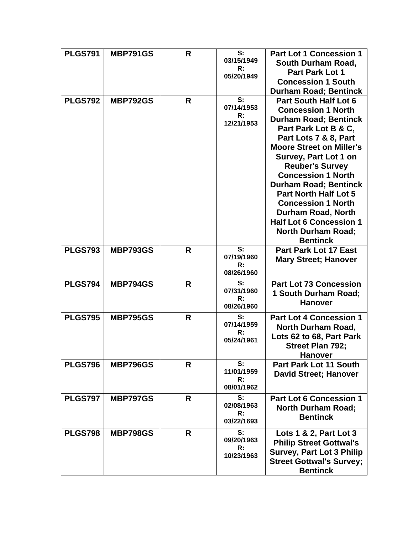| <b>PLGS791</b> | <b>MBP791GS</b> | R | S:<br>03/15/1949<br>R:<br>05/20/1949 | <b>Part Lot 1 Concession 1</b><br>South Durham Road,<br><b>Part Park Lot 1</b><br><b>Concession 1 South</b><br><b>Durham Road; Bentinck</b>                                                                                                                                                                                                                                                                                                                               |
|----------------|-----------------|---|--------------------------------------|---------------------------------------------------------------------------------------------------------------------------------------------------------------------------------------------------------------------------------------------------------------------------------------------------------------------------------------------------------------------------------------------------------------------------------------------------------------------------|
| <b>PLGS792</b> | <b>MBP792GS</b> | R | S:<br>07/14/1953<br>R:<br>12/21/1953 | <b>Part South Half Lot 6</b><br><b>Concession 1 North</b><br><b>Durham Road; Bentinck</b><br>Part Park Lot B & C,<br>Part Lots 7 & 8, Part<br><b>Moore Street on Miller's</b><br>Survey, Part Lot 1 on<br><b>Reuber's Survey</b><br><b>Concession 1 North</b><br><b>Durham Road; Bentinck</b><br><b>Part North Half Lot 5</b><br><b>Concession 1 North</b><br><b>Durham Road, North</b><br><b>Half Lot 6 Concession 1</b><br><b>North Durham Road;</b><br><b>Bentinck</b> |
| <b>PLGS793</b> | <b>MBP793GS</b> | R | S:<br>07/19/1960<br>R:<br>08/26/1960 | <b>Part Park Lot 17 East</b><br><b>Mary Street; Hanover</b>                                                                                                                                                                                                                                                                                                                                                                                                               |
| <b>PLGS794</b> | <b>MBP794GS</b> | R | S:<br>07/31/1960<br>R:<br>08/26/1960 | <b>Part Lot 73 Concession</b><br>1 South Durham Road;<br><b>Hanover</b>                                                                                                                                                                                                                                                                                                                                                                                                   |
| <b>PLGS795</b> | <b>MBP795GS</b> | R | S:<br>07/14/1959<br>R:<br>05/24/1961 | <b>Part Lot 4 Concession 1</b><br><b>North Durham Road,</b><br>Lots 62 to 68, Part Park<br><b>Street Plan 792;</b><br><b>Hanover</b>                                                                                                                                                                                                                                                                                                                                      |
| <b>PLGS796</b> | <b>MBP796GS</b> | R | S:<br>11/01/1959<br>R:<br>08/01/1962 | <b>Part Park Lot 11 South</b><br><b>David Street; Hanover</b>                                                                                                                                                                                                                                                                                                                                                                                                             |
| <b>PLGS797</b> | <b>MBP797GS</b> | R | S:<br>02/08/1963<br>R:<br>03/22/1693 | <b>Part Lot 6 Concession 1</b><br><b>North Durham Road;</b><br><b>Bentinck</b>                                                                                                                                                                                                                                                                                                                                                                                            |
| <b>PLGS798</b> | <b>MBP798GS</b> | R | S:<br>09/20/1963<br>R:<br>10/23/1963 | Lots 1 & 2, Part Lot 3<br><b>Philip Street Gottwal's</b><br><b>Survey, Part Lot 3 Philip</b><br><b>Street Gottwal's Survey;</b><br><b>Bentinck</b>                                                                                                                                                                                                                                                                                                                        |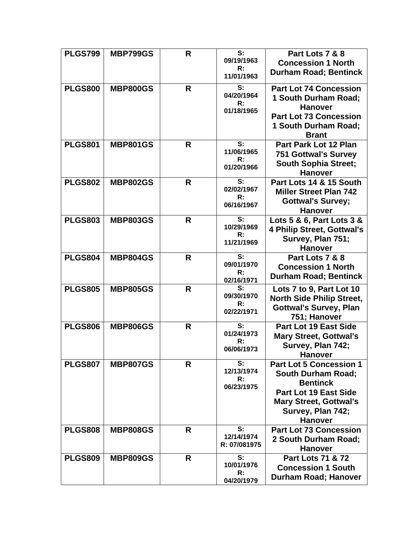| <b>PLGS799</b> | <b>MBP799GS</b> | R | S:               | Part Lots 7 & 8                                 |
|----------------|-----------------|---|------------------|-------------------------------------------------|
|                |                 |   | 09/19/1963       | <b>Concession 1 North</b>                       |
|                |                 |   | R:               | <b>Durham Road; Bentinck</b>                    |
|                |                 |   | 11/01/1963       |                                                 |
| <b>PLGS800</b> | <b>MBP800GS</b> | R | S:               | <b>Part Lot 74 Concession</b>                   |
|                |                 |   | 04/20/1964       | 1 South Durham Road;                            |
|                |                 |   | R:               | <b>Hanover</b>                                  |
|                |                 |   | 01/18/1965       | <b>Part Lot 73 Concession</b>                   |
|                |                 |   |                  | 1 South Durham Road;                            |
|                |                 |   |                  | <b>Brant</b>                                    |
| <b>PLGS801</b> | <b>MBP801GS</b> | R | S:               | <b>Part Park Lot 12 Plan</b>                    |
|                |                 |   | 11/06/1965       | <b>751 Gottwal's Survey</b>                     |
|                |                 |   | R:               | <b>South Sophia Street;</b>                     |
|                |                 |   | 01/20/1966       | <b>Hanover</b>                                  |
|                |                 |   | S:               |                                                 |
| <b>PLGS802</b> | <b>MBP802GS</b> | R | 02/02/1967       | Part Lots 14 & 15 South                         |
|                |                 |   | R:               | <b>Miller Street Plan 742</b>                   |
|                |                 |   | 06/16/1967       | <b>Gottwal's Survey;</b>                        |
|                |                 |   |                  | <b>Hanover</b>                                  |
| <b>PLGS803</b> | <b>MBP803GS</b> | R | S:<br>10/29/1969 | Lots 5 & 6, Part Lots 3 &                       |
|                |                 |   | R:               | 4 Philip Street, Gottwal's                      |
|                |                 |   | 11/21/1969       | Survey, Plan 751;                               |
|                |                 |   |                  | <b>Hanover</b>                                  |
| <b>PLGS804</b> | <b>MBP804GS</b> | R | S:               | Part Lots 7 & 8                                 |
|                |                 |   | 09/01/1970<br>R: | <b>Concession 1 North</b>                       |
|                |                 |   | 02/16/1971       | <b>Durham Road; Bentinck</b>                    |
| <b>PLGS805</b> | <b>MBP805GS</b> | R | S:               | Lots 7 to 9, Part Lot 10                        |
|                |                 |   | 09/30/1970       | <b>North Side Philip Street,</b>                |
|                |                 |   | R:               | <b>Gottwal's Survey, Plan</b>                   |
|                |                 |   | 02/22/1971       | 751; Hanover                                    |
| <b>PLGS806</b> | <b>MBP806GS</b> | R | S:               | Part Lot 19 East Side                           |
|                |                 |   | 01/24/1973       | <b>Mary Street, Gottwal's</b>                   |
|                |                 |   | R:               | Survey, Plan 742;                               |
|                |                 |   | 06/06/1973       | <b>Hanover</b>                                  |
| <b>PLGS807</b> | <b>MBP807GS</b> | R | S:               | <b>Part Lot 5 Concession 1</b>                  |
|                |                 |   | 12/13/1974       | <b>South Durham Road;</b>                       |
|                |                 |   | R:               | <b>Bentinck</b>                                 |
|                |                 |   | 06/23/1975       | <b>Part Lot 19 East Side</b>                    |
|                |                 |   |                  |                                                 |
|                |                 |   |                  | <b>Mary Street, Gottwal's</b>                   |
|                |                 |   |                  | Survey, Plan 742;                               |
|                |                 |   | S:               | <b>Hanover</b><br><b>Part Lot 73 Concession</b> |
| <b>PLGS808</b> | <b>MBP808GS</b> | R | 12/14/1974       |                                                 |
|                |                 |   | R: 07/081975     | 2 South Durham Road;                            |
|                |                 |   |                  | <b>Hanover</b>                                  |
| <b>PLGS809</b> | <b>MBP809GS</b> | R | S:<br>10/01/1976 | <b>Part Lots 71 &amp; 72</b>                    |
|                |                 |   | R:               | <b>Concession 1 South</b>                       |
|                |                 |   | 04/20/1979       | Durham Road; Hanover                            |